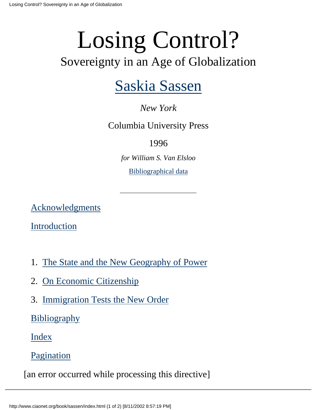## <span id="page-0-0"></span>[Saskia Sassen](http://www.ciaonet.org/book/sassen/auth.html)

## *New York*

## Columbia University Press

## 1996

*for William S. Van Elsloo* [Bibliographical data](#page-74-0)

[Acknowledgments](#page-2-0)

**[Introduction](#page-3-0)** 

- 1. [The State and the New Geography of Power](#page-6-0)
- 2. [On Economic Citizenship](#page-22-0)
- 3. [Immigration Tests the New Order](#page-36-0)

**[Bibliography](#page-55-0)** 

[Index](#page-65-0)

[Pagination](#page-73-0)

[an error occurred while processing this directive]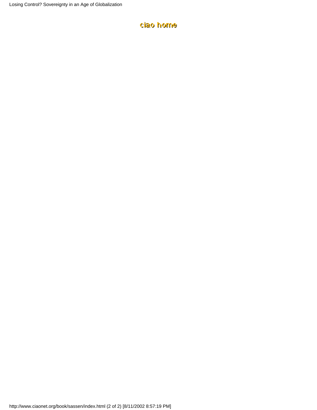### ciao home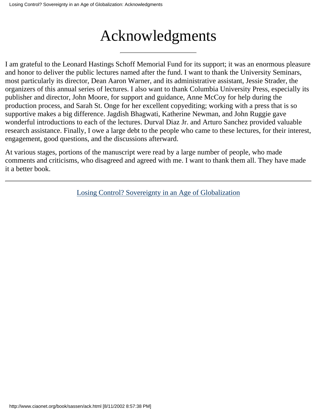## Acknowledgments

<span id="page-2-0"></span>I am grateful to the Leonard Hastings Schoff Memorial Fund for its support; it was an enormous pleasure and honor to deliver the public lectures named after the fund. I want to thank the University Seminars, most particularly its director, Dean Aaron Warner, and its administrative assistant, Jessie Strader, the organizers of this annual series of lectures. I also want to thank Columbia University Press, especially its publisher and director, John Moore, for support and guidance, Anne McCoy for help during the production process, and Sarah St. Onge for her excellent copyediting; working with a press that is so supportive makes a big difference. Jagdish Bhagwati, Katherine Newman, and John Ruggie gave wonderful introductions to each of the lectures. Durval Diaz Jr. and Arturo Sanchez provided valuable research assistance. Finally, I owe a large debt to the people who came to these lectures, for their interest, engagement, good questions, and the discussions afterward.

At various stages, portions of the manuscript were read by a large number of people, who made comments and criticisms, who disagreed and agreed with me. I want to thank them all. They have made it a better book.

[Losing Control? Sovereignty in an Age of Globalization](#page-0-0)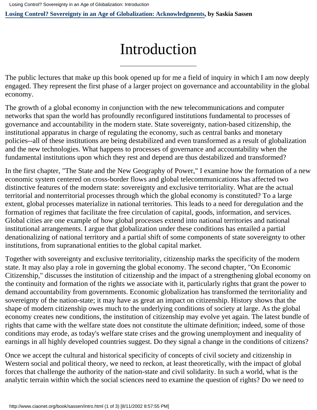<span id="page-3-0"></span>**[Losing Control? Sovereignty in an Age of Globalization: Acknowledgments](#page-0-0), by Saskia Sassen**

## Introduction

The public lectures that make up this book opened up for me a field of inquiry in which I am now deeply engaged. They represent the first phase of a larger project on governance and accountability in the global economy.

The growth of a global economy in conjunction with the new telecommunications and computer networks that span the world has profoundly reconfigured institutions fundamental to processes of governance and accountability in the modern state. State sovereignty, nation-based citizenship, the institutional apparatus in charge of regulating the economy, such as central banks and monetary policies--all of these institutions are being destabilized and even transformed as a result of globalization and the new technologies. What happens to processes of governance and accountability when the fundamental institutions upon which they rest and depend are thus destabilized and transformed?

In the first chapter, "The State and the New Geography of Power," I examine how the formation of a new economic system centered on cross-border flows and global telecommunications has affected two distinctive features of the modern state: sovereignty and exclusive territoriality. What are the actual territorial and nonterritorial processes through which the global economy is constituted? To a large extent, global processes materialize in national territories. This leads to a need for deregulation and the formation of regimes that facilitate the free circulation of capital, goods, information, and services. Global cities are one example of how global processes extend into national territories and national institutional arrangements. I argue that globalization under these conditions has entailed a partial denationalizing of national territory and a partial shift of some components of state sovereignty to other institutions, from supranational entities to the global capital market.

Together with sovereignty and exclusive territoriality, citizenship marks the specificity of the modern state. It may also play a role in governing the global economy. The second chapter, "On Economic Citizenship," discusses the institution of citizenship and the impact of a strengthening global economy on the continuity and formation of the rights we associate with it, particularly rights that grant the power to demand accountability from governments. Economic globalization has transformed the territoriality and sovereignty of the nation-state; it may have as great an impact on citizenship. History shows that the shape of modern citizenship owes much to the underlying conditions of society at large. As the global economy creates new conditions, the institution of citizenship may evolve yet again. The latest bundle of rights that came with the welfare state does not constitute the ultimate definition; indeed, some of those conditions may erode, as today's welfare state crises and the growing unemployment and inequality of earnings in all highly developed countries suggest. Do they signal a change in the conditions of citizens?

Once we accept the cultural and historical specificity of concepts of civil society and citizenship in Western social and political theory, we need to reckon, at least theoretically, with the impact of global forces that challenge the authority of the nation-state and civil solidarity. In such a world, what is the analytic terrain within which the social sciences need to examine the question of rights? Do we need to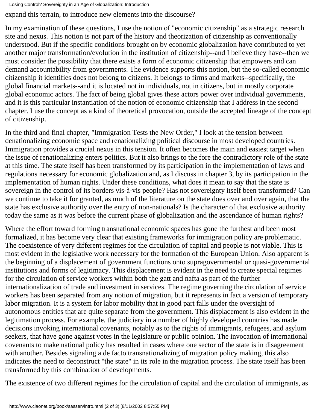Losing Control? Sovereignty in an Age of Globalization: Introduction

expand this terrain, to introduce new elements into the discourse?

In my examination of these questions, I use the notion of "economic citizenship" as a strategic research site and nexus. This notion is not part of the history and theorization of citizenship as conventionally understood. But if the specific conditions brought on by economic globalization have contributed to yet another major transformation/evolution in the institution of citizenship--and I believe they have--then we must consider the possibility that there exists a form of economic citizenship that empowers and can demand accountability from governments. The evidence supports this notion, but the so-called economic citizenship it identifies does not belong to citizens. It belongs to firms and markets--specifically, the global financial markets--and it is located not in individuals, not in citizens, but in mostly corporate global economic actors. The fact of being global gives these actors power over individual governments, and it is this particular instantiation of the notion of economic citizenship that I address in the second chapter. I use the concept as a kind of theoretical provocation, outside the accepted lineage of the concept of citizenship.

In the third and final chapter, "Immigration Tests the New Order," I look at the tension between denationalizing economic space and renationalizing political discourse in most developed countries. Immigration provides a crucial nexus in this tension. It often becomes the main and easiest target when the issue of renationalizing enters politics. But it also brings to the fore the contradictory role of the state at this time. The state itself has been transformed by its participation in the implementation of laws and regulations necessary for economic globalization and, as I discuss in chapter 3, by its participation in the implementation of human rights. Under these conditions, what does it mean to say that the state is sovereign in the control of its borders vis-à-vis people? Has not sovereignty itself been transformed? Can we continue to take it for granted, as much of the literature on the state does over and over again, that the state has exclusive authority over the entry of non-nationals? Is the character of that exclusive authority today the same as it was before the current phase of globalization and the ascendance of human rights?

Where the effort toward forming transnational economic spaces has gone the furthest and been most formalized, it has become very clear that existing frameworks for immigration policy are problematic. The coexistence of very different regimes for the circulation of capital and people is not viable. This is most evident in the legislative work necessary for the formation of the European Union. Also apparent is the beginning of a displacement of government functions onto supragovernmental or quasi-governmental institutions and forms of legitimacy. This displacement is evident in the need to create special regimes for the circulation of service workers within both the gatt and nafta as part of the further internationalization of trade and investment in services. The regime governing the circulation of service workers has been separated from any notion of migration, but it represents in fact a version of temporary labor migration. It is a system for labor mobility that in good part falls under the oversight of autonomous entities that are quite separate from the government. This displacement is also evident in the legitimation process. For example, the judiciary in a number of highly developed countries has made decisions invoking international covenants, notably as to the rights of immigrants, refugees, and asylum seekers, that have gone against votes in the legislature or public opinion. The invocation of international covenants to make national policy has resulted in cases where one sector of the state is in disagreement with another. Besides signaling a de facto transnationalizing of migration policy making, this also indicates the need to deconstruct "the state" in its role in the migration process. The state itself has been transformed by this combination of developments.

The existence of two different regimes for the circulation of capital and the circulation of immigrants, as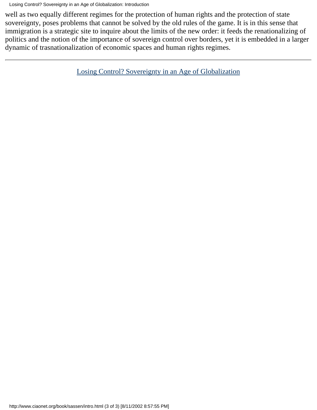Losing Control? Sovereignty in an Age of Globalization: Introduction

well as two equally different regimes for the protection of human rights and the protection of state sovereignty, poses problems that cannot be solved by the old rules of the game. It is in this sense that immigration is a strategic site to inquire about the limits of the new order: it feeds the renationalizing of politics and the notion of the importance of sovereign control over borders, yet it is embedded in a larger dynamic of trasnationalization of economic spaces and human rights regimes.

[Losing Control? Sovereignty in an Age of Globalization](#page-0-0)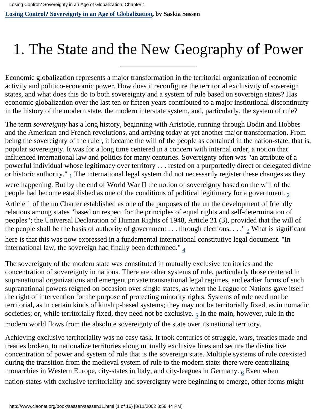<span id="page-6-0"></span>**[Losing Control? Sovereignty in an Age of Globalization](#page-0-0), by Saskia Sassen**

## 1. The State and the New Geography of Power

Economic globalization represents a major transformation in the territorial organization of economic activity and politico-economic power. How does it reconfigure the territorial exclusivity of sovereign states, and what does this do to both sovereignty and a system of rule based on sovereign states? Has economic globalization over the last ten or fifteen years contributed to a major institutional discontinuity in the history of the modern state, the modern interstate system, and, particularly, the system of rule?

The term *sovereignty* has a long history, beginning with Aristotle, running through Bodin and Hobbes and the American and French revolutions, and arriving today at yet another major transformation. From being the sovereignty of the ruler, it became the will of the people as contained in the nation-state, that is, popular sovereignty. It was for a long time centered in a concern with internal order, a notion that influenced international law and politics for many centuries. Sovereignty often was "an attribute of a powerful individual whose legitimacy over territory . . . rested on a purportedly direct or delegated divine or historic authority."  $_1$  The international legal system did not necessarily register these changes as they

<span id="page-6-2"></span><span id="page-6-1"></span>were happening. But by the end of World War II the notion of sovereignty based on the will of the people had become established as one of the conditions of political legitimacy for a government.  $2$ 

Article 1 of the un Charter established as one of the purposes of the un the development of friendly relations among states "based on respect for the principles of equal rights and self-determination of peoples"; the Universal Declaration of Human Rights of 1948, Article 21 (3), provided that the will of the people shall be the basis of authority of government . . . through elections. . . ."  $_3$  What is significant

<span id="page-6-4"></span><span id="page-6-3"></span>here is that this was now expressed in a fundamental international constitutive legal document. "In international law, the sovereign had finally been dethroned." $_4$ 

The sovereignty of the modern state was constituted in mutually exclusive territories and the concentration of sovereignty in nations. There are other systems of rule, particularly those centered in supranational organizations and emergent private transnational legal regimes, and earlier forms of such supranational powers reigned on occasion over single states, as when the League of Nations gave itself the right of intervention for the purpose of protecting minority rights. Systems of rule need not be territorial, as in certain kinds of kinship-based systems; they may not be territorially fixed, as in nomadic societies; or, while territorially fixed, they need not be exclusive.  $_5$  In the main, however, rule in the

<span id="page-6-5"></span>modern world flows from the absolute sovereignty of the state over its national territory.

<span id="page-6-6"></span>Achieving exclusive territoriality was no easy task. It took centuries of struggle, wars, treaties made and treaties broken, to nationalize territories along mutually exclusive lines and secure the distinctive concentration of power and system of rule that is the sovereign state. Multiple systems of rule coexisted during the transition from the medieval system of rule to the modern state: there were centralizing monarchies in Western Europe, city-states in Italy, and city-leagues in Germany.  $_6$  $_6$  Even when nation-states with exclusive territoriality and sovereignty were beginning to emerge, other forms might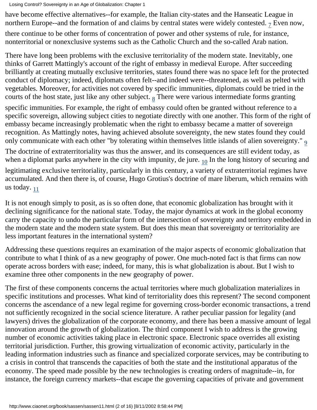<span id="page-7-0"></span>have become effective alternatives--for example, the Italian city-states and the Hanseatic League in northern Europe--and the formation of and claims by central states were widely contested.  $7$  Even now, there continue to be other forms of concentration of power and other systems of rule, for instance, nonterritorial or nonexclusive systems such as the Catholic Church and the so-called Arab nation.

There have long been problems with the exclusive territoriality of the modern state. Inevitably, one thinks of Garrett Mattingly's account of the right of embassy in medieval Europe. After succeeding brilliantly at creating mutually exclusive territories, states found there was no space left for the protected conduct of diplomacy; indeed, diplomats often felt--and indeed were--threatened, as well as pelted with vegetables. Moreover, for activities not covered by specific immunities, diplomats could be tried in the courts of the host state, just like any other subject.  $_8$  $_8$  There were various intermediate forms granting

<span id="page-7-1"></span>specific immunities. For example, the right of embassy could often be granted without reference to a specific sovereign, allowing subject cities to negotiate directly with one another. This form of the right of embassy became increasingly problematic when the right to embassy became a matter of sovereign recognition. As Mattingly notes, having achieved absolute sovereignty, the new states found they could only communicate with each other "by tolerating within themselves little islands of alien sovereignty." [9](#page-17-8)

<span id="page-7-3"></span><span id="page-7-2"></span>The doctrine of extraterritoriality was thus the answer, and its consequences are still evident today, as when a diplomat parks anywhere in the city with impunity, de jure.  $_{10}$  In the long history of securing and legitimating exclusive territoriality, particularly in this century, a variety of extraterritorial regimes have accumulated. And then there is, of course, Hugo Grotius's doctrine of mare liberum, which remains with us today.  $_{11}$ 

<span id="page-7-4"></span>It is not enough simply to posit, as is so often done, that economic globalization has brought with it declining significance for the national state. Today, the major dynamics at work in the global economy carry the capacity to undo the particular form of the intersection of sovereignty and territory embedded in the modern state and the modern state system. But does this mean that sovereignty or territoriality are less important features in the international system?

Addressing these questions requires an examination of the major aspects of economic globalization that contribute to what I think of as a new geography of power. One much-noted fact is that firms can now operate across borders with ease; indeed, for many, this is what globalization is about. But I wish to examine three other components in the new geography of power.

The first of these components concerns the actual territories where much globalization materializes in specific institutions and processes. What kind of territoriality does this represent? The second component concerns the ascendance of a new legal regime for governing cross-border economic transactions, a trend not sufficiently recognized in the social science literature. A rather peculiar passion for legality (and lawyers) drives the globalization of the corporate economy, and there has been a massive amount of legal innovation around the growth of globalization. The third component I wish to address is the growing number of economic activities taking place in electronic space. Electronic space overrides all existing territorial jurisdiction. Further, this growing virtualization of economic activity, particularly in the leading information industries such as finance and specialized corporate services, may be contributing to a crisis in control that transcends the capacities of both the state and the institutional apparatus of the economy. The speed made possible by the new technologies is creating orders of magnitude--in, for instance, the foreign currency markets--that escape the governing capacities of private and government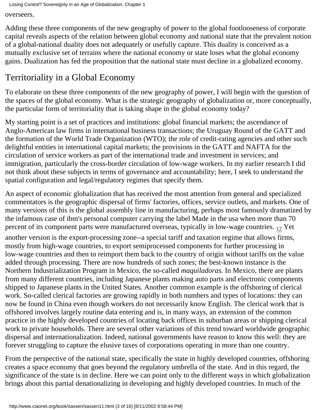overseers.

Adding these three components of the new geography of power to the global footlooseness of corporate capital reveals aspects of the relation between global economy and national state that the prevalent notion of a global-national duality does not adequately or usefully capture. This duality is conceived as a mutually exclusive set of terrains where the national economy or state loses what the global economy gains. Dualization has fed the proposition that the national state must decline in a globalized economy.

## Territoriality in a Global Economy

To elaborate on these three components of the new geography of power, I will begin with the question of the spaces of the global economy. What is the strategic geography of globalization or, more conceptually, the particular form of territoriality that is taking shape in the global economy today?

My starting point is a set of practices and institutions: global financial markets; the ascendance of Anglo-American law firms in international business transactions; the Uruguay Round of the GATT and the formation of the World Trade Organization (WTO); the role of credit-rating agencies and other such delightful entities in international capital markets; the provisions in the GATT and NAFTA for the circulation of service workers as part of the international trade and investment in services; and immigration, particularly the cross-border circulation of low-wage workers. In my earlier research I did not think about these subjects in terms of governance and accountability; here, I seek to understand the spatial configuration and legal/regulatory regimes that specify them.

An aspect of economic globalization that has received the most attention from general and specialized commentators is the geographic dispersal of firms' factories, offices, service outlets, and markets. One of many versions of this is the global assembly line in manufacturing, perhaps most famously dramatized by the infamous case of ibm's personal computer carrying the label Made in the usa when more than 70 percent of its component parts were manufactured overseas, typically in low-wage countries.  $_{12}$  Yet

<span id="page-8-0"></span>another version is the export-processing zone--a special tariff and taxation regime that allows firms, mostly from high-wage countries, to export semiprocessed components for further processing in low-wage countries and then to reimport them back to the country of origin without tariffs on the value added through processing. There are now hundreds of such zones; the best-known instance is the Northern Industrialization Program in Mexico, the so-called *maquiladoras.* In Mexico, there are plants from many different countries, including Japanese plants making auto parts and electronic components shipped to Japanese plants in the United States. Another common example is the offshoring of clerical work. So-called clerical factories are growing rapidly in both numbers and types of locations: they can now be found in China even though workers do not necessarily know English. The clerical work that is offshored involves largely routine data entering and is, in many ways, an extension of the common practice in the highly developed countries of locating back offices in suburban areas or shipping clerical work to private households. There are several other variations of this trend toward worldwide geographic dispersal and internationalization. Indeed, national governments have reason to know this well: they are forever struggling to capture the elusive taxes of corporations operating in more than one country.

From the perspective of the national state, specifically the state in highly developed countries, offshoring creates a space economy that goes beyond the regulatory umbrella of the state. And in this regard, the significance of the state is in decline. Here we can point only to the different ways in which globalization brings about this partial denationalizing in developing and highly developed countries. In much of the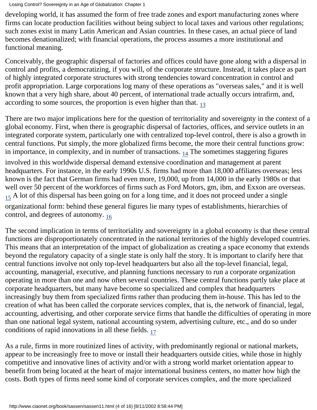developing world, it has assumed the form of free trade zones and export manufacturing zones where firms can locate production facilities without being subject to local taxes and various other regulations; such zones exist in many Latin American and Asian countries. In these cases, an actual piece of land becomes denationalized; with financial operations, the process assumes a more institutional and functional meaning.

Conceivably, the geographic dispersal of factories and offices could have gone along with a dispersal in control and profits, a democratizing, if you will, of the corporate structure. Instead, it takes place as part of highly integrated corporate structures with strong tendencies toward concentration in control and profit appropriation. Large corporations log many of these operations as "overseas sales," and it is well known that a very high share, about 40 percent, of international trade actually occurs intrafirm, and, according to some sources, the proportion is even higher than that.  $_{13}$  $_{13}$  $_{13}$ 

<span id="page-9-1"></span><span id="page-9-0"></span>There are two major implications here for the question of territoriality and sovereignty in the context of a global economy. First, when there is geographic dispersal of factories, offices, and service outlets in an integrated corporate system, particularly one with centralized top-level control, there is also a growth in central functions. Put simply, the more globalized firms become, the more their central functions grow: in importance, in complexity, and in number of transactions.  $_{14}$  The sometimes staggering figures involved in this worldwide dispersal demand extensive coordination and management at parent headquarters. For instance, in the early 1990s U.S. firms had more than 18,000 affiliates overseas; less known is the fact that German firms had even more, 19,000, up from 14,000 in the early 1980s or that well over 50 percent of the workforces of firms such as Ford Motors, gm, ibm, and Exxon are overseas. [15](#page-18-3) A lot of this dispersal has been going on for a long time, and it does not proceed under a single organizational form: behind these general figures lie many types of establishments, hierarchies of control, and degrees of autonomy.  $_{16}$  $_{16}$  $_{16}$ 

<span id="page-9-3"></span><span id="page-9-2"></span>The second implication in terms of territoriality and sovereignty in a global economy is that these central functions are disproportionately concentrated in the national territories of the highly developed countries. This means that an interpretation of the impact of globalization as creating a space economy that extends beyond the regulatory capacity of a single state is only half the story. It is important to clarify here that central functions involve not only top-level headquarters but also all the top-level financial, legal, accounting, managerial, executive, and planning functions necessary to run a corporate organization operating in more than one and now often several countries. These central functions partly take place at corporate headquarters, but many have become so specialized and complex that headquarters increasingly buy them from specialized firms rather than producing them in-house. This has led to the creation of what has been called the corporate services complex, that is, the network of financial, legal, accounting, advertising, and other corporate service firms that handle the difficulties of operating in more than one national legal system, national accounting system, advertising culture, etc., and do so under conditions of rapid innovations in all these fields.  $_{17}$ 

<span id="page-9-4"></span>As a rule, firms in more routinized lines of activity, with predominantly regional or national markets, appear to be increasingly free to move or install their headquarters outside cities, while those in highly competitive and innovative lines of activity and/or with a strong world market orientation appear to benefit from being located at the heart of major international business centers, no matter how high the costs. Both types of firms need some kind of corporate services complex, and the more specialized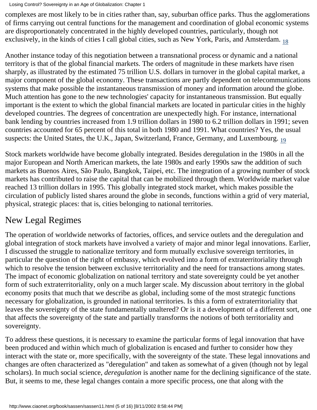complexes are most likely to be in cities rather than, say, suburban office parks. Thus the agglomerations of firms carrying out central functions for the management and coordination of global economic systems are disproportionately concentrated in the highly developed countries, particularly, though not exclusively, in the kinds of cities I call global cities, such as New York, Paris, and Amsterdam. <sub>[18](#page-18-6)</sub>

<span id="page-10-0"></span>Another instance today of this negotiation between a transnational process or dynamic and a national territory is that of the global financial markets. The orders of magnitude in these markets have risen sharply, as illustrated by the estimated 75 trillion U.S. dollars in turnover in the global capital market, a major component of the global economy. These transactions are partly dependent on telecommunications systems that make possible the instantaneous transmission of money and information around the globe. Much attention has gone to the new technologies' capacity for instantaneous transmission. But equally important is the extent to which the global financial markets are located in particular cities in the highly developed countries. The degrees of concentration are unexpectedly high. For instance, international bank lending by countries increased from 1.9 trillion dollars in 1980 to 6.2 trillion dollars in 1991; seven countries accounted for 65 percent of this total in both 1980 and 1991. What countries? Yes, the usual suspects: the United States, the U.K., Japan, Switzerland, France, Germany, and Luxembourg. [19](#page-18-7)

<span id="page-10-1"></span>Stock markets worldwide have become globally integrated. Besides deregulation in the 1980s in all the major European and North American markets, the late 1980s and early 1990s saw the addition of such markets as Buenos Aires, São Paulo, Bangkok, Taipei, etc. The integration of a growing number of stock markets has contributed to raise the capital that can be mobilized through them. Worldwide market value reached 13 trillion dollars in 1995. This globally integrated stock market, which makes possible the circulation of publicly listed shares around the globe in seconds, functions within a grid of very material, physical, strategic places: that is, cities belonging to national territories.

### New Legal Regimes

The operation of worldwide networks of factories, offices, and service outlets and the deregulation and global integration of stock markets have involved a variety of major and minor legal innovations. Earlier, I discussed the struggle to nationalize territory and form mutually exclusive sovereign territories, in particular the question of the right of embassy, which evolved into a form of extraterritoriality through which to resolve the tension between exclusive territoriality and the need for transactions among states. The impact of economic globalization on national territory and state sovereignty could be yet another form of such extraterritoriality, only on a much larger scale. My discussion about territory in the global economy posits that much that we describe as global, including some of the most strategic functions necessary for globalization, is grounded in national territories. Is this a form of extraterritoriality that leaves the sovereignty of the state fundamentally unaltered? Or is it a development of a different sort, one that affects the sovereignty of the state and partially transforms the notions of both territoriality and sovereignty.

To address these questions, it is necessary to examine the particular forms of legal innovation that have been produced and within which much of globalization is encased and further to consider how they interact with the state or, more specifically, with the sovereignty of the state. These legal innovations and changes are often characterized as "deregulation" and taken as somewhat of a given (though not by legal scholars). In much social science, *deregulation* is another name for the declining significance of the state. But, it seems to me, these legal changes contain a more specific process, one that along with the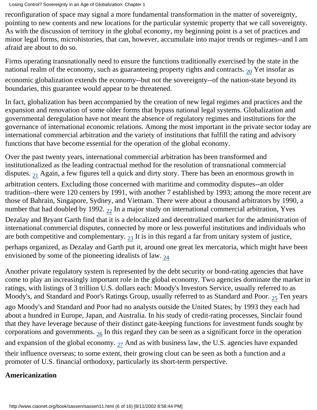reconfiguration of space may signal a more fundamental transformation in the matter of sovereignty, pointing to new contents and new locations for the particular systemic property that we call sovereignty. As with the discussion of territory in the global economy, my beginning point is a set of practices and minor legal forms, microhistories, that can, however, accumulate into major trends or regimes--and I am afraid are about to do so.

<span id="page-11-0"></span>Firms operating transnationally need to ensure the functions traditionally exercised by the state in the national realm of the economy, such as guaranteeing property rights and contracts.  $_{20}$  Yet insofar as economic globalization extends the economy--but not the sovereignty--of the nation-state beyond its boundaries, this guarantee would appear to be threatened.

In fact, globalization has been accompanied by the creation of new legal regimes and practices and the expansion and renovation of some older forms that bypass national legal systems. Globalization and governmental deregulation have not meant the absence of regulatory regimes and institutions for the governance of international economic relations. Among the most important in the private sector today are international commercial arbitration and the variety of institutions that fulfill the rating and advisory functions that have become essential for the operation of the global economy.

<span id="page-11-2"></span><span id="page-11-1"></span>Over the past twenty years, international commercial arbitration has been transformed and institutionalized as the leading contractual method for the resolution of transnational commercial disputes.  $_{21}$  $_{21}$  $_{21}$  Again, a few figures tell a quick and dirty story. There has been an enormous growth in arbitration centers. Excluding those concerned with maritime and commodity disputes--an older tradition--there were 120 centers by 1991, with another 7 established by 1993; among the more recent are those of Bahrain, Singapore, Sydney, and Vietnam. There were about a thousand arbitrators by 1990, a number that had doubled by 1992.  $_{22}$  In a major study on international commercial arbitration, Yves Dezalay and Bryant Garth find that it is a delocalized and decentralized market for the administration of international commercial disputes, connected by more or less powerful institutions and individuals who are both competitive and complementary.  $_{23}$  It is in this regard a far from unitary system of justice, perhaps organized, as Dezalay and Garth put it, around one great lex mercatoria, which might have been envisioned by some of the pioneering idealists of law.  $_{24}$  $_{24}$  $_{24}$ 

<span id="page-11-5"></span><span id="page-11-4"></span><span id="page-11-3"></span>Another private regulatory system is represented by the debt security or bond-rating agencies that have come to play an increasingly important role in the global economy. Two agencies dominate the market in ratings, with listings of 3 trillion U.S. dollars each: Moody's Investors Service, usually referred to as Moody's, and Standard and Poor's Ratings Group, usually referred to as Standard and Poor.  $_{25}$  $_{25}$  $_{25}$  Ten years ago Moody's and Standard and Poor had no analysts outside the United States; by 1993 they each had about a hundred in Europe, Japan, and Australia. In his study of credit-rating processes, Sinclair found that they have leverage because of their distinct gate-keeping functions for investment funds sought by corporations and governments.  $_{26}$  In this regard they can be seen as a significant force in the operation and expansion of the global economy.  $_{27}$  And as with business law, the U.S. agencies have expanded their influence overseas; to some extent, their growing clout can be seen as both a function and a promoter of U.S. financial orthodoxy, particularly its short-term perspective.

### <span id="page-11-7"></span><span id="page-11-6"></span>**Americanization**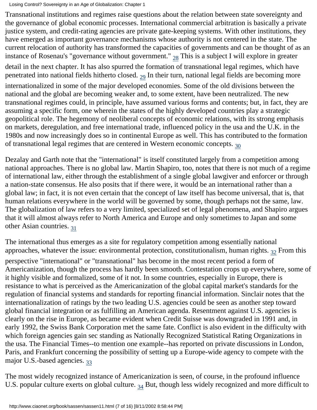Transnational institutions and regimes raise questions about the relation between state sovereignty and the governance of global economic processes. International commercial arbitration is basically a private justice system, and credit-rating agencies are private gate-keeping systems. With other institutions, they have emerged as important governance mechanisms whose authority is not centered in the state. The current relocation of authority has transformed the capacities of governments and can be thought of as an instance of Rosenau's "governance without government."  $_{28}$  $_{28}$  $_{28}$  This is a subject I will explore in greater

<span id="page-12-0"></span>detail in the next chapter. It has also spurred the formation of transnational legal regimes, which have penetrated into national fields hitherto closed.  $_{29}$  In their turn, national legal fields are becoming more

<span id="page-12-1"></span>internationalized in some of the major developed economies. Some of the old divisions between the national and the global are becoming weaker and, to some extent, have been neutralized. The new transnational regimes could, in principle, have assumed various forms and contents; but, in fact, they are assuming a specific form, one wherein the states of the highly developed countries play a strategic geopolitical role. The hegemony of neoliberal concepts of economic relations, with its strong emphasis on markets, deregulation, and free international trade, influenced policy in the usa and the U.K. in the 1980s and now increasingly does so in continental Europe as well. This has contributed to the formation of transnational legal regimes that are centered in Western economic concepts. [30](#page-20-2)

<span id="page-12-2"></span>Dezalay and Garth note that the "international" is itself constituted largely from a competition among national approaches. There is no global law. Martin Shapiro, too, notes that there is not much of a regime of international law, either through the establishment of a single global lawgiver and enforcer or through a nation-state consensus. He also posits that if there were, it would be an international rather than a global law; in fact, it is not even certain that the concept of law itself has become universal, that is, that human relations everywhere in the world will be governed by some, though perhaps not the same, law. The globalization of law refers to a very limited, specialized set of legal phenomena, and Shapiro argues that it will almost always refer to North America and Europe and only sometimes to Japan and some other Asian countries.  $31$ 

<span id="page-12-4"></span><span id="page-12-3"></span>The international thus emerges as a site for regulatory competition among essentially national approaches, whatever the issue: environmental protection, constitutionalism, human rights.  $_{32}$  $_{32}$  $_{32}$  From this perspective "international" or "transnational" has become in the most recent period a form of Americanization, though the process has hardly been smooth. Contestation crops up everywhere, some of it highly visible and formalized, some of it not. In some countries, especially in Europe, there is resistance to what is perceived as the Americanization of the global capital market's standards for the regulation of financial systems and standards for reporting financial information. Sinclair notes that the internationalization of ratings by the two leading U.S. agencies could be seen as another step toward global financial integration or as fulfilling an American agenda. Resentment against U.S. agencies is clearly on the rise in Europe, as became evident when Credit Suisse was downgraded in 1991 and, in early 1992, the Swiss Bank Corporation met the same fate. Conflict is also evident in the difficulty with which foreign agencies gain sec standing as Nationally Recognized Statistical Rating Organizations in the usa. The Financial Times--to mention one example--has reported on private discussions in London, Paris, and Frankfurt concerning the possibility of setting up a Europe-wide agency to compete with the major U.S.-based agencies. [33](#page-20-5)

<span id="page-12-6"></span><span id="page-12-5"></span>The most widely recognized instance of Americanization is seen, of course, in the profound influence U.S. popular culture exerts on global culture.  $_{34}$  $_{34}$  $_{34}$  But, though less widely recognized and more difficult to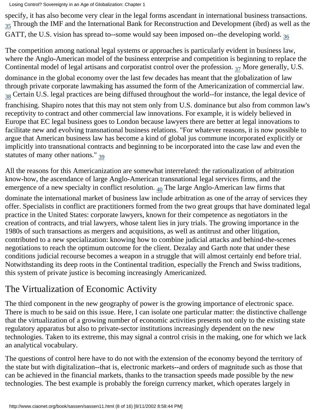Losing Control? Sovereignty in an Age of Globalization: Chapter 1

<span id="page-13-0"></span>specify, it has also become very clear in the legal forms ascendant in international business transactions. [35](#page-20-7) Through the IMF and the International Bank for Reconstruction and Development (ibrd) as well as the GATT, the U.S. vision has spread to--some would say been imposed on--the developing world.  $_{36}$ 

<span id="page-13-1"></span>The competition among national legal systems or approaches is particularly evident in business law, where the Anglo-American model of the business enterprise and competition is beginning to replace the Continental model of legal artisans and corporatist control over the profession.  $_{37}$  More generally, U.S.

<span id="page-13-3"></span><span id="page-13-2"></span>dominance in the global economy over the last few decades has meant that the globalization of law through private corporate lawmaking has assumed the form of the Americanization of commercial law. [38](#page-21-1) Certain U.S. legal practices are being diffused throughout the world--for instance, the legal device of

franchising. Shapiro notes that this may not stem only from U.S. dominance but also from common law's receptivity to contract and other commercial law innovations. For example, it is widely believed in Europe that EC legal business goes to London because lawyers there are better at legal innovations to facilitate new and evolving transnational business relations. "For whatever reasons, it is now possible to argue that American business law has become a kind of global jus commune incorporated explicitly or implicitly into transnational contracts and beginning to be incorporated into the case law and even the statutes of many other nations." [39](#page-21-2)

<span id="page-13-5"></span><span id="page-13-4"></span>All the reasons for this Americanization are somewhat interrelated: the rationalization of arbitration know-how, the ascendance of large Anglo-American transnational legal services firms, and the emergence of a new specialty in conflict resolution.  $_{40}$  The large Anglo-American law firms that dominate the international market of business law include arbitration as one of the array of services they offer. Specialists in conflict are practitioners formed from the two great groups that have dominated legal practice in the United States: corporate lawyers, known for their competence as negotiators in the creation of contracts, and trial lawyers, whose talent lies in jury trials. The growing importance in the 1980s of such transactions as mergers and acquisitions, as well as antitrust and other litigation, contributed to a new specialization: knowing how to combine judicial attacks and behind-the-scenes negotiations to reach the optimum outcome for the client. Dezalay and Garth note that under these conditions judicial recourse becomes a weapon in a struggle that will almost certainly end before trial. Notwithstanding its deep roots in the Continental tradition, especially the French and Swiss traditions, this system of private justice is becoming increasingly Americanized.

## The Virtualization of Economic Activity

The third component in the new geography of power is the growing importance of electronic space. There is much to be said on this issue. Here, I can isolate one particular matter: the distinctive challenge that the virtualization of a growing number of economic activities presents not only to the existing state regulatory apparatus but also to private-sector institutions increasingly dependent on the new technologies. Taken to its extreme, this may signal a control crisis in the making, one for which we lack an analytical vocabulary.

The questions of control here have to do not with the extension of the economy beyond the territory of the state but with digitalization--that is, electronic markets--and orders of magnitude such as those that can be achieved in the financial markets, thanks to the transaction speeds made possible by the new technologies. The best example is probably the foreign currency market, which operates largely in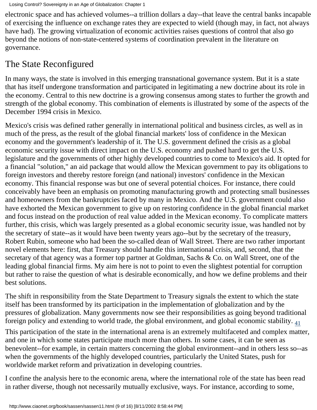electronic space and has achieved volumes--a trillion dollars a day--that leave the central banks incapable of exercising the influence on exchange rates they are expected to wield (though may, in fact, not always have had). The growing virtualization of economic activities raises questions of control that also go beyond the notions of non-state-centered systems of coordination prevalent in the literature on governance.

### The State Reconfigured

In many ways, the state is involved in this emerging transnational governance system. But it is a state that has itself undergone transformation and participated in legitimating a new doctrine about its role in the economy. Central to this new doctrine is a growing consensus among states to further the growth and strength of the global economy. This combination of elements is illustrated by some of the aspects of the December 1994 crisis in Mexico.

Mexico's crisis was defined rather generally in international political and business circles, as well as in much of the press, as the result of the global financial markets' loss of confidence in the Mexican economy and the government's leadership of it. The U.S. government defined the crisis as a global economic security issue with direct impact on the U.S. economy and pushed hard to get the U.S. legislature and the governments of other highly developed countries to come to Mexico's aid. It opted for a financial "solution," an aid package that would allow the Mexican government to pay its obligations to foreign investors and thereby restore foreign (and national) investors' confidence in the Mexican economy. This financial response was but one of several potential choices. For instance, there could conceivably have been an emphasis on promoting manufacturing growth and protecting small businesses and homeowners from the bankruptcies faced by many in Mexico. And the U.S. government could also have exhorted the Mexican government to give up on restoring confidence in the global financial market and focus instead on the production of real value added in the Mexican economy. To complicate matters further, this crisis, which was largely presented as a global economic security issue, was handled not by the secretary of state--as it would have been twenty years ago--but by the secretary of the treasury, Robert Rubin, someone who had been the so-called dean of Wall Street. There are two rather important novel elements here: first, that Treasury should handle this international crisis, and, second, that the secretary of that agency was a former top partner at Goldman, Sachs & Co. on Wall Street, one of the leading global financial firms. My aim here is not to point to even the slightest potential for corruption but rather to raise the question of what is desirable economically, and how we define problems and their best solutions.

The shift in responsibility from the State Department to Treasury signals the extent to which the state itself has been transformed by its participation in the implementation of globalization and by the pressures of globalization. Many governments now see their responsibilities as going beyond traditional foreign policy and extending to world trade, the global environment, and global economic stability.  $_{41}$  $_{41}$  $_{41}$ 

<span id="page-14-0"></span>This participation of the state in the international arena is an extremely multifaceted and complex matter, and one in which some states participate much more than others. In some cases, it can be seen as benevolent--for example, in certain matters concerning the global environment--and in others less so--as when the governments of the highly developed countries, particularly the United States, push for worldwide market reform and privatization in developing countries.

I confine the analysis here to the economic arena, where the international role of the state has been read in rather diverse, though not necessarily mutually exclusive, ways. For instance, according to some,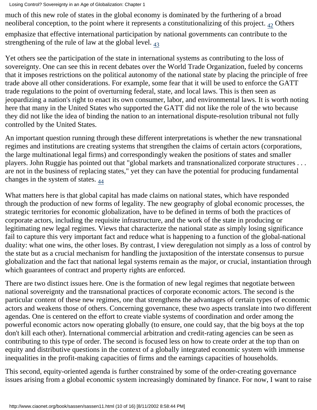<span id="page-15-0"></span>much of this new role of states in the global economy is dominated by the furthering of a broad neoliberal conception, to the point where it represents a constitutionalizing of this project.  $_{42}$  Others emphasize that effective international participation by national governments can contribute to the

<span id="page-15-1"></span>strengthening of the rule of law at the global level.  $_{43}$  $_{43}$  $_{43}$ 

Yet others see the participation of the state in international systems as contributing to the loss of sovereignty. One can see this in recent debates over the World Trade Organization, fueled by concerns that it imposes restrictions on the political autonomy of the national state by placing the principle of free trade above all other considerations. For example, some fear that it will be used to enforce the GATT trade regulations to the point of overturning federal, state, and local laws. This is then seen as jeopardizing a nation's right to enact its own consumer, labor, and environmental laws. It is worth noting here that many in the United States who supported the GATT did not like the role of the wto because they did not like the idea of binding the nation to an international dispute-resolution tribunal not fully controlled by the United States.

An important question running through these different interpretations is whether the new transnational regimes and institutions are creating systems that strengthen the claims of certain actors (corporations, the large multinational legal firms) and correspondingly weaken the positions of states and smaller players. John Ruggie has pointed out that "global markets and transnationalized corporate structures . . . are not in the business of replacing states," yet they can have the potential for producing fundamental changes in the system of states.  $_{44}$ 

<span id="page-15-2"></span>What matters here is that global capital has made claims on national states, which have responded through the production of new forms of legality. The new geography of global economic processes, the strategic territories for economic globalization, have to be defined in terms of both the practices of corporate actors, including the requisite infrastructure, and the work of the state in producing or legitimating new legal regimes. Views that characterize the national state as simply losing significance fail to capture this very important fact and reduce what is happening to a function of the global-national duality: what one wins, the other loses. By contrast, I view deregulation not simply as a loss of control by the state but as a crucial mechanism for handling the juxtaposition of the interstate consensus to pursue globalization and the fact that national legal systems remain as the major, or crucial, instantiation through which guarantees of contract and property rights are enforced.

There are two distinct issues here. One is the formation of new legal regimes that negotiate between national sovereignty and the transnational practices of corporate economic actors. The second is the particular content of these new regimes, one that strengthens the advantages of certain types of economic actors and weakens those of others. Concerning governance, these two aspects translate into two different agendas. One is centered on the effort to create viable systems of coordination and order among the powerful economic actors now operating globally (to ensure, one could say, that the big boys at the top don't kill each other). International commercial arbitration and credit-rating agencies can be seen as contributing to this type of order. The second is focused less on how to create order at the top than on equity and distributive questions in the context of a globally integrated economic system with immense inequalities in the profit-making capacities of firms and the earnings capacities of households.

This second, equity-oriented agenda is further constrained by some of the order-creating governance issues arising from a global economic system increasingly dominated by finance. For now, I want to raise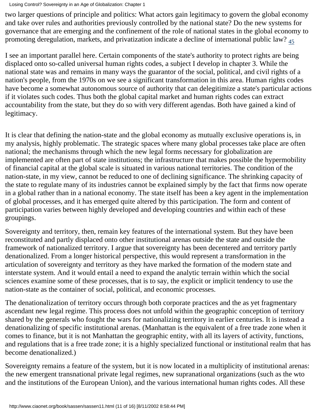two larger questions of principle and politics: What actors gain legitimacy to govern the global economy and take over rules and authorities previously controlled by the national state? Do the new systems for governance that are emerging and the confinement of the role of national states in the global economy to promoting deregulation, markets, and privatization indicate a decline of international public law? [45](#page-21-8)

<span id="page-16-0"></span>I see an important parallel here. Certain components of the state's authority to protect rights are being displaced onto so-called universal human rights codes, a subject I develop in chapter 3. While the national state was and remains in many ways the guarantor of the social, political, and civil rights of a nation's people, from the 1970s on we see a significant transformation in this area. Human rights codes have become a somewhat autonomous source of authority that can delegitimize a state's particular actions if it violates such codes. Thus both the global capital market and human rights codes can extract accountability from the state, but they do so with very different agendas. Both have gained a kind of legitimacy.

It is clear that defining the nation-state and the global economy as mutually exclusive operations is, in my analysis, highly problematic. The strategic spaces where many global processes take place are often national; the mechanisms through which the new legal forms necessary for globalization are implemented are often part of state institutions; the infrastructure that makes possible the hypermobility of financial capital at the global scale is situated in various national territories. The condition of the nation-state, in my view, cannot be reduced to one of declining significance. The shrinking capacity of the state to regulate many of its industries cannot be explained simply by the fact that firms now operate in a global rather than in a national economy. The state itself has been a key agent in the implementation of global processes, and it has emerged quite altered by this participation. The form and content of participation varies between highly developed and developing countries and within each of these groupings.

Sovereignty and territory, then, remain key features of the international system. But they have been reconstituted and partly displaced onto other institutional arenas outside the state and outside the framework of nationalized territory. I argue that sovereignty has been decentered and territory partly denationalized. From a longer historical perspective, this would represent a transformation in the articulation of sovereignty and territory as they have marked the formation of the modern state and interstate system. And it would entail a need to expand the analytic terrain within which the social sciences examine some of these processes, that is to say, the explicit or implicit tendency to use the nation-state as the container of social, political, and economic processes.

The denationalization of territory occurs through both corporate practices and the as yet fragmentary ascendant new legal regime. This process does not unfold within the geographic conception of territory shared by the generals who fought the wars for nationalizing territory in earlier centuries. It is instead a denationalizing of specific institutional arenas. (Manhattan is the equivalent of a free trade zone when it comes to finance, but it is not Manhattan the geographic entity, with all its layers of activity, functions, and regulations that is a free trade zone; it is a highly specialized functional or institutional realm that has become denationalized.)

Sovereignty remains a feature of the system, but it is now located in a multiplicity of institutional arenas: the new emergent transnational private legal regimes, new supranational organizations (such as the wto and the institutions of the European Union), and the various international human rights codes. All these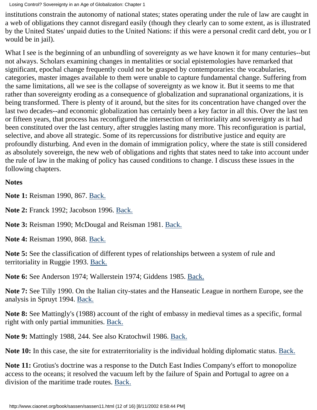institutions constrain the autonomy of national states; states operating under the rule of law are caught in a web of obligations they cannot disregard easily (though they clearly can to some extent, as is illustrated by the United States' unpaid duties to the United Nations: if this were a personal credit card debt, you or I would be in jail).

What I see is the beginning of an unbundling of sovereignty as we have known it for many centuries--but not always. Scholars examining changes in mentalities or social epistemologies have remarked that significant, epochal change frequently could not be grasped by contemporaries: the vocabularies, categories, master images available to them were unable to capture fundamental change. Suffering from the same limitations, all we see is the collapse of sovereignty as we know it. But it seems to me that rather than sovereignty eroding as a consequence of globalization and supranational organizations, it is being transformed. There is plenty of it around, but the sites for its concentration have changed over the last two decades--and economic globalization has certainly been a key factor in all this. Over the last ten or fifteen years, that process has reconfigured the intersection of territoriality and sovereignty as it had been constituted over the last century, after struggles lasting many more. This reconfiguration is partial, selective, and above all strategic. Some of its repercussions for distributive justice and equity are profoundly disturbing. And even in the domain of immigration policy, where the state is still considered as absolutely sovereign, the new web of obligations and rights that states need to take into account under the rule of law in the making of policy has caused conditions to change. I discuss these issues in the following chapters.

#### **Notes**

<span id="page-17-0"></span>**Note 1:** Reisman 1990, 867. [Back.](#page-6-1)

<span id="page-17-1"></span>**Note 2:** Franck 1992; Jacobson 1996. [Back.](#page-6-2)

<span id="page-17-2"></span>**Note 3:** Reisman 1990; McDougal and Reisman 1981. [Back.](#page-6-3)

<span id="page-17-3"></span>**Note 4:** Reisman 1990, 868. [Back.](#page-6-4)

<span id="page-17-4"></span>**Note 5:** See the classification of different types of relationships between a system of rule and territoriality in Ruggie 1993. [Back.](#page-6-5)

<span id="page-17-5"></span>**Note 6:** See Anderson 1974; Wallerstein 1974; Giddens 1985. [Back.](#page-6-6)

<span id="page-17-6"></span>**Note 7:** See Tilly 1990. On the Italian city-states and the Hanseatic League in northern Europe, see the analysis in Spruyt 1994. [Back.](#page-7-0)

<span id="page-17-7"></span>**Note 8:** See Mattingly's (1988) account of the right of embassy in medieval times as a specific, formal right with only partial immunities. [Back.](#page-7-1)

<span id="page-17-8"></span>**Note 9:** Mattingly 1988, 244. See also Kratochwil 1986. [Back.](#page-7-2)

<span id="page-17-9"></span>**Note 10:** In this case, the site for extraterritoriality is the individual holding diplomatic status. [Back.](#page-7-3)

<span id="page-17-10"></span>**Note 11:** Grotius's doctrine was a response to the Dutch East Indies Company's effort to monopolize access to the oceans; it resolved the vacuum left by the failure of Spain and Portugal to agree on a division of the maritime trade routes. [Back.](#page-7-4)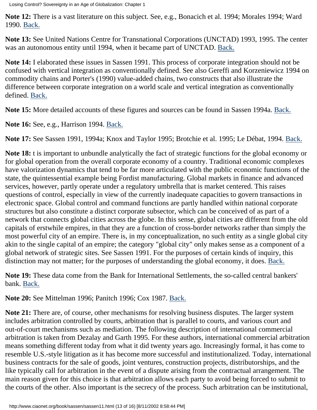<span id="page-18-0"></span>**Note 12:** There is a vast literature on this subject. See, e.g., Bonacich et al. 1994; Morales 1994; Ward 1990. [Back.](#page-8-0)

<span id="page-18-1"></span>**Note 13:** See United Nations Centre for Transnational Corporations (UNCTAD) 1993, 1995. The center was an autonomous entity until 1994, when it became part of UNCTAD. [Back.](#page-9-0)

<span id="page-18-2"></span>**Note 14:** I elaborated these issues in Sassen 1991. This process of corporate integration should not be confused with vertical integration as conventionally defined. See also Gereffi and Korzeniewicz 1994 on commodity chains and Porter's (1990) value-added chains, two constructs that also illustrate the difference between corporate integration on a world scale and vertical integration as conventionally defined. [Back.](#page-9-1)

<span id="page-18-3"></span>Note 15: More detailed accounts of these figures and sources can be found in Sassen 1994a. **[Back.](#page-9-2)** 

<span id="page-18-4"></span>**Note 16:** See, e.g., Harrison 1994. [Back.](#page-9-3)

<span id="page-18-5"></span>**Note 17:** See Sassen 1991, 1994a; Knox and Taylor 1995; Brotchie et al. 1995; Le Débat, 1994. [Back.](#page-9-4)

<span id="page-18-6"></span>**Note 18:** t is important to unbundle analytically the fact of strategic functions for the global economy or for global operation from the overall corporate economy of a country. Traditional economic complexes have valorization dynamics that tend to be far more articulated with the public economic functions of the state, the quintessential example being Fordist manufacturing. Global markets in finance and advanced services, however, partly operate under a regulatory umbrella that is market centered. This raises questions of control, especially in view of the currently inadequate capacities to govern transactions in electronic space. Global control and command functions are partly handled within national corporate structures but also constitute a distinct corporate subsector, which can be conceived of as part of a network that connects global cities across the globe. In this sense, global cities are different from the old capitals of erstwhile empires, in that they are a function of cross-border networks rather than simply the most powerful city of an empire. There is, in my conceptualization, no such entity as a single global city akin to the single capital of an empire; the category "global city" only makes sense as a component of a global network of strategic sites. See Sassen 1991. For the purposes of certain kinds of inquiry, this distinction may not matter; for the purposes of understanding the global economy, it does. [Back.](#page-10-0)

<span id="page-18-7"></span>**Note 19:** These data come from the Bank for International Settlements, the so-called central bankers' bank. [Back.](#page-10-1)

<span id="page-18-8"></span>**Note 20:** See Mittelman 1996; Panitch 1996; Cox 1987. [Back.](#page-11-0)

<span id="page-18-9"></span>**Note 21:** There are, of course, other mechanisms for resolving business disputes. The larger system includes arbitration controlled by courts, arbitration that is parallel to courts, and various court and out-of-court mechanisms such as mediation. The following description of international commercial arbitration is taken from Dezalay and Garth 1995. For these authors, international commercial arbitration means something different today from what it did twenty years ago. Increasingly formal, it has come to resemble U.S.-style litigation as it has become more successful and institutionalized. Today, international business contracts for the sale of goods, joint ventures, construction projects, distributorships, and the like typically call for arbitration in the event of a dispute arising from the contractual arrangement. The main reason given for this choice is that arbitration allows each party to avoid being forced to submit to the courts of the other. Also important is the secrecy of the process. Such arbitration can be institutional,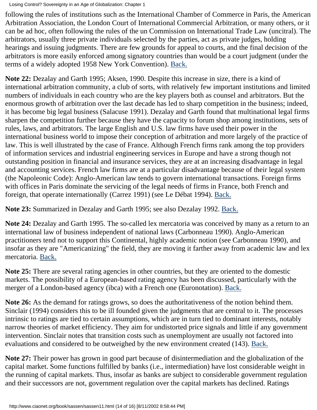following the rules of institutions such as the International Chamber of Commerce in Paris, the American Arbitration Association, the London Court of International Commercial Arbitration, or many others, or it can be ad hoc, often following the rules of the un Commission on International Trade Law (uncitral). The arbitrators, usually three private individuals selected by the parties, act as private judges, holding hearings and issuing judgments. There are few grounds for appeal to courts, and the final decision of the arbitrators is more easily enforced among signatory countries than would be a court judgment (under the terms of a widely adopted 1958 New York Convention). [Back.](#page-11-1)

<span id="page-19-0"></span>**Note 22:** Dezalay and Garth 1995; Aksen, 1990. Despite this increase in size, there is a kind of international arbitration community, a club of sorts, with relatively few important institutions and limited numbers of individuals in each country who are the key players both as counsel and arbitrators. But the enormous growth of arbitration over the last decade has led to sharp competition in the business; indeed, it has become big legal business (Salacuse 1991). Dezalay and Garth found that multinational legal firms sharpen the competition further because they have the capacity to forum shop among institutions, sets of rules, laws, and arbitrators. The large English and U.S. law firms have used their power in the international business world to impose their conception of arbitration and more largely of the practice of law. This is well illustrated by the case of France. Although French firms rank among the top providers of information services and industrial engineering services in Europe and have a strong though not outstanding position in financial and insurance services, they are at an increasing disadvantage in legal and accounting services. French law firms are at a particular disadvantage because of their legal system (the Napoleonic Code): Anglo-American law tends to govern international transactions. Foreign firms with offices in Paris dominate the servicing of the legal needs of firms in France, both French and foreign, that operate internationally (Carrez 1991) (see Le Débat 1994). [Back.](#page-11-2)

<span id="page-19-1"></span>**Note 23:** Summarized in Dezalay and Garth 1995; see also Dezalay 1992. [Back.](#page-11-3)

<span id="page-19-2"></span>**Note 24:** Dezalay and Garth 1995. The so-called lex mercatoria was conceived by many as a return to an international law of business independent of national laws (Carbonneau 1990). Anglo-American practitioners tend not to support this Continental, highly academic notion (see Carbonneau 1990), and insofar as they are "Americanizing" the field, they are moving it farther away from academic law and lex mercatoria. [Back.](#page-11-4)

<span id="page-19-3"></span>**Note 25:** There are several rating agencies in other countries, but they are oriented to the domestic markets. The possibility of a European-based rating agency has been discussed, particularly with the merger of a London-based agency (ibca) with a French one (Euronotation). [Back.](#page-11-5)

<span id="page-19-4"></span>**Note 26:** As the demand for ratings grows, so does the authoritativeness of the notion behind them. Sinclair (1994) considers this to be ill founded given the judgments that are central to it. The processes intrinsic to ratings are tied to certain assumptions, which are in turn tied to dominant interests, notably narrow theories of market efficiency. They aim for undistorted price signals and little if any government intervention. Sinclair notes that transition costs such as unemployment are usually not factored into evaluations and considered to be outweighed by the new environment created (143). [Back.](#page-11-6)

<span id="page-19-5"></span>**Note 27:** Their power has grown in good part because of disintermediation and the globalization of the capital market. Some functions fulfilled by banks (i.e., intermediation) have lost considerable weight in the running of capital markets. Thus, insofar as banks are subject to considerable government regulation and their successors are not, government regulation over the capital markets has declined. Ratings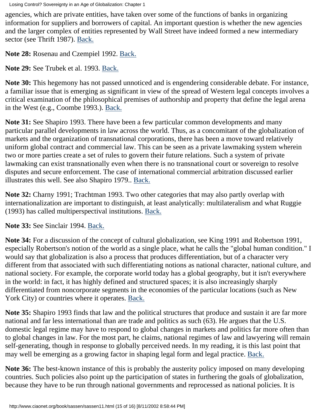agencies, which are private entities, have taken over some of the functions of banks in organizing information for suppliers and borrowers of capital. An important question is whether the new agencies and the larger complex of entities represented by Wall Street have indeed formed a new intermediary sector (see Thrift 1987). [Back.](#page-11-7)

<span id="page-20-0"></span>**Note 28:** Rosenau and Czempiel 1992. [Back.](#page-12-0)

<span id="page-20-1"></span>**Note 29:** See Trubek et al. 1993. [Back.](#page-12-1)

<span id="page-20-2"></span>**Note 30:** This hegemony has not passed unnoticed and is engendering considerable debate. For instance, a familiar issue that is emerging as significant in view of the spread of Western legal concepts involves a critical examination of the philosophical premises of authorship and property that define the legal arena in the West (e.g., Coombe 1993.). [Back.](#page-12-2)

<span id="page-20-3"></span>**Note 31:** See Shapiro 1993. There have been a few particular common developments and many particular parallel developments in law across the world. Thus, as a concomitant of the globalization of markets and the organization of transnational corporations, there has been a move toward relatively uniform global contract and commercial law. This can be seen as a private lawmaking system wherein two or more parties create a set of rules to govern their future relations. Such a system of private lawmaking can exist transnationally even when there is no transnational court or sovereign to resolve disputes and secure enforcement. The case of international commercial arbitration discussed earlier illustrates this well. See also Shapiro 1979.. [Back.](#page-12-3)

<span id="page-20-4"></span>**Note 32:** Charny 1991; Trachtman 1993. Two other categories that may also partly overlap with internationalization are important to distinguish, at least analytically: multilateralism and what Ruggie (1993) has called multiperspectival institutions. [Back.](#page-12-4)

<span id="page-20-5"></span>**Note 33:** See Sinclair 1994. [Back.](#page-12-5)

<span id="page-20-6"></span>**Note 34:** For a discussion of the concept of cultural globalization, see King 1991 and Robertson 1991, especially Robertson's notion of the world as a single place, what he calls the "global human condition." I would say that globalization is also a process that produces differentiation, but of a character very different from that associated with such differentiating notions as national character, national culture, and national society. For example, the corporate world today has a global geography, but it isn't everywhere in the world: in fact, it has highly defined and structured spaces; it is also increasingly sharply differentiated from noncorporate segments in the economies of the particular locations (such as New York City) or countries where it operates. [Back.](#page-12-6)

<span id="page-20-7"></span>**Note 35:** Shapiro 1993 finds that law and the political structures that produce and sustain it are far more national and far less international than are trade and politics as such (63). He argues that the U.S. domestic legal regime may have to respond to global changes in markets and politics far more often than to global changes in law. For the most part, he claims, national regimes of law and lawyering will remain self-generating, though in response to globally perceived needs. In my reading, it is this last point that may well be emerging as a growing factor in shaping legal form and legal practice. [Back.](#page-13-0)

<span id="page-20-8"></span>**Note 36:** The best-known instance of this is probably the austerity policy imposed on many developing countries. Such policies also point up the participation of states in furthering the goals of globalization, because they have to be run through national governments and reprocessed as national policies. It is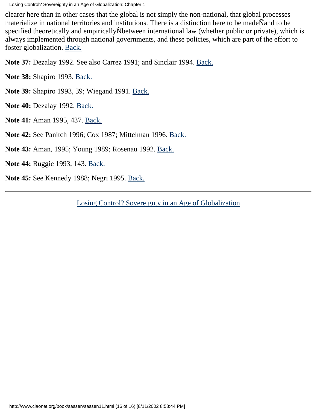clearer here than in other cases that the global is not simply the non-national, that global processes materialize in national territories and institutions. There is a distinction here to be madeÑand to be specified theoretically and empiricallyÑbetween international law (whether public or private), which is always implemented through national governments, and these policies, which are part of the effort to foster globalization. [Back.](#page-13-1)

<span id="page-21-0"></span>**Note 37:** Dezalay 1992. See also Carrez 1991; and Sinclair 1994. [Back.](#page-13-2)

<span id="page-21-1"></span>**Note 38:** Shapiro 1993. [Back.](#page-13-3)

<span id="page-21-2"></span>**Note 39:** Shapiro 1993, 39; Wiegand 1991. [Back.](#page-13-4)

<span id="page-21-3"></span>**Note 40:** Dezalay 1992. [Back.](#page-13-5)

<span id="page-21-4"></span>**Note 41:** Aman 1995, 437. [Back.](#page-14-0)

<span id="page-21-5"></span>**Note 42:** See Panitch 1996; Cox 1987; Mittelman 1996. [Back.](#page-15-0)

<span id="page-21-6"></span>**Note 43:** Aman, 1995; Young 1989; Rosenau 1992. [Back.](#page-15-1)

<span id="page-21-7"></span>**Note 44:** Ruggie 1993, 143. [Back.](#page-15-2)

<span id="page-21-8"></span>**Note 45:** See Kennedy 1988; Negri 1995. [Back.](#page-16-0)

[Losing Control? Sovereignty in an Age of Globalization](#page-0-0)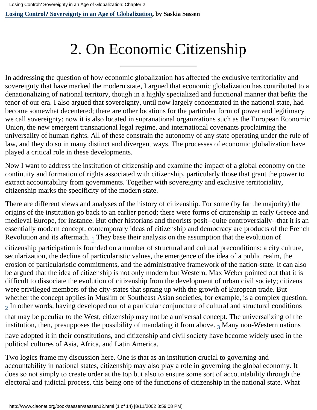<span id="page-22-0"></span>**[Losing Control? Sovereignty in an Age of Globalization](#page-0-0), by Saskia Sassen**

## 2. On Economic Citizenship

In addressing the question of how economic globalization has affected the exclusive territoriality and sovereignty that have marked the modern state, I argued that economic globalization has contributed to a denationalizing of national territory, though in a highly specialized and functional manner that befits the tenor of our era. I also argued that sovereignty, until now largely concentrated in the national state, had become somewhat decentered; there are other locations for the particular form of power and legitimacy we call sovereignty: now it is also located in supranational organizations such as the European Economic Union, the new emergent transnational legal regime, and international covenants proclaiming the universality of human rights. All of these constrain the autonomy of any state operating under the rule of law, and they do so in many distinct and divergent ways. The processes of economic globalization have played a critical role in these developments.

Now I want to address the institution of citizenship and examine the impact of a global economy on the continuity and formation of rights associated with citizenship, particularly those that grant the power to extract accountability from governments. Together with sovereignty and exclusive territoriality, citizenship marks the specificity of the modern state.

There are different views and analyses of the history of citizenship. For some (by far the majority) the origins of the institution go back to an earlier period; there were forms of citizenship in early Greece and medieval Europe, for instance. But other historians and theorists posit--quite controversially--that it is an essentially modern concept: contemporary ideas of citizenship and democracy are products of the French Revolution and its aftermath.  $_1$  $_1$  They base their analysis on the assumption that the evolution of

<span id="page-22-1"></span>citizenship participation is founded on a number of structural and cultural preconditions: a city culture, secularization, the decline of particularistic values, the emergence of the idea of a public realm, the erosion of particularistic commitments, and the administrative framework of the nation-state. It can also be argued that the idea of citizenship is not only modern but Western. Max Weber pointed out that it is difficult to dissociate the evolution of citizenship from the development of urban civil society; citizens were privileged members of the city-states that sprang up with the growth of European trade. But whether the concept applies in Muslim or Southeast Asian societies, for example, is a complex question.  $2$  In other words, having developed out of a particular conjuncture of cultural and structural conditions

<span id="page-22-3"></span><span id="page-22-2"></span>that may be peculiar to the West, citizenship may not be a universal concept. The universalizing of the institution, then, presupposes the possibility of mandating it from above.  $_3$  Many non-Western nations

have adopted it in their constitutions, and citizenship and civil society have become widely used in the political cultures of Asia, Africa, and Latin America.

Two logics frame my discussion here. One is that as an institution crucial to governing and accountability in national states, citizenship may also play a role in governing the global economy. It does so not simply to create order at the top but also to ensure some sort of accountability through the electoral and judicial process, this being one of the functions of citizenship in the national state. What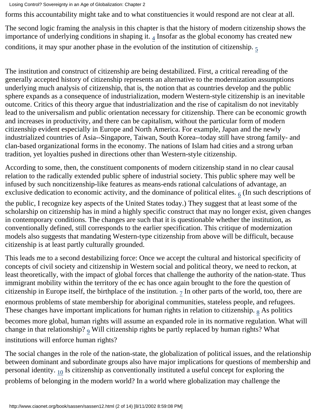Losing Control? Sovereignty in an Age of Globalization: Chapter 2

forms this accountability might take and to what constituencies it would respond are not clear at all.

<span id="page-23-1"></span><span id="page-23-0"></span>The second logic framing the analysis in this chapter is that the history of modern citizenship shows the importance of underlying conditions in shaping it.  $_4$  $_4$  Insofar as the global economy has created new conditions, it may spur another phase in the evolution of the institution of citizenship.  $5$ 

The institution and construct of citizenship are being destabilized. First, a critical rereading of the generally accepted history of citizenship represents an alternative to the modernization assumptions underlying much analysis of citizenship, that is, the notion that as countries develop and the public sphere expands as a consequence of industrialization, modern Western-style citizenship is an inevitable outcome. Critics of this theory argue that industrialization and the rise of capitalism do not inevitably lead to the universalism and public orientation necessary for citizenship. There can be economic growth and increases in productivity, and there can be capitalism, without the particular form of modern citizenship evident especially in Europe and North America. For example, Japan and the newly industrialized countries of Asia--Singapore, Taiwan, South Korea--today still have strong family- and clan-based organizational forms in the economy. The nations of Islam had cities and a strong urban tradition, yet loyalties pushed in directions other than Western-style citizenship.

<span id="page-23-2"></span>According to some, then, the constituent components of modern citizenship stand in no clear causal relation to the radically extended public sphere of industrial society. This public sphere may well be infused by such noncitizenship-like features as means-ends rational calculations of advantage, an exclusive dedication to economic activity, and the dominance of political elites.  $6 \times 6$  $6 \times 6$  (In such descriptions of the public, I recognize key aspects of the United States today.) They suggest that at least some of the scholarship on citizenship has in mind a highly specific construct that may no longer exist, given changes in contemporary conditions. The changes are such that it is questionable whether the institution, as conventionally defined, still corresponds to the earlier specification. This critique of modernization models also suggests that mandating Western-type citizenship from above will be difficult, because citizenship is at least partly culturally grounded.

<span id="page-23-3"></span>This leads me to a second destabilizing force: Once we accept the cultural and historical specificity of concepts of civil society and citizenship in Western social and political theory, we need to reckon, at least theoretically, with the impact of global forces that challenge the authority of the nation-state. Thus immigrant mobility within the territory of the ec has once again brought to the fore the question of citizenship in Europe itself, the birthplace of the institution.  $_7$  In other parts of the world, too, there are enormous problems of state membership for aboriginal communities, stateless people, and refugees. These changes have important implications for human rights in relation to citizenship.  $_8$  $_8$  As politics becomes more global, human rights will assume an expanded role in its normative regulation. What will change in that relationship? [9](#page-33-8) Will citizenship rights be partly replaced by human rights? What institutions will enforce human rights?

<span id="page-23-6"></span><span id="page-23-5"></span><span id="page-23-4"></span>The social changes in the role of the nation-state, the globalization of political issues, and the relationship between dominant and subordinate groups also have major implications for questions of membership and personal identity.  $_{10}$  Is citizenship as conventionally instituted a useful concept for exploring the problems of belonging in the modern world? In a world where globalization may challenge the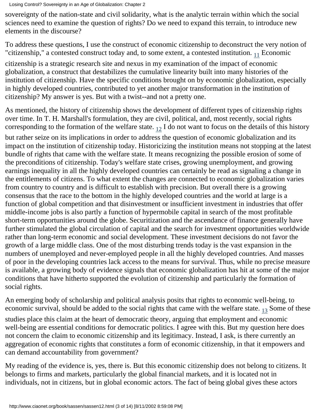sovereignty of the nation-state and civil solidarity, what is the analytic terrain within which the social sciences need to examine the question of rights? Do we need to expand this terrain, to introduce new elements in the discourse?

<span id="page-24-0"></span>To address these questions, I use the construct of economic citizenship to deconstruct the very notion of "citizenship," a contested construct today and, to some extent, a contested institution.  $_{11}$  Economic

citizenship is a strategic research site and nexus in my examination of the impact of economic globalization, a construct that destabilizes the cumulative linearity built into many histories of the institution of citizenship. Have the specific conditions brought on by economic globalization, especially in highly developed countries, contributed to yet another major transformation in the institution of citizenship? My answer is yes. But with a twist--and not a pretty one.

<span id="page-24-1"></span>As mentioned, the history of citizenship shows the development of different types of citizenship rights over time. In T. H. Marshall's formulation, they are civil, political, and, most recently, social rights corresponding to the formation of the welfare state.  $_{12}$  I do not want to focus on the details of this history but rather seize on its implications in order to address the question of economic globalization and its impact on the institution of citizenship today. Historicizing the institution means not stopping at the latest bundle of rights that came with the welfare state. It means recognizing the possible erosion of some of the preconditions of citizenship. Today's welfare state crises, growing unemployment, and growing earnings inequality in all the highly developed countries can certainly be read as signaling a change in the entitlements of citizens. To what extent the changes are connected to economic globalization varies from country to country and is difficult to establish with precision. But overall there is a growing consensus that the race to the bottom in the highly developed countries and the world at large is a function of global competition and that disinvestment or insufficient investment in industries that offer middle-income jobs is also partly a function of hypermobile capital in search of the most profitable short-term opportunities around the globe. Securitization and the ascendance of finance generally have further stimulated the global circulation of capital and the search for investment opportunities worldwide rather than long-term economic and social development. These investment decisions do not favor the growth of a large middle class. One of the most disturbing trends today is the vast expansion in the numbers of unemployed and never-employed people in all the highly developed countries. And masses of poor in the developing countries lack access to the means for survival. Thus, while no precise measure is available, a growing body of evidence signals that economic globalization has hit at some of the major conditions that have hitherto supported the evolution of citizenship and particularly the formation of social rights.

An emerging body of scholarship and political analysis posits that rights to economic well-being, to economic survival, should be added to the social rights that came with the welfare state.  $_{13}$  Some of these

<span id="page-24-2"></span>studies place this claim at the heart of democratic theory, arguing that employment and economic well-being are essential conditions for democratic politics. I agree with this. But my question here does not concern the claim to economic citizenship and its legitimacy. Instead, I ask, is there currently an aggregation of economic rights that constitutes a form of economic citizenship, in that it empowers and can demand accountability from government?

My reading of the evidence is, yes, there is. But this economic citizenship does not belong to citizens. It belongs to firms and markets, particularly the global financial markets, and it is located not in individuals, not in citizens, but in global economic actors. The fact of being global gives these actors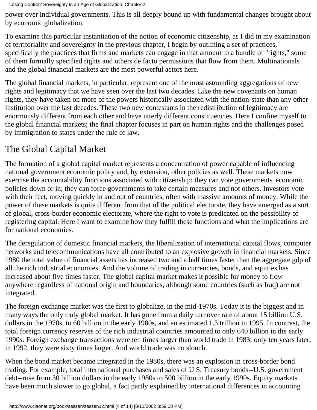power over individual governments. This is all deeply bound up with fundamental changes brought about by economic globalization.

To examine this particular instantiation of the notion of economic citizenship, as I did in my examination of territoriality and sovereignty in the previous chapter, I begin by outlining a set of practices, specifically the practices that firms and markets can engage in that amount to a bundle of "rights," some of them formally specified rights and others de facto permissions that flow from them. Multinationals and the global financial markets are the most powerful actors here.

The global financial markets, in particular, represent one of the most astounding aggregations of new rights and legitimacy that we have seen over the last two decades. Like the new covenants on human rights, they have taken on more of the powers historically associated with the nation-state than any other institution over the last decades. These two new contestants in the redistribution of legitimacy are enormously different from each other and have utterly different constituencies. Here I confine myself to the global financial markets; the final chapter focuses in part on human rights and the challenges posed by immigration to states under the rule of law.

## The Global Capital Market

The formation of a global capital market represents a concentration of power capable of influencing national government economic policy and, by extension, other policies as well. These markets now exercise the accountability functions associated with citizenship: they can vote governments' economic policies down or in; they can force governments to take certain measures and not others. Investors vote with their feet, moving quickly in and out of countries, often with massive amounts of money. While the power of these markets is quite different from that of the political electorate, they have emerged as a sort of global, cross-border economic electorate, where the right to vote is predicated on the possibility of registering capital. Here I want to examine how they fulfill these functions and what the implications are for national economies.

The deregulation of domestic financial markets, the liberalization of international capital flows, computer networks and telecommunications have all contributed to an explosive growth in financial markets. Since 1980 the total value of financial assets has increased two and a half times faster than the aggregate gdp of all the rich industrial economies. And the volume of trading in currencies, bonds, and equities has increased about five times faster. The global capital market makes it possible for money to flow anywhere regardless of national origin and boundaries, although some countries (such as Iraq) are not integrated.

The foreign exchange market was the first to globalize, in the mid-1970s. Today it is the biggest and in many ways the only truly global market. It has gone from a daily turnover rate of about 15 billion U.S. dollars in the 1970s, to 60 billion in the early 1980s, and an estimated 1.3 trillion in 1995. In contrast, the total foreign currency reserves of the rich industrial countries amounted to only 640 billion in the early 1990s. Foreign exchange transactions were ten times larger than world trade in 1983; only ten years later, in 1992, they were sixty times larger. And world trade was no slouch.

When the bond market became integrated in the 1980s, there was an explosion in cross-border bond trading. For example, total international purchases and sales of U.S. Treasury bonds--U.S. government debt--rose from 30 billion dollars in the early 1980s to 500 billion in the early 1990s. Equity markets have been much slower to go global, a fact partly explained by international differences in accounting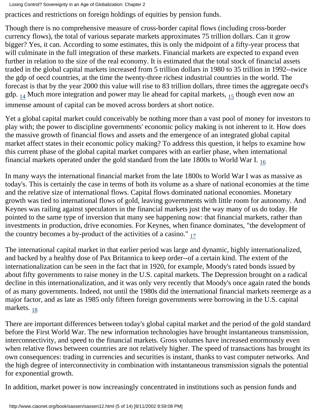practices and restrictions on foreign holdings of equities by pension funds.

Though there is no comprehensive measure of cross-border capital flows (including cross-border currency flows), the total of various separate markets approximates 75 trillion dollars. Can it grow bigger? Yes, it can. According to some estimates, this is only the midpoint of a fifty-year process that will culminate in the full integration of these markets. Financial markets are expected to expand even further in relation to the size of the real economy. It is estimated that the total stock of financial assets traded in the global capital markets increased from 5 trillion dollars in 1980 to 35 trillion in 1992--twice the gdp of oecd countries, at the time the twenty-three richest industrial countries in the world. The forecast is that by the year 2000 this value will rise to 83 trillion dollars, three times the aggregate oecd's gdp.  $_{14}$  $_{14}$  $_{14}$  Much more integration and power may lie ahead for capital markets,  $_{15}$  though even now an

<span id="page-26-0"></span>immense amount of capital can be moved across borders at short notice.

Yet a global capital market could conceivably be nothing more than a vast pool of money for investors to play with; the power to discipline governments' economic policy making is not inherent to it. How does the massive growth of financial flows and assets and the emergence of an integrated global capital market affect states in their economic policy making? To address this question, it helps to examine how this current phase of the global capital market compares with an earlier phase, when international financial markets operated under the gold standard from the late 1800s to World War I. [16](#page-34-1)

<span id="page-26-1"></span>In many ways the international financial market from the late 1800s to World War I was as massive as today's. This is certainly the case in terms of both its volume as a share of national economies at the time and the relative size of international flows. Capital flows dominated national economies. Monetary growth was tied to international flows of gold, leaving governments with little room for autonomy. And Keynes was railing against speculators in the financial markets just the way many of us do today. He pointed to the same type of inversion that many see happening now: that financial markets, rather than investments in production, drive economies. For Keynes, when finance dominates, "the development of the country becomes a by-product of the activities of a casino." $_{17}$ 

<span id="page-26-2"></span>The international capital market in that earlier period was large and dynamic, highly internationalized, and backed by a healthy dose of Pax Britannica to keep order--of a certain kind. The extent of the internationalization can be seen in the fact that in 1920, for example, Moody's rated bonds issued by about fifty governments to raise money in the U.S. capital markets. The Depression brought on a radical decline in this internationalization, and it was only very recently that Moody's once again rated the bonds of as many governments. Indeed, not until the 1980s did the international financial markets reemerge as a major factor, and as late as 1985 only fifteen foreign governments were borrowing in the U.S. capital markets. [18](#page-34-3)

<span id="page-26-3"></span>There are important differences between today's global capital market and the period of the gold standard before the First World War. The new information technologies have brought instantaneous transmission, interconnectivity, and speed to the financial markets. Gross volumes have increased enormously even when relative flows between countries are not relatively higher. The speed of transactions has brought its own consequences: trading in currencies and securities is instant, thanks to vast computer networks. And the high degree of interconnectivity in combination with instantaneous transmission signals the potential for exponential growth.

In addition, market power is now increasingly concentrated in institutions such as pension funds and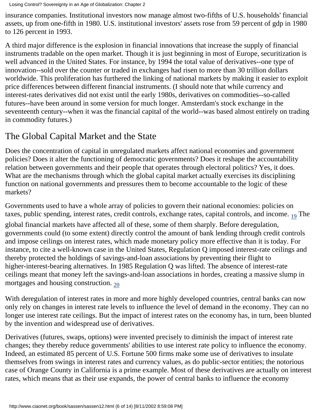insurance companies. Institutional investors now manage almost two-fifths of U.S. households' financial assets, up from one-fifth in 1980. U.S. institutional investors' assets rose from 59 percent of gdp in 1980 to 126 percent in 1993.

A third major difference is the explosion in financial innovations that increase the supply of financial instruments tradable on the open market. Though it is just beginning in most of Europe, securitization is well advanced in the United States. For instance, by 1994 the total value of derivatives--one type of innovation--sold over the counter or traded in exchanges had risen to more than 30 trillion dollars worldwide. This proliferation has furthered the linking of national markets by making it easier to exploit price differences between different financial instruments. (I should note that while currency and interest-rates derivatives did not exist until the early 1980s, derivatives on commodities--so-called futures--have been around in some version for much longer. Amsterdam's stock exchange in the seventeenth century--when it was the financial capital of the world--was based almost entirely on trading in commodity futures.)

### The Global Capital Market and the State

Does the concentration of capital in unregulated markets affect national economies and government policies? Does it alter the functioning of democratic governments? Does it reshape the accountability relation between governments and their people that operates through electoral politics? Yes, it does. What are the mechanisms through which the global capital market actually exercises its disciplining function on national governments and pressures them to become accountable to the logic of these markets?

<span id="page-27-0"></span>Governments used to have a whole array of policies to govern their national economies: policies on taxes, public spending, interest rates, credit controls, exchange rates, capital controls, and income. <sub>19</sub> The

global financial markets have affected all of these, some of them sharply. Before deregulation, governments could (to some extent) directly control the amount of bank lending through credit controls and impose ceilings on interest rates, which made monetary policy more effective than it is today. For instance, to cite a well-known case in the United States, Regulation Q imposed interest-rate ceilings and thereby protected the holdings of savings-and-loan associations by preventing their flight to higher-interest-bearing alternatives. In 1985 Regulation Q was lifted. The absence of interest-rate ceilings meant that money left the savings-and-loan associations in hordes, creating a massive slump in mortgages and housing construction.  $_{20}$  $_{20}$  $_{20}$ 

<span id="page-27-1"></span>With deregulation of interest rates in more and more highly developed countries, central banks can now only rely on changes in interest rate levels to influence the level of demand in the economy. They can no longer use interest rate ceilings. But the impact of interest rates on the economy has, in turn, been blunted by the invention and widespread use of derivatives.

Derivatives (futures, swaps, options) were invented precisely to diminish the impact of interest rate changes; they thereby reduce governments' abilities to use interest rate policy to influence the economy. Indeed, an estimated 85 percent of U.S. Fortune 500 firms make some use of derivatives to insulate themselves from swings in interest rates and currency values, as do public-sector entities; the notorious case of Orange County in California is a prime example. Most of these derivatives are actually on interest rates, which means that as their use expands, the power of central banks to influence the economy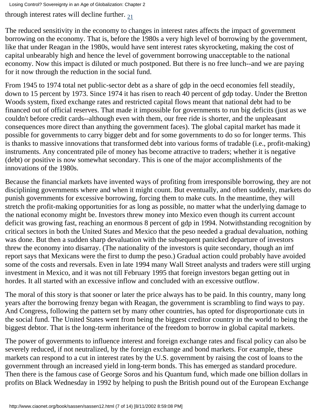<span id="page-28-0"></span>through interest rates will decline further.  $21$ 

The reduced sensitivity in the economy to changes in interest rates affects the impact of government borrowing on the economy. That is, before the 1980s a very high level of borrowing by the government, like that under Reagan in the 1980s, would have sent interest rates skyrocketing, making the cost of capital unbearably high and hence the level of government borrowing unacceptable to the national economy. Now this impact is diluted or much postponed. But there is no free lunch--and we are paying for it now through the reduction in the social fund.

From 1945 to 1974 total net public-sector debt as a share of gdp in the oecd economies fell steadily, down to 15 percent by 1973. Since 1974 it has risen to reach 40 percent of gdp today. Under the Bretton Woods system, fixed exchange rates and restricted capital flows meant that national debt had to be financed out of official reserves. That made it impossible for governments to run big deficits (just as we couldn't before credit cards--although even with them, our free ride is shorter, and the unpleasant consequences more direct than anything the government faces). The global capital market has made it possible for governments to carry bigger debt and for some governments to do so for longer terms. This is thanks to massive innovations that transformed debt into various forms of tradable (i.e., profit-making) instruments. Any concentrated pile of money has become attractive to traders; whether it is negative (debt) or positive is now somewhat secondary. This is one of the major accomplishments of the innovations of the 1980s.

Because the financial markets have invented ways of profiting from irresponsible borrowing, they are not disciplining governments where and when it might count. But eventually, and often suddenly, markets do punish governments for excessive borrowing, forcing them to make cuts. In the meantime, they will stretch the profit-making opportunities for as long as possible, no matter what the underlying damage to the national economy might be. Investors threw money into Mexico even though its current account deficit was growing fast, reaching an enormous 8 percent of gdp in 1994. Notwithstanding recognition by critical sectors in both the United States and Mexico that the peso needed a gradual devaluation, nothing was done. But then a sudden sharp devaluation with the subsequent panicked departure of investors threw the economy into disarray. (The nationality of the investors is quite secondary, though an imf report says that Mexicans were the first to dump the peso.) Gradual action could probably have avoided some of the costs and reversals. Even in late 1994 many Wall Street analysts and traders were still urging investment in Mexico, and it was not till February 1995 that foreign investors began getting out in hordes. It all started with an excessive inflow and concluded with an excessive outflow.

The moral of this story is that sooner or later the price always has to be paid. In this country, many long years after the borrowing frenzy began with Reagan, the government is scrambling to find ways to pay. And Congress, following the pattern set by many other countries, has opted for disproportionate cuts in the social fund. The United States went from being the biggest creditor country in the world to being the biggest debtor. That is the long-term inheritance of the freedom to borrow in global capital markets.

The power of governments to influence interest and foreign exchange rates and fiscal policy can also be severely reduced, if not neutralized, by the foreign exchange and bond markets. For example, these markets can respond to a cut in interest rates by the U.S. government by raising the cost of loans to the government through an increased yield in long-term bonds. This has emerged as standard procedure. Then there is the famous case of George Soros and his Quantum fund, which made one billion dollars in profits on Black Wednesday in 1992 by helping to push the British pound out of the European Exchange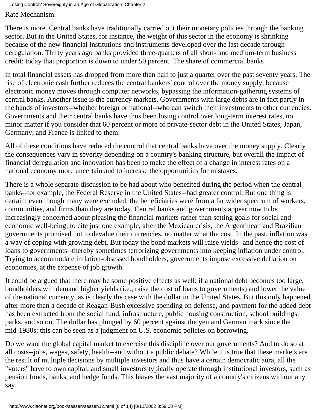Rate Mechanism.

There is more. Central banks have traditionally carried out their monetary policies through the banking sector. But in the United States, for instance, the weight of this sector in the economy is shrinking because of the new financial institutions and instruments developed over the last decade through deregulation. Thirty years ago banks provided three-quarters of all short- and medium-term business credit; today that proportion is down to under 50 percent. The share of commercial banks

in total financial assets has dropped from more than half to just a quarter over the past seventy years. The rise of electronic cash further reduces the central bankers' control over the money supply, because electronic money moves through computer networks, bypassing the information-gathering systems of central banks. Another issue is the currency markets. Governments with large debts are in fact partly in the hands of investors--whether foreign or national--who can switch their investments to other currencies. Governments and their central banks have thus been losing control over long-term interest rates, no minor matter if you consider that 60 percent or more of private-sector debt in the United States, Japan, Germany, and France is linked to them.

All of these conditions have reduced the control that central banks have over the money supply. Clearly the consequences vary in severity depending on a country's banking structure, but overall the impact of financial deregulation and innovation has been to make the effect of a change in interest rates on a national economy more uncertain and to increase the opportunities for mistakes.

There is a whole separate discussion to be had about who benefited during the period when the central banks--for example, the Federal Reserve in the United States--had greater control. But one thing is certain: even though many were excluded, the beneficiaries were from a far wider spectrum of workers, communities, and firms than they are today. Central banks and governments appear now to be increasingly concerned about pleasing the financial markets rather than setting goals for social and economic well-being; to cite just one example, after the Mexican crisis, the Argentinean and Brazilian governments promised not to devalue their currencies, no matter what the cost. In the past, inflation was a way of coping with growing debt. But today the bond markets will raise yields--and hence the cost of loans to governments--thereby sometimes terrorizing governments into keeping inflation under control. Trying to accommodate inflation-obsessed bondholders, governments impose excessive deflation on economies, at the expense of job growth.

It could be argued that there may be some positive effects as well: if a national debt becomes too large, bondholders will demand higher yields (i.e., raise the cost of loans to governments) and lower the value of the national currency, as is clearly the case with the dollar in the United States. But this only happened after more than a decade of Reagan-Bush excessive spending on defense, and payment for the added debt has been extracted from the social fund, infrastructure, public housing construction, school buildings, parks, and so on. The dollar has plunged by 60 percent against the yen and German mark since the mid-1980s; this can be seen as a judgment on U.S. economic policies on borrowing.

Do we want the global capital market to exercise this discipline over our governments? And to do so at all costs--jobs, wages, safety, health--and without a public debate? While it is true that these markets are the result of multiple decisions by multiple investors and thus have a certain democratic aura, all the "voters" have to own capital, and small investors typically operate through institutional investors, such as pension funds, banks, and hedge funds. This leaves the vast majority of a country's citizens without any say.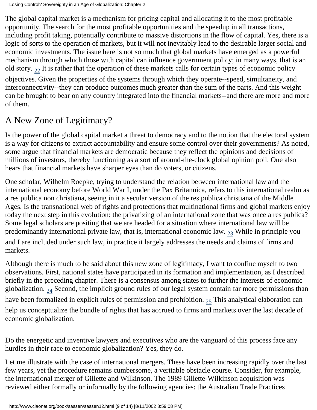The global capital market is a mechanism for pricing capital and allocating it to the most profitable opportunity. The search for the most profitable opportunities and the speedup in all transactions, including profit taking, potentially contribute to massive distortions in the flow of capital. Yes, there is a logic of sorts to the operation of markets, but it will not inevitably lead to the desirable larger social and economic investments. The issue here is not so much that global markets have emerged as a powerful mechanism through which those with capital can influence government policy; in many ways, that is an old story.  $_{22}$  It is rather that the operation of these markets calls for certain types of economic policy

<span id="page-30-0"></span>objectives. Given the properties of the systems through which they operate--speed, simultaneity, and interconnectivity--they can produce outcomes much greater than the sum of the parts. And this weight can be brought to bear on any country integrated into the financial markets--and there are more and more of them.

## A New Zone of Legitimacy?

Is the power of the global capital market a threat to democracy and to the notion that the electoral system is a way for citizens to extract accountability and ensure some control over their governments? As noted, some argue that financial markets are democratic because they reflect the opinions and decisions of millions of investors, thereby functioning as a sort of around-the-clock global opinion poll. One also hears that financial markets have sharper eyes than do voters, or citizens.

One scholar, Wilhelm Roepke, trying to understand the relation between international law and the international economy before World War I, under the Pax Britannica, refers to this international realm as a res publica non christiana, seeing in it a secular version of the res publica christiana of the Middle Ages. Is the transnational web of rights and protections that multinational firms and global markets enjoy today the next step in this evolution: the privatizing of an international zone that was once a res publica? Some legal scholars are positing that we are headed for a situation where international law will be predominantly international private law, that is, international economic law.  $_{23}$  While in principle you

<span id="page-30-1"></span>and I are included under such law, in practice it largely addresses the needs and claims of firms and markets.

<span id="page-30-3"></span><span id="page-30-2"></span>Although there is much to be said about this new zone of legitimacy, I want to confine myself to two observations. First, national states have participated in its formation and implementation, as I described briefly in the preceding chapter. There is a consensus among states to further the interests of economic globalization.  $_{24}$  Second, the implicit ground rules of our legal system contain far more permissions than have been formalized in explicit rules of permission and prohibition.  $_{25}$  This analytical elaboration can help us conceptualize the bundle of rights that has accrued to firms and markets over the last decade of economic globalization.

Do the energetic and inventive lawyers and executives who are the vanguard of this process face any hurdles in their race to economic globalization? Yes, they do.

Let me illustrate with the case of international mergers. These have been increasing rapidly over the last few years, yet the procedure remains cumbersome, a veritable obstacle course. Consider, for example, the international merger of Gillette and Wilkinson. The 1989 Gillette-Wilkinson acquisition was reviewed either formally or informally by the following agencies: the Australian Trade Practices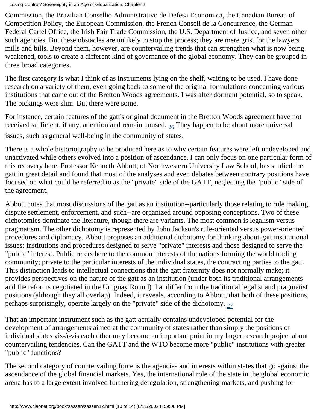Commission, the Brazilian Conselho Administrativo de Defesa Economica, the Canadian Bureau of Competition Policy, the European Commission, the French Conseil de la Concurrence, the German Federal Cartel Office, the Irish Fair Trade Commission, the U.S. Department of Justice, and seven other such agencies. But these obstacles are unlikely to stop the process; they are mere grist for the lawyers' mills and bills. Beyond them, however, are countervailing trends that can strengthen what is now being weakened, tools to create a different kind of governance of the global economy. They can be grouped in three broad categories.

The first category is what I think of as instruments lying on the shelf, waiting to be used. I have done research on a variety of them, even going back to some of the original formulations concerning various institutions that came out of the Bretton Woods agreements. I was after dormant potential, so to speak. The pickings were slim. But there were some.

<span id="page-31-0"></span>For instance, certain features of the gatt's original document in the Bretton Woods agreement have not received sufficient, if any, attention and remain unused.  $_{26}$  They happen to be about more universal issues, such as general well-being in the community of states.

There is a whole historiography to be produced here as to why certain features were left undeveloped and unactivated while others evolved into a position of ascendance. I can only focus on one particular form of this recovery here. Professor Kenneth Abbott, of Northwestern University Law School, has studied the gatt in great detail and found that most of the analyses and even debates between contrary positions have focused on what could be referred to as the "private" side of the GATT, neglecting the "public" side of the agreement.

Abbott notes that most discussions of the gatt as an institution--particularly those relating to rule making, dispute settlement, enforcement, and such--are organized around opposing conceptions. Two of these dichotomies dominate the literature, though there are variants. The most common is legalism versus pragmatism. The other dichotomy is represented by John Jackson's rule-oriented versus power-oriented procedures and diplomacy. Abbott proposes an additional dichotomy for thinking about gatt institutional issues: institutions and procedures designed to serve "private" interests and those designed to serve the "public" interest. Public refers here to the common interests of the nations forming the world trading community; private to the particular interests of the individual states, the contracting parties to the gatt. This distinction leads to intellectual connections that the gatt fraternity does not normally make; it provides perspectives on the nature of the gatt as an institution (under both its traditional arrangements and the reforms negotiated in the Uruguay Round) that differ from the traditional legalist and pragmatist positions (although they all overlap). Indeed, it reveals, according to Abbott, that both of these positions, perhaps surprisingly, operate largely on the "private" side of the dichotomy.  $_{27}$  $_{27}$  $_{27}$ 

<span id="page-31-1"></span>That an important instrument such as the gatt actually contains undeveloped potential for the development of arrangements aimed at the community of states rather than simply the positions of individual states vis-à-vis each other may become an important point in my larger research project about countervailing tendencies. Can the GATT and the WTO become more "public" institutions with greater "public" functions?

The second category of countervailing force is the agencies and interests within states that go against the ascendance of the global financial markets. Yes, the international role of the state in the global economic arena has to a large extent involved furthering deregulation, strengthening markets, and pushing for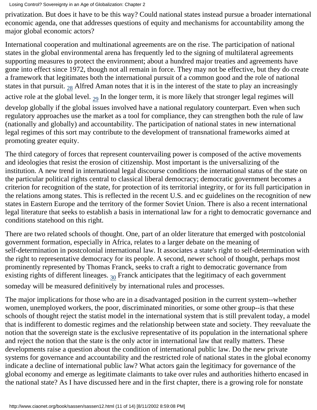privatization. But does it have to be this way? Could national states instead pursue a broader international economic agenda, one that addresses questions of equity and mechanisms for accountability among the major global economic actors?

<span id="page-32-1"></span><span id="page-32-0"></span>International cooperation and multinational agreements are on the rise. The participation of national states in the global environmental arena has frequently led to the signing of multilateral agreements supporting measures to protect the environment; about a hundred major treaties and agreements have gone into effect since 1972, though not all remain in force. They may not be effective, but they do create a framework that legitimates both the international pursuit of a common good and the role of national states in that pursuit.  $_{28}$  Alfred Aman notes that it is in the interest of the state to play an increasingly active role at the global level.  $_{29}$  In the longer term, it is more likely that stronger legal regimes will develop globally if the global issues involved have a national regulatory counterpart. Even when such regulatory approaches use the market as a tool for compliance, they can strengthen both the rule of law (nationally and globally) and accountability. The participation of national states in new international legal regimes of this sort may contribute to the development of transnational frameworks aimed at promoting greater equity.

The third category of forces that represent countervailing power is composed of the active movements and ideologies that resist the erosion of citizenship. Most important is the universalizing of the institution. A new trend in international legal discourse conditions the international status of the state on the particular political rights central to classical liberal democracy; democratic government becomes a criterion for recognition of the state, for protection of its territorial integrity, or for its full participation in the relations among states. This is reflected in the recent U.S. and ec guidelines on the recognition of new states in Eastern Europe and the territory of the former Soviet Union. There is also a recent international legal literature that seeks to establish a basis in international law for a right to democratic governance and conditions statehood on this right.

There are two related schools of thought. One, part of an older literature that emerged with postcolonial government formation, especially in Africa, relates to a larger debate on the meaning of self-determination in postcolonial international law. It associates a state's right to self-determination with the right to representative democracy for its people. A second, newer school of thought, perhaps most prominently represented by Thomas Franck, seeks to craft a right to democratic governance from existing rights of different lineages.  $_{30}$  $_{30}$  $_{30}$  Franck anticipates that the legitimacy of each government someday will be measured definitively by international rules and processes.

<span id="page-32-2"></span>The major implications for those who are in a disadvantaged position in the current system--whether women, unemployed workers, the poor, discriminated minorities, or some other group--is that these schools of thought reject the statist model in the international system that is still prevalent today, a model that is indifferent to domestic regimes and the relationship between state and society. They reevaluate the notion that the sovereign state is the exclusive representative of its population in the international sphere and reject the notion that the state is the only actor in international law that really matters. These developments raise a question about the condition of international public law. Do the new private systems for governance and accountability and the restricted role of national states in the global economy indicate a decline of international public law? What actors gain the legitimacy for governance of the global economy and emerge as legitimate claimants to take over rules and authorities hitherto encased in the national state? As I have discussed here and in the first chapter, there is a growing role for nonstate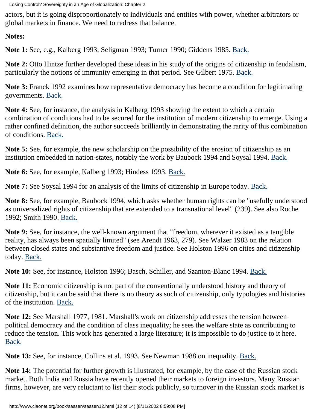actors, but it is going disproportionately to individuals and entities with power, whether arbitrators or global markets in finance. We need to redress that balance.

**Notes:**

<span id="page-33-0"></span>**Note 1:** See, e.g., Kalberg 1993; Seligman 1993; Turner 1990; Giddens 1985. [Back.](#page-22-1)

<span id="page-33-1"></span>**Note 2:** Otto Hintze further developed these ideas in his study of the origins of citizenship in feudalism, particularly the notions of immunity emerging in that period. See Gilbert 1975. [Back.](#page-22-2)

<span id="page-33-2"></span>**Note 3:** Franck 1992 examines how representative democracy has become a condition for legitimating governments. [Back.](#page-22-3)

<span id="page-33-3"></span>**Note 4:** See, for instance, the analysis in Kalberg 1993 showing the extent to which a certain combination of conditions had to be secured for the institution of modern citizenship to emerge. Using a rather confined definition, the author succeeds brilliantly in demonstrating the rarity of this combination of conditions. [Back.](#page-23-0)

<span id="page-33-4"></span>**Note 5:** See, for example, the new scholarship on the possibility of the erosion of citizenship as an institution embedded in nation-states, notably the work by Baubock 1994 and Soysal 1994. [Back.](#page-23-1)

<span id="page-33-5"></span>**Note 6:** See, for example, Kalberg 1993; Hindess 1993. [Back.](#page-23-2)

<span id="page-33-6"></span>**Note 7:** See Soysal 1994 for an analysis of the limits of citizenship in Europe today. [Back.](#page-23-3)

<span id="page-33-7"></span>**Note 8:** See, for example, Baubock 1994, which asks whether human rights can be "usefully understood as universalized rights of citizenship that are extended to a transnational level" (239). See also Roche 1992; Smith 1990. [Back.](#page-23-4)

<span id="page-33-8"></span>**Note 9:** See, for instance, the well-known argument that "freedom, wherever it existed as a tangible reality, has always been spatially limited" (see Arendt 1963, 279). See Walzer 1983 on the relation between closed states and substantive freedom and justice. See Holston 1996 on cities and citizenship today. [Back.](#page-23-5)

<span id="page-33-9"></span>**Note 10:** See, for instance, Holston 1996; Basch, Schiller, and Szanton-Blanc 1994. [Back.](#page-23-6)

<span id="page-33-10"></span>**Note 11:** Economic citizenship is not part of the conventionally understood history and theory of citizenship, but it can be said that there is no theory as such of citizenship, only typologies and histories of the institution. [Back.](#page-24-0)

<span id="page-33-11"></span>**Note 12:** See Marshall 1977, 1981. Marshall's work on citizenship addresses the tension between political democracy and the condition of class inequality; he sees the welfare state as contributing to reduce the tension. This work has generated a large literature; it is impossible to do justice to it here. [Back.](#page-24-1)

<span id="page-33-12"></span>**Note 13:** See, for instance, Collins et al. 1993. See Newman 1988 on inequality. [Back.](#page-24-2)

<span id="page-33-13"></span>**Note 14:** The potential for further growth is illustrated, for example, by the case of the Russian stock market. Both India and Russia have recently opened their markets to foreign investors. Many Russian firms, however, are very reluctant to list their stock publicly, so turnover in the Russian stock market is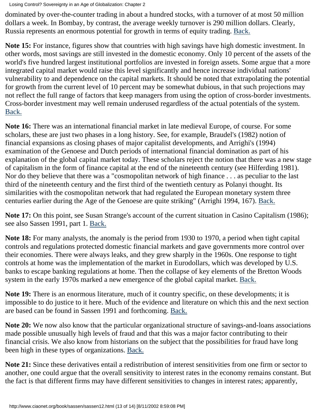Losing Control? Sovereignty in an Age of Globalization: Chapter 2

dominated by over-the-counter trading in about a hundred stocks, with a turnover of at most 50 million dollars a week. In Bombay, by contrast, the average weekly turnover is 290 million dollars. Clearly, Russia represents an enormous potential for growth in terms of equity trading. [Back.](#page-26-0)

<span id="page-34-0"></span>**Note 15:** For instance, figures show that countries with high savings have high domestic investment. In other words, most savings are still invested in the domestic economy. Only 10 percent of the assets of the world's five hundred largest institutional portfolios are invested in foreign assets. Some argue that a more integrated capital market would raise this level significantly and hence increase individual nations' vulnerability to and dependence on the capital markets. It should be noted that extrapolating the potential for growth from the current level of 10 percent may be somewhat dubious, in that such projections may not reflect the full range of factors that keep managers from using the option of cross-border investments. Cross-border investment may well remain underused regardless of the actual potentials of the system. [Back.](#page-26-0)

<span id="page-34-1"></span>**Note 16:** There was an international financial market in late medieval Europe, of course. For some scholars, these are just two phases in a long history. See, for example, Braudel's (1982) notion of financial expansions as closing phases of major capitalist developments, and Arrighi's (1994) examination of the Genoese and Dutch periods of international financial domination as part of his explanation of the global capital market today. These scholars reject the notion that there was a new stage of capitalism in the form of finance capital at the end of the nineteenth century (see Hilferding 1981). Nor do they believe that there was a "cosmopolitan network of high finance . . . as peculiar to the last third of the nineteenth century and the first third of the twentieth century as Polanyi thought. Its similarities with the cosmopolitan network that had regulated the European monetary system three centuries earlier during the Age of the Genoese are quite striking" (Arrighi 1994, 167). [Back.](#page-26-1)

<span id="page-34-2"></span>**Note 17:** On this point, see Susan Strange's account of the current situation in Casino Capitalism (1986); see also Sassen 1991, part 1. [Back.](#page-26-2)

<span id="page-34-3"></span>**Note 18:** For many analysts, the anomaly is the period from 1930 to 1970, a period when tight capital controls and regulations protected domestic financial markets and gave governments more control over their economies. There were always leaks, and they grew sharply in the 1960s. One response to tight controls at home was the implementation of the market in Eurodollars, which was developed by U.S. banks to escape banking regulations at home. Then the collapse of key elements of the Bretton Woods system in the early 1970s marked a new emergence of the global capital market. [Back.](#page-26-3)

<span id="page-34-4"></span>**Note 19:** There is an enormous literature, much of it country specific, on these developments; it is impossible to do justice to it here. Much of the evidence and literature on which this and the next section are based can be found in Sassen 1991 and forthcoming. [Back.](#page-27-0)

<span id="page-34-5"></span>**Note 20:** We now also know that the particular organizational structure of savings-and-loans associations made possible unusually high levels of fraud and that this was a major factor contributing to their financial crisis. We also know from historians on the subject that the possibilities for fraud have long been high in these types of organizations. [Back.](#page-27-1)

<span id="page-34-6"></span>**Note 21:** Since these derivatives entail a redistribution of interest sensitivities from one firm or sector to another, one could argue that the overall sensitivity to interest rates in the economy remains constant. But the fact is that different firms may have different sensitivities to changes in interest rates; apparently,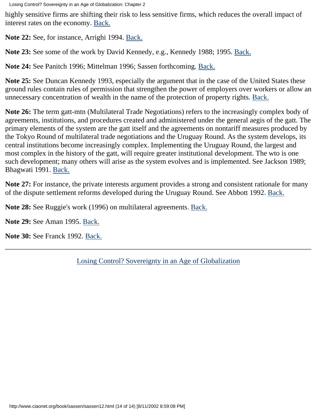highly sensitive firms are shifting their risk to less sensitive firms, which reduces the overall impact of interest rates on the economy. [Back.](#page-28-0)

<span id="page-35-0"></span>**Note 22:** See, for instance, Arrighi 1994. [Back.](#page-30-0)

<span id="page-35-1"></span>**Note 23:** See some of the work by David Kennedy, e.g., Kennedy 1988; 1995. [Back.](#page-30-1)

<span id="page-35-2"></span>**Note 24:** See Panitch 1996; Mittelman 1996; Sassen forthcoming. [Back.](#page-30-2)

<span id="page-35-3"></span>**Note 25:** See Duncan Kennedy 1993, especially the argument that in the case of the United States these ground rules contain rules of permission that strengthen the power of employers over workers or allow an unnecessary concentration of wealth in the name of the protection of property rights. [Back.](#page-30-3)

<span id="page-35-4"></span>**Note 26:** The term gatt-mtn (Multilateral Trade Negotiations) refers to the increasingly complex body of agreements, institutions, and procedures created and administered under the general aegis of the gatt. The primary elements of the system are the gatt itself and the agreements on nontariff measures produced by the Tokyo Round of multilateral trade negotiations and the Uruguay Round. As the system develops, its central institutions become increasingly complex. Implementing the Uruguay Round, the largest and most complex in the history of the gatt, will require greater institutional development. The wto is one such development; many others will arise as the system evolves and is implemented. See Jackson 1989; Bhagwati 1991. [Back.](#page-31-0)

<span id="page-35-5"></span>**Note 27:** For instance, the private interests argument provides a strong and consistent rationale for many of the dispute settlement reforms developed during the Uruguay Round. See Abbott 1992. [Back.](#page-31-1)

<span id="page-35-6"></span>**Note 28:** See Ruggie's work (1996) on multilateral agreements. [Back.](#page-32-0)

<span id="page-35-7"></span>**Note 29:** See Aman 1995. [Back.](#page-32-1)

<span id="page-35-8"></span>**Note 30:** See Franck 1992. [Back.](#page-32-2)

[Losing Control? Sovereignty in an Age of Globalization](#page-0-0)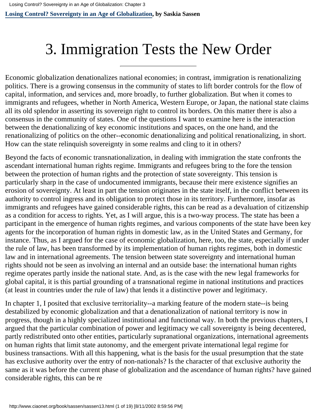**[Losing Control? Sovereignty in an Age of Globalization](#page-0-0), by Saskia Sassen**

# 3. Immigration Tests the New Order

Economic globalization denationalizes national economies; in contrast, immigration is renationalizing politics. There is a growing consensus in the community of states to lift border controls for the flow of capital, information, and services and, more broadly, to further globalization. But when it comes to immigrants and refugees, whether in North America, Western Europe, or Japan, the national state claims all its old splendor in asserting its sovereign right to control its borders. On this matter there is also a consensus in the community of states. One of the questions I want to examine here is the interaction between the denationalizing of key economic institutions and spaces, on the one hand, and the renationalizing of politics on the other--economic denationalizing and political renationalizing, in short. How can the state relinquish sovereignty in some realms and cling to it in others?

Beyond the facts of economic transnationalization, in dealing with immigration the state confronts the ascendant international human rights regime. Immigrants and refugees bring to the fore the tension between the protection of human rights and the protection of state sovereignty. This tension is particularly sharp in the case of undocumented immigrants, because their mere existence signifies an erosion of sovereignty. At least in part the tension originates in the state itself, in the conflict between its authority to control ingress and its obligation to protect those in its territory. Furthermore, insofar as immigrants and refugees have gained considerable rights, this can be read as a devaluation of citizenship as a condition for access to rights. Yet, as I will argue, this is a two-way process. The state has been a participant in the emergence of human rights regimes, and various components of the state have been key agents for the incorporation of human rights in domestic law, as in the United States and Germany, for instance. Thus, as I argued for the case of economic globalization, here, too, the state, especially if under the rule of law, has been transformed by its implementation of human rights regimes, both in domestic law and in international agreements. The tension between state sovereignty and international human rights should not be seen as involving an internal and an outside base: the international human rights regime operates partly inside the national state. And, as is the case with the new legal frameworks for global capital, it is this partial grounding of a transnational regime in national institutions and practices (at least in countries under the rule of law) that lends it a distinctive power and legitimacy.

In chapter 1, I posited that exclusive territoriality--a marking feature of the modern state--is being destabilized by economic globalization and that a denationalization of national territory is now in progress, though in a highly specialized institutional and functional way. In both the previous chapters, I argued that the particular combination of power and legitimacy we call sovereignty is being decentered, partly redistributed onto other entities, particularly supranational organizations, international agreements on human rights that limit state autonomy, and the emergent private international legal regime for business transactions. With all this happening, what is the basis for the usual presumption that the state has exclusive authority over the entry of non-nationals? Is the character of that exclusive authority the same as it was before the current phase of globalization and the ascendance of human rights? have gained considerable rights, this can be re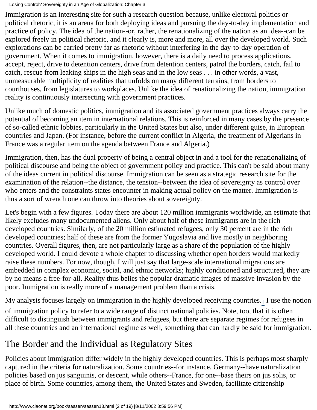Immigration is an interesting site for such a research question because, unlike electoral politics or political rhetoric, it is an arena for both deploying ideas and pursuing the day-to-day implementation and practice of policy. The idea of the nation--or, rather, the renationalizing of the nation as an idea--can be explored freely in political rhetoric, and it clearly is, more and more, all over the developed world. Such explorations can be carried pretty far as rhetoric without interfering in the day-to-day operation of government. When it comes to immigration, however, there is a daily need to process applications, accept, reject, drive to detention centers, drive from detention centers, patrol the borders, catch, fail to catch, rescue from leaking ships in the high seas and in the low seas . . . in other words, a vast, unmeasurable multiplicity of realities that unfolds on many different terrains, from borders to courthouses, from legislatures to workplaces. Unlike the idea of renationalizing the nation, immigration reality is continuously intersecting with government practices.

Unlike much of domestic politics, immigration and its associated government practices always carry the potential of becoming an item in international relations. This is reinforced in many cases by the presence of so-called ethnic lobbies, particularly in the United States but also, under different guise, in European countries and Japan. (For instance, before the current conflict in Algeria, the treatment of Algerians in France was a regular item on the agenda between France and Algeria.)

Immigration, then, has the dual property of being a central object in and a tool for the renationalizing of political discourse and being the object of government policy and practice. This can't be said about many of the ideas current in political discourse. Immigration can be seen as a strategic research site for the examination of the relation--the distance, the tension--between the idea of sovereignty as control over who enters and the constraints states encounter in making actual policy on the matter. Immigration is thus a sort of wrench one can throw into theories about sovereignty.

Let's begin with a few figures. Today there are about 120 million immigrants worldwide, an estimate that likely excludes many undocumented aliens. Only about half of these immigrants are in the rich developed countries. Similarly, of the 20 million estimated refugees, only 30 percent are in the rich developed countries; half of these are from the former Yugoslavia and live mostly in neighboring countries. Overall figures, then, are not particularly large as a share of the population of the highly developed world. I could devote a whole chapter to discussing whether open borders would markedly raise these numbers. For now, though, I will just say that large-scale international migrations are embedded in complex economic, social, and ethnic networks; highly conditioned and structured, they are by no means a free-for-all. Reality thus belies the popular dramatic images of massive invasion by the poor. Immigration is really more of a management problem than a crisis.

<span id="page-37-0"></span>My analysis focuses largely on immigration in the highly developed receiving countries. $<sub>1</sub>$  I use the notion</sub>

of immigration policy to refer to a wide range of distinct national policies. Note, too, that it is often difficult to distinguish between immigrants and refugees, but there are separate regimes for refugees in all these countries and an international regime as well, something that can hardly be said for immigration.

# The Border and the Individual as Regulatory Sites

Policies about immigration differ widely in the highly developed countries. This is perhaps most sharply captured in the criteria for naturalization. Some countries--for instance, Germany--have naturalization policies based on jus sanguinis, or descent, while others--France, for one--base theirs on jus solis, or place of birth. Some countries, among them, the United States and Sweden, facilitate citizenship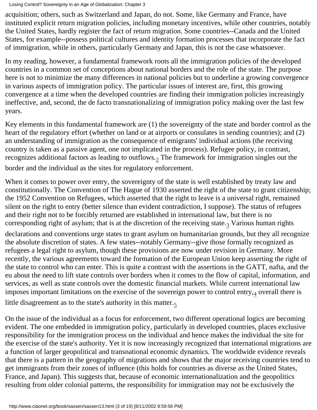acquisition; others, such as Switzerland and Japan, do not. Some, like Germany and France, have instituted explicit return migration policies, including monetary incentives, while other countries, notably the United States, hardly register the fact of return migration. Some countries--Canada and the United States, for example--possess political cultures and identity formation processes that incorporate the fact of immigration, while in others, particularly Germany and Japan, this is not the case whatsoever.

In my reading, however, a fundamental framework roots all the immigration policies of the developed countries in a common set of conceptions about national borders and the role of the state. The purpose here is not to minimize the many differences in national policies but to underline a growing convergence in various aspects of immigration policy. The particular issues of interest are, first, this growing convergence at a time when the developed countries are finding their immigration policies increasingly ineffective, and, second, the de facto transnationalizing of immigration policy making over the last few years.

Key elements in this fundamental framework are (1) the sovereignty of the state and border control as the heart of the regulatory effort (whether on land or at airports or consulates in sending countries); and (2) an understanding of immigration as the consequence of emigrants' individual actions (the receiving country is taken as a passive agent, one not implicated in the process). Refugee policy, in contrast, recognizes additional factors as leading to outflows.<sub>2</sub> The framework for immigration singles out the border and the individual as the sites for regulatory enforcement.

<span id="page-38-1"></span><span id="page-38-0"></span>When it comes to power over entry, the sovereignty of the state is well established by treaty law and constitutionally. The Convention of The Hague of 1930 asserted the right of the state to grant citizenship; the 1952 Convention on Refugees, which asserted that the right to leave is a universal right, remained silent on the right to entry (better silence than evident contradiction, I suppose). The status of refugees and their right not to be forcibly returned are established in international law, but there is no corresponding right of asylum; that is at the discretion of the receiving state.<sub>3</sub> Various human rights declarations and conventions urge states to grant asylum on humanitarian grounds, but they all recognize the absolute discretion of states. A few states--notably Germany--give those formally recognized as refugees a legal right to asylum, though these provisions are now under revision in Germany. More recently, the various agreements toward the formation of the European Union keep asserting the right of the state to control who can enter. This is quite a contrast with the assertions in the GATT, nafta, and the eu about the need to lift state controls over borders when it comes to the flow of capital, information, and services, as well as state controls over the domestic financial markets. While current international law imposes important limitations on the exercise of the sovereign power to control entry[,4](#page-51-3) overall there is little disagreement as to the state's authority in this matter[.5](#page-51-4)

<span id="page-38-3"></span><span id="page-38-2"></span>On the issue of the individual as a focus for enforcement, two different operational logics are becoming evident. The one embedded in immigration policy, particularly in developed countries, places exclusive responsibility for the immigration process on the individual and hence makes the individual the site for the exercise of the state's authority. Yet it is now increasingly recognized that international migrations are a function of larger geopolitical and transnational economic dynamics. The worldwide evidence reveals that there is a pattern in the geography of migrations and shows that the major receiving countries tend to get immigrants from their zones of influence (this holds for countries as diverse as the United States, France, and Japan). This suggests that, because of economic internationalization and the geopolitics resulting from older colonial patterns, the responsibility for immigration may not be exclusively the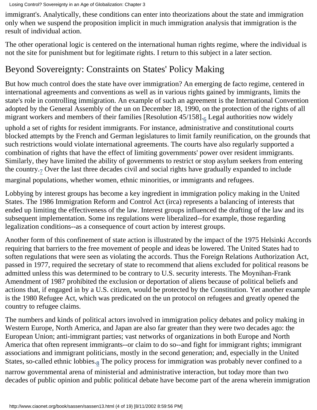immigrant's. Analytically, these conditions can enter into theorizations about the state and immigration only when we suspend the proposition implicit in much immigration analysis that immigration is the result of individual action.

The other operational logic is centered on the international human rights regime, where the individual is not the site for punishment but for legitimate rights. I return to this subject in a later section.

# Beyond Sovereignty: Constraints on States' Policy Making

But how much control does the state have over immigration? An emerging de facto regime, centered in international agreements and conventions as well as in various rights gained by immigrants, limits the state's role in controlling immigration. An example of such an agreement is the International Convention adopted by the General Assembly of the un on December 18, 1990, on the protection of the rights of all migrant workers and members of their families [Resolution  $45/158$ ].<sub>6</sub> Legal authorities now widely

<span id="page-39-0"></span>uphold a set of rights for resident immigrants. For instance, administrative and constitutional courts blocked attempts by the French and German legislatures to limit family reunification, on the grounds that such restrictions would violate international agreements. The courts have also regularly supported a combination of rights that have the effect of limiting governments' power over resident immigrants. Similarly, they have limited the ability of governments to restrict or stop asylum seekers from entering the country.<sub>[7](#page-51-6)</sub> Over the last three decades civil and social rights have gradually expanded to include

<span id="page-39-1"></span>marginal populations, whether women, ethnic minorities, or immigrants and refugees.

Lobbying by interest groups has become a key ingredient in immigration policy making in the United States. The 1986 Immigration Reform and Control Act (irca) represents a balancing of interests that ended up limiting the effectiveness of the law. Interest groups influenced the drafting of the law and its subsequent implementation. Some ins regulations were liberalized--for example, those regarding legalization conditions--as a consequence of court action by interest groups.

Another form of this confinement of state action is illustrated by the impact of the 1975 Helsinki Accords requiring that barriers to the free movement of people and ideas be lowered. The United States had to soften regulations that were seen as violating the accords. Thus the Foreign Relations Authorization Act, passed in 1977, required the secretary of state to recommend that aliens excluded for political reasons be admitted unless this was determined to be contrary to U.S. security interests. The Moynihan-Frank Amendment of 1987 prohibited the exclusion or deportation of aliens because of political beliefs and actions that, if engaged in by a U.S. citizen, would be protected by the Constitution. Yet another example is the 1980 Refugee Act, which was predicated on the un protocol on refugees and greatly opened the country to refugee claims.

The numbers and kinds of political actors involved in immigration policy debates and policy making in Western Europe, North America, and Japan are also far greater than they were two decades ago: the European Union; anti-immigrant parties; vast networks of organizations in both Europe and North America that often represent immigrants--or claim to do so--and fight for immigrant rights; immigrant associations and immigrant politicians, mostly in the second generation; and, especially in the United States, so-called ethnic lobbies. $_8$  The policy process for immigration was probably never confined to a

<span id="page-39-2"></span>narrow governmental arena of ministerial and administrative interaction, but today more than two decades of public opinion and public political debate have become part of the arena wherein immigration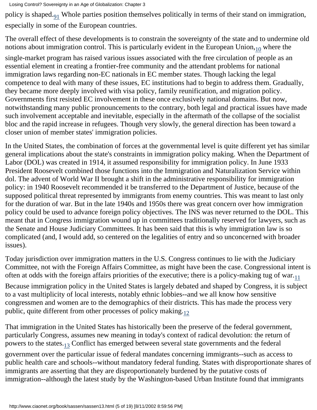<span id="page-40-0"></span>policy is shaped.[91](#page-52-1) Whole parties position themselves politically in terms of their stand on immigration, especially in some of the European countries.

<span id="page-40-1"></span>The overall effect of these developments is to constrain the sovereignty of the state and to undermine old notions about immigration control. This is particularly evident in the European Union, $_{10}$  where the

single-market program has raised various issues associated with the free circulation of people as an essential element in creating a frontier-free community and the attendant problems for national immigration laws regarding non-EC nationals in EC member states. Though lacking the legal competence to deal with many of these issues, EC institutions had to begin to address them. Gradually, they became more deeply involved with visa policy, family reunification, and migration policy. Governments first resisted EC involvement in these once exclusively national domains. But now, notwithstanding many public pronouncements to the contrary, both legal and practical issues have made such involvement acceptable and inevitable, especially in the aftermath of the collapse of the socialist bloc and the rapid increase in refugees. Though very slowly, the general direction has been toward a closer union of member states' immigration policies.

In the United States, the combination of forces at the governmental level is quite different yet has similar general implications about the state's constraints in immigration policy making. When the Department of Labor (DOL) was created in 1914, it assumed responsibility for immigration policy. In June 1933 President Roosevelt combined those functions into the Immigration and Naturalization Service within dol. The advent of World War II brought a shift in the administrative responsibility for immigration policy: in 1940 Roosevelt recommended it be transferred to the Department of Justice, because of the supposed political threat represented by immigrants from enemy countries. This was meant to last only for the duration of war. But in the late 1940s and 1950s there was great concern over how immigration policy could be used to advance foreign policy objectives. The INS was never returned to the DOL. This meant that in Congress immigration wound up in committees traditionally reserved for lawyers, such as the Senate and House Judiciary Committees. It has been said that this is why immigration law is so complicated (and, I would add, so centered on the legalities of entry and so unconcerned with broader issues).

Today jurisdiction over immigration matters in the U.S. Congress continues to lie with the Judiciary Committee, not with the Foreign Affairs Committee, as might have been the case. Congressional intent is often at odds with the foreign affairs priorities of the executive; there is a policy-making tug of war. $_{11}$ 

<span id="page-40-2"></span>Because immigration policy in the United States is largely debated and shaped by Congress, it is subject to a vast multiplicity of local interests, notably ethnic lobbies--and we all know how sensitive congressmen and women are to the demographics of their districts. This has made the process very public, quite different from other processes of policy making. $_{12}$ 

<span id="page-40-4"></span><span id="page-40-3"></span>That immigration in the United States has historically been the preserve of the federal government, particularly Congress, assumes new meaning in today's context of radical devolution: the return of powers to the states.[13](#page-52-5) Conflict has emerged between several state governments and the federal government over the particular issue of federal mandates concerning immigrants--such as access to public health care and schools--without mandatory federal funding. States with disproportionate shares of immigrants are asserting that they are disproportionately burdened by the putative costs of immigration--although the latest study by the Washington-based Urban Institute found that immigrants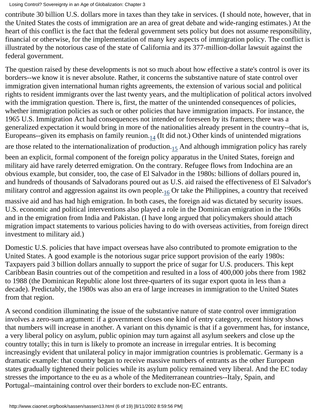contribute 30 billion U.S. dollars more in taxes than they take in services. (I should note, however, that in the United States the costs of immigration are an area of great debate and wide-ranging estimates.) At the heart of this conflict is the fact that the federal government sets policy but does not assume responsibility, financial or otherwise, for the implementation of many key aspects of immigration policy. The conflict is illustrated by the notorious case of the state of California and its 377-million-dollar lawsuit against the federal government.

The question raised by these developments is not so much about how effective a state's control is over its borders--we know it is never absolute. Rather, it concerns the substantive nature of state control over immigration given international human rights agreements, the extension of various social and political rights to resident immigrants over the last twenty years, and the multiplication of political actors involved with the immigration question. There is, first, the matter of the unintended consequences of policies, whether immigration policies as such or other policies that have immigration impacts. For instance, the 1965 U.S. Immigration Act had consequences not intended or foreseen by its framers; there was a generalized expectation it would bring in more of the nationalities already present in the country--that is, Europeans--given its emphasis on family reunion.<sub>14</sub> (It did not.) Other kinds of unintended migrations

<span id="page-41-1"></span><span id="page-41-0"></span>are those related to the internationalization of production.<sub>[15](#page-53-1)</sub> And although immigration policy has rarely

been an explicit, formal component of the foreign policy apparatus in the United States, foreign and military aid have rarely deterred emigration. On the contrary. Refugee flows from Indochina are an obvious example, but consider, too, the case of El Salvador in the 1980s: billions of dollars poured in, and hundreds of thousands of Salvadorans poured out as U.S. aid raised the effectiveness of El Salvador's military control and aggression against its own people. $_{16}$  Or take the Philippines, a country that received

<span id="page-41-2"></span>massive aid and has had high emigration. In both cases, the foreign aid was dictated by security issues. U.S. economic and political interventions also played a role in the Dominican emigration in the 1960s and in the emigration from India and Pakistan. (I have long argued that policymakers should attach migration impact statements to various policies having to do with overseas activities, from foreign direct investment to military aid.)

Domestic U.S. policies that have impact overseas have also contributed to promote emigration to the United States. A good example is the notorious sugar price support provision of the early 1980s: Taxpayers paid 3 billion dollars annually to support the price of sugar for U.S. producers. This kept Caribbean Basin countries out of the competition and resulted in a loss of 400,000 jobs there from 1982 to 1988 (the Dominican Republic alone lost three-quarters of its sugar export quota in less than a decade). Predictably, the 1980s was also an era of large increases in immigration to the United States from that region.

A second condition illuminating the issue of the substantive nature of state control over immigration involves a zero-sum argument: if a government closes one kind of entry category, recent history shows that numbers will increase in another. A variant on this dynamic is that if a government has, for instance, a very liberal policy on asylum, public opinion may turn against all asylum seekers and close up the country totally; this in turn is likely to promote an increase in irregular entries. It is becoming increasingly evident that unilateral policy in major immigration countries is problematic. Germany is a dramatic example: that country began to receive massive numbers of entrants as the other European states gradually tightened their policies while its asylum policy remained very liberal. And the EC today stresses the importance to the eu as a whole of the Mediterranean countries--Italy, Spain, and Portugal--maintaining control over their borders to exclude non-EC entrants.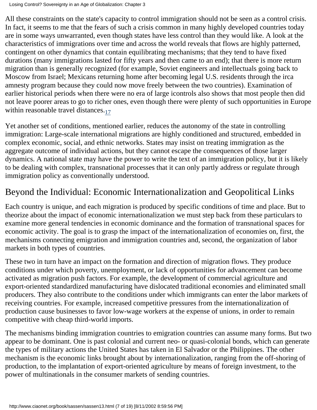All these constraints on the state's capacity to control immigration should not be seen as a control crisis. In fact, it seems to me that the fears of such a crisis common in many highly developed countries today are in some ways unwarranted, even though states have less control than they would like. A look at the characteristics of immigrations over time and across the world reveals that flows are highly patterned, contingent on other dynamics that contain equilibrating mechanisms; that they tend to have fixed durations (many immigrations lasted for fifty years and then came to an end); that there is more return migration than is generally recognized (for example, Soviet engineers and intellectuals going back to Moscow from Israel; Mexicans returning home after becoming legal U.S. residents through the irca amnesty program because they could now move freely between the two countries). Examination of earlier historical periods when there were no era of large icontrols also shows that most people then did not leave poorer areas to go to richer ones, even though there were plenty of such opportunities in Europe within reasonable travel distances. $_{17}$  $_{17}$  $_{17}$ 

<span id="page-42-0"></span>Yet another set of conditions, mentioned earlier, reduces the autonomy of the state in controlling immigration: Large-scale international migrations are highly conditioned and structured, embedded in complex economic, social, and ethnic networks. States may insist on treating immigration as the aggregate outcome of individual actions, but they cannot escape the consequences of those larger dynamics. A national state may have the power to write the text of an immigration policy, but it is likely to be dealing with complex, transnational processes that it can only partly address or regulate through immigration policy as conventionally understood.

# Beyond the Individual: Economic Internationalization and Geopolitical Links

Each country is unique, and each migration is produced by specific conditions of time and place. But to theorize about the impact of economic internationalization we must step back from these particulars to examine more general tendencies in economic dominance and the formation of transnational spaces for economic activity. The goal is to grasp the impact of the internationalization of economies on, first, the mechanisms connecting emigration and immigration countries and, second, the organization of labor markets in both types of countries.

These two in turn have an impact on the formation and direction of migration flows. They produce conditions under which poverty, unemployment, or lack of opportunities for advancement can become activated as migration push factors. For example, the development of commercial agriculture and export-oriented standardized manufacturing have dislocated traditional economies and eliminated small producers. They also contribute to the conditions under which immigrants can enter the labor markets of receiving countries. For example, increased competitive pressures from the internationalization of production cause businesses to favor low-wage workers at the expense of unions, in order to remain competitive with cheap third-world imports.

The mechanisms binding immigration countries to emigration countries can assume many forms. But two appear to be dominant. One is past colonial and current neo- or quasi-colonial bonds, which can generate the types of military actions the United States has taken in El Salvador or the Philippines. The other mechanism is the economic links brought about by internationalization, ranging from the off-shoring of production, to the implantation of export-oriented agriculture by means of foreign investment, to the power of multinationals in the consumer markets of sending countries.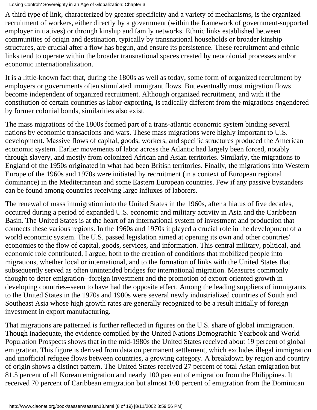A third type of link, characterized by greater specificity and a variety of mechanisms, is the organized recruitment of workers, either directly by a government (within the framework of government-supported employer initiatives) or through kinship and family networks. Ethnic links established between communities of origin and destination, typically by transnational households or broader kinship structures, are crucial after a flow has begun, and ensure its persistence. These recruitment and ethnic links tend to operate within the broader transnational spaces created by neocolonial processes and/or economic internationalization.

It is a little-known fact that, during the 1800s as well as today, some form of organized recruitment by employers or governments often stimulated immigrant flows. But eventually most migration flows become independent of organized recruitment. Although organized recruitment, and with it the constitution of certain countries as labor-exporting, is radically different from the migrations engendered by former colonial bonds, similarities also exist.

The mass migrations of the 1800s formed part of a trans-atlantic economic system binding several nations by economic transactions and wars. These mass migrations were highly important to U.S. development. Massive flows of capital, goods, workers, and specific structures produced the American economic system. Earlier movements of labor across the Atlantic had largely been forced, notably through slavery, and mostly from colonized African and Asian territories. Similarly, the migrations to England of the 1950s originated in what had been British territories. Finally, the migrations into Western Europe of the 1960s and 1970s were initiated by recruitment (in a context of European regional dominance) in the Mediterranean and some Eastern European countries. Few if any passive bystanders can be found among countries receiving large influxes of laborers.

The renewal of mass immigration into the United States in the 1960s, after a hiatus of five decades, occurred during a period of expanded U.S. economic and military activity in Asia and the Caribbean Basin. The United States is at the heart of an international system of investment and production that connects these various regions. In the 1960s and 1970s it played a crucial role in the development of a world economic system. The U.S. passed legislation aimed at opening its own and other countries' economies to the flow of capital, goods, services, and information. This central military, political, and economic role contributed, I argue, both to the creation of conditions that mobilized people into migrations, whether local or international, and to the formation of links with the United States that subsequently served as often unintended bridges for international migration. Measures commonly thought to deter emigration--foreign investment and the promotion of export-oriented growth in developing countries--seem to have had the opposite effect. Among the leading suppliers of immigrants to the United States in the 1970s and 1980s were several newly industrialized countries of South and Southeast Asia whose high growth rates are generally recognized to be a result initially of foreign investment in export manufacturing.

That migrations are patterned is further reflected in figures on the U.S. share of global immigration. Though inadequate, the evidence compiled by the United Nations Demographic Yearbook and World Population Prospects shows that in the mid-1980s the United States received about 19 percent of global emigration. This figure is derived from data on permanent settlement, which excludes illegal immigration and unofficial refugee flows between countries, a growing category. A breakdown by region and country of origin shows a distinct pattern. The United States received 27 percent of total Asian emigration but 81.5 percent of all Korean emigration and nearly 100 percent of emigration from the Philippines. It received 70 percent of Caribbean emigration but almost 100 percent of emigration from the Dominican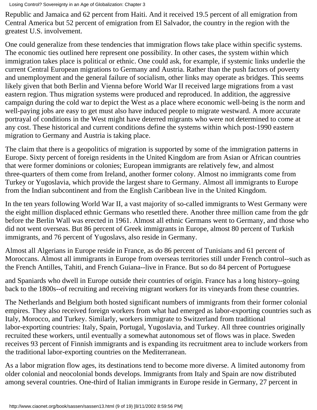Republic and Jamaica and 62 percent from Haiti. And it received 19.5 percent of all emigration from Central America but 52 percent of emigration from El Salvador, the country in the region with the greatest U.S. involvement.

One could generalize from these tendencies that immigration flows take place within specific systems. The economic ties outlined here represent one possibility. In other cases, the system within which immigration takes place is political or ethnic. One could ask, for example, if systemic links underlie the current Central European migrations to Germany and Austria. Rather than the push factors of poverty and unemployment and the general failure of socialism, other links may operate as bridges. This seems likely given that both Berlin and Vienna before World War II received large migrations from a vast eastern region. Thus migration systems were produced and reproduced. In addition, the aggressive campaign during the cold war to depict the West as a place where economic well-being is the norm and well-paying jobs are easy to get must also have induced people to migrate westward. A more accurate portrayal of conditions in the West might have deterred migrants who were not determined to come at any cost. These historical and current conditions define the systems within which post-1990 eastern migration to Germany and Austria is taking place.

The claim that there is a geopolitics of migration is supported by some of the immigration patterns in Europe. Sixty percent of foreign residents in the United Kingdom are from Asian or African countries that were former dominions or colonies; European immigrants are relatively few, and almost three-quarters of them come from Ireland, another former colony. Almost no immigrants come from Turkey or Yugoslavia, which provide the largest share to Germany. Almost all immigrants to Europe from the Indian subcontinent and from the English Caribbean live in the United Kingdom.

In the ten years following World War II, a vast majority of so-called immigrants to West Germany were the eight million displaced ethnic Germans who resettled there. Another three million came from the gdr before the Berlin Wall was erected in 1961. Almost all ethnic Germans went to Germany, and those who did not went overseas. But 86 percent of Greek immigrants in Europe, almost 80 percent of Turkish immigrants, and 76 percent of Yugoslavs, also reside in Germany.

Almost all Algerians in Europe reside in France, as do 86 percent of Tunisians and 61 percent of Moroccans. Almost all immigrants in Europe from overseas territories still under French control--such as the French Antilles, Tahiti, and French Guiana--live in France. But so do 84 percent of Portuguese

and Spaniards who dwell in Europe outside their countries of origin. France has a long history--going back to the 1800s--of recruiting and receiving migrant workers for its vineyards from these countries.

The Netherlands and Belgium both hosted significant numbers of immigrants from their former colonial empires. They also received foreign workers from what had emerged as labor-exporting countries such as Italy, Morocco, and Turkey. Similarly, workers immigrate to Switzerland from traditional labor-exporting countries: Italy, Spain, Portugal, Yugoslavia, and Turkey. All three countries originally recruited these workers, until eventually a somewhat autonomous set of flows was in place. Sweden receives 93 percent of Finnish immigrants and is expanding its recruitment area to include workers from the traditional labor-exporting countries on the Mediterranean.

As a labor migration flow ages, its destinations tend to become more diverse. A limited autonomy from older colonial and neocolonial bonds develops. Immigrants from Italy and Spain are now distributed among several countries. One-third of Italian immigrants in Europe reside in Germany, 27 percent in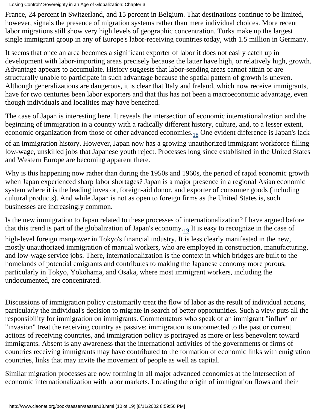France, 24 percent in Switzerland, and 15 percent in Belgium. That destinations continue to be limited, however, signals the presence of migration systems rather than mere individual choices. More recent labor migrations still show very high levels of geographic concentration. Turks make up the largest single immigrant group in any of Europe's labor-receiving countries today, with 1.5 million in Germany.

It seems that once an area becomes a significant exporter of labor it does not easily catch up in development with labor-importing areas precisely because the latter have high, or relatively high, growth. Advantage appears to accumulate. History suggests that labor-sending areas cannot attain or are structurally unable to participate in such advantage because the spatial pattern of growth is uneven. Although generalizations are dangerous, it is clear that Italy and Ireland, which now receive immigrants, have for two centuries been labor exporters and that this has not been a macroeconomic advantage, even though individuals and localities may have benefited.

The case of Japan is interesting here. It reveals the intersection of economic internationalization and the beginning of immigration in a country with a radically different history, culture, and, to a lesser extent, economic organization from those of other advanced economies.<sub>18</sub> One evident difference is Japan's lack

<span id="page-45-0"></span>of an immigration history. However, Japan now has a growing unauthorized immigrant workforce filling low-wage, unskilled jobs that Japanese youth reject. Processes long since established in the United States and Western Europe are becoming apparent there.

Why is this happening now rather than during the 1950s and 1960s, the period of rapid economic growth when Japan experienced sharp labor shortages? Japan is a major presence in a regional Asian economic system where it is the leading investor, foreign-aid donor, and exporter of consumer goods (including cultural products). And while Japan is not as open to foreign firms as the United States is, such businesses are increasingly common.

<span id="page-45-1"></span>Is the new immigration to Japan related to these processes of internationalization? I have argued before that this trend is part of the globalization of Japan's economy[.19](#page-53-5) It is easy to recognize in the case of

high-level foreign manpower in Tokyo's financial industry. It is less clearly manifested in the new, mostly unauthorized immigration of manual workers, who are employed in construction, manufacturing, and low-wage service jobs. There, internationalization is the context in which bridges are built to the homelands of potential emigrants and contributes to making the Japanese economy more porous, particularly in Tokyo, Yokohama, and Osaka, where most immigrant workers, including the undocumented, are concentrated.

Discussions of immigration policy customarily treat the flow of labor as the result of individual actions, particularly the individual's decision to migrate in search of better opportunities. Such a view puts all the responsibility for immigration on immigrants. Commentators who speak of an immigrant "influx" or "invasion" treat the receiving country as passive: immigration is unconnected to the past or current actions of receiving countries, and immigration policy is portrayed as more or less benevolent toward immigrants. Absent is any awareness that the international activities of the governments or firms of countries receiving immigrants may have contributed to the formation of economic links with emigration countries, links that may invite the movement of people as well as capital.

Similar migration processes are now forming in all major advanced economies at the intersection of economic internationalization with labor markets. Locating the origin of immigration flows and their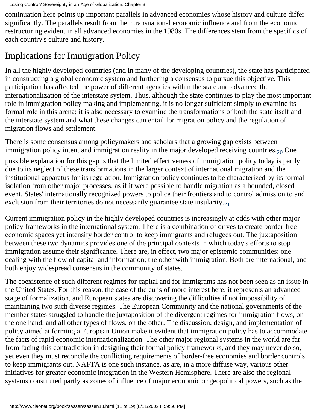continuation here points up important parallels in advanced economies whose history and culture differ significantly. The parallels result from their transnational economic influence and from the economic restructuring evident in all advanced economies in the 1980s. The differences stem from the specifics of each country's culture and history.

# Implications for Immigration Policy

In all the highly developed countries (and in many of the developing countries), the state has participated in constructing a global economic system and furthering a consensus to pursue this objective. This participation has affected the power of different agencies within the state and advanced the internationalization of the interstate system. Thus, although the state continues to play the most important role in immigration policy making and implementing, it is no longer sufficient simply to examine its formal role in this arena; it is also necessary to examine the transformations of both the state itself and the interstate system and what these changes can entail for migration policy and the regulation of migration flows and settlement.

<span id="page-46-0"></span>There is some consensus among policymakers and scholars that a growing gap exists between immigration policy intent and immigration reality in the major developed receiving countries.<sub>[20](#page-53-6)</sub> One

possible explanation for this gap is that the limited effectiveness of immigration policy today is partly due to its neglect of these transformations in the larger context of international migration and the institutional apparatus for its regulation. Immigration policy continues to be characterized by its formal isolation from other major processes, as if it were possible to handle migration as a bounded, closed event. States' internationally recognized powers to police their frontiers and to control admission to and exclusion from their territories do not necessarily guarantee state insularity. $21$ 

<span id="page-46-1"></span>Current immigration policy in the highly developed countries is increasingly at odds with other major policy frameworks in the international system. There is a combination of drives to create border-free economic spaces yet intensify border control to keep immigrants and refugees out. The juxtaposition between these two dynamics provides one of the principal contexts in which today's efforts to stop immigration assume their significance. There are, in effect, two major epistemic communities: one dealing with the flow of capital and information; the other with immigration. Both are international, and both enjoy widespread consensus in the community of states.

The coexistence of such different regimes for capital and for immigrants has not been seen as an issue in the United States. For this reason, the case of the eu is of more interest here: it represents an advanced stage of formalization, and European states are discovering the difficulties if not impossibility of maintaining two such diverse regimes. The European Community and the national governments of the member states struggled to handle the juxtaposition of the divergent regimes for immigration flows, on the one hand, and all other types of flows, on the other. The discussion, design, and implementation of policy aimed at forming a European Union make it evident that immigration policy has to accommodate the facts of rapid economic internationalization. The other major regional systems in the world are far from facing this contradiction in designing their formal policy frameworks, and they may never do so, yet even they must reconcile the conflicting requirements of border-free economies and border controls to keep immigrants out. NAFTA is one such instance, as are, in a more diffuse way, various other initiatives for greater economic integration in the Western Hemisphere. There are also the regional systems constituted partly as zones of influence of major economic or geopolitical powers, such as the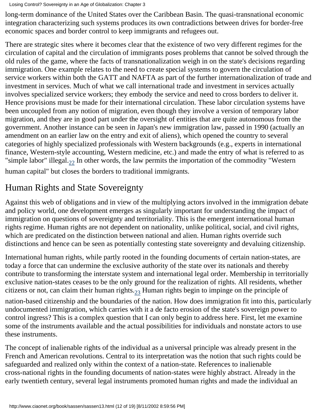Losing Control? Sovereignty in an Age of Globalization: Chapter 3

long-term dominance of the United States over the Caribbean Basin. The quasi-transnational economic integration characterizing such systems produces its own contradictions between drives for border-free economic spaces and border control to keep immigrants and refugees out.

There are strategic sites where it becomes clear that the existence of two very different regimes for the circulation of capital and the circulation of immigrants poses problems that cannot be solved through the old rules of the game, where the facts of transnationalization weigh in on the state's decisions regarding immigration. One example relates to the need to create special systems to govern the circulation of service workers within both the GATT and NAFTA as part of the further internationalization of trade and investment in services. Much of what we call international trade and investment in services actually involves specialized service workers; they embody the service and need to cross borders to deliver it. Hence provisions must be made for their international circulation. These labor circulation systems have been uncoupled from any notion of migration, even though they involve a version of temporary labor migration, and they are in good part under the oversight of entities that are quite autonomous from the government. Another instance can be seen in Japan's new immigration law, passed in 1990 (actually an amendment on an earlier law on the entry and exit of aliens), which opened the country to several categories of highly specialized professionals with Western backgrounds (e.g., experts in international finance, Western-style accounting, Western medicine, etc.) and made the entry of what is referred to as "simple labor" illegal. $_{22}$  In other words, the law permits the importation of the commodity "Western human capital" but closes the borders to traditional immigrants.

# <span id="page-47-0"></span>Human Rights and State Sovereignty

these instruments.

Against this web of obligations and in view of the multiplying actors involved in the immigration debate and policy world, one development emerges as singularly important for understanding the impact of immigration on questions of sovereignty and territoriality. This is the emergent international human rights regime. Human rights are not dependent on nationality, unlike political, social, and civil rights, which are predicated on the distinction between national and alien. Human rights override such distinctions and hence can be seen as potentially contesting state sovereignty and devaluing citizenship.

<span id="page-47-1"></span>International human rights, while partly rooted in the founding documents of certain nation-states, are today a force that can undermine the exclusive authority of the state over its nationals and thereby contribute to transforming the interstate system and international legal order. Membership in territorially exclusive nation-states ceases to be the only ground for the realization of rights. All residents, whether citizens or not, can claim their human rights.<sub>23</sub> Human rights begin to impinge on the principle of nation-based citizenship and the boundaries of the nation. How does immigration fit into this, particularly undocumented immigration, which carries with it a de facto erosion of the state's sovereign power to control ingress? This is a complex question that I can only begin to address here. First, let me examine some of the instruments available and the actual possibilities for individuals and nonstate actors to use

The concept of inalienable rights of the individual as a universal principle was already present in the French and American revolutions. Central to its interpretation was the notion that such rights could be safeguarded and realized only within the context of a nation-state. References to inalienable cross-national rights in the founding documents of nation-states were highly abstract. Already in the early twentieth century, several legal instruments promoted human rights and made the individual an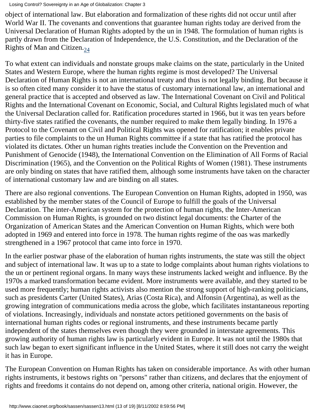object of international law. But elaboration and formalization of these rights did not occur until after World War II. The covenants and conventions that guarantee human rights today are derived from the Universal Declaration of Human Rights adopted by the un in 1948. The formulation of human rights is partly drawn from the Declaration of Independence, the U.S. Constitution, and the Declaration of the Rights of Man and Citizen. $_{24}$ 

<span id="page-48-0"></span>To what extent can individuals and nonstate groups make claims on the state, particularly in the United States and Western Europe, where the human rights regime is most developed? The Universal Declaration of Human Rights is not an international treaty and thus is not legally binding. But because it is so often cited many consider it to have the status of customary international law, an international and general practice that is accepted and observed as law. The International Covenant on Civil and Political Rights and the International Covenant on Economic, Social, and Cultural Rights legislated much of what the Universal Declaration called for. Ratification procedures started in 1966, but it was ten years before thirty-five states ratified the covenants, the number required to make them legally binding. In 1976 a Protocol to the Covenant on Civil and Political Rights was opened for ratification; it enables private parties to file complaints to the un Human Rights committee if a state that has ratified the protocol has violated its dictates. Other un human rights treaties include the Convention on the Prevention and Punishment of Genocide (1948), the International Convention on the Elimination of All Forms of Racial Discrimination (1965), and the Convention on the Political Rights of Women (1981). These instruments are only binding on states that have ratified them, although some instruments have taken on the character of international customary law and are binding on all states.

There are also regional conventions. The European Convention on Human Rights, adopted in 1950, was established by the member states of the Council of Europe to fulfill the goals of the Universal Declaration. The inter-American system for the protection of human rights, the Inter-American Commission on Human Rights, is grounded on two distinct legal documents: the Charter of the Organization of American States and the American Convention on Human Rights, which were both adopted in 1969 and entered into force in 1978. The human rights regime of the oas was markedly strengthened in a 1967 protocol that came into force in 1970.

In the earlier postwar phase of the elaboration of human rights instruments, the state was still the object and subject of international law. It was up to a state to lodge complaints about human rights violations to the un or pertinent regional organs. In many ways these instruments lacked weight and influence. By the 1970s a marked transformation became evident. More instruments were available, and they started to be used more frequently; human rights activists also mention the strong support of high-ranking politicians, such as presidents Carter (United States), Arias (Costa Rica), and Alfonsin (Argentina), as well as the growing integration of communications media across the globe, which facilitates instantaneous reporting of violations. Increasingly, individuals and nonstate actors petitioned governments on the basis of international human rights codes or regional instruments, and these instruments became partly independent of the states themselves even though they were grounded in interstate agreements. This growing authority of human rights law is particularly evident in Europe. It was not until the 1980s that such law began to exert significant influence in the United States, where it still does not carry the weight it has in Europe.

The European Convention on Human Rights has taken on considerable importance. As with other human rights instruments, it bestows rights on "persons" rather than citizens, and declares that the enjoyment of rights and freedoms it contains do not depend on, among other criteria, national origin. However, the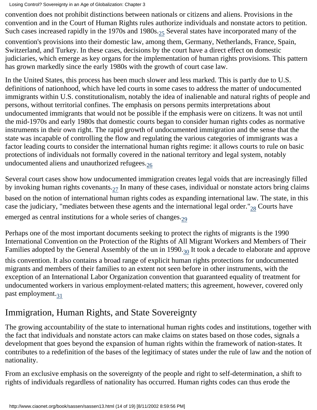convention does not prohibit distinctions between nationals or citizens and aliens. Provisions in the convention and in the Court of Human Rights rules authorize individuals and nonstate actors to petition. Such cases increased rapidly in the 1970s and 1980s.  $_{25}$  Several states have incorporated many of the

<span id="page-49-0"></span>convention's provisions into their domestic law, among them, Germany, Netherlands, France, Spain, Switzerland, and Turkey. In these cases, decisions by the court have a direct effect on domestic judiciaries, which emerge as key organs for the implementation of human rights provisions. This pattern has grown markedly since the early 1980s with the growth of court case law.

In the United States, this process has been much slower and less marked. This is partly due to U.S. definitions of nationhood, which have led courts in some cases to address the matter of undocumented immigrants within U.S. constitutionalism, notably the idea of inalienable and natural rights of people and persons, without territorial confines. The emphasis on persons permits interpretations about undocumented immigrants that would not be possible if the emphasis were on citizens. It was not until the mid-1970s and early 1980s that domestic courts began to consider human rights codes as normative instruments in their own right. The rapid growth of undocumented immigration and the sense that the state was incapable of controlling the flow and regulating the various categories of immigrants was a factor leading courts to consider the international human rights regime: it allows courts to rule on basic protections of individuals not formally covered in the national territory and legal system, notably undocumented aliens and unauthorized refugees. $_{26}$ 

<span id="page-49-2"></span><span id="page-49-1"></span>Several court cases show how undocumented immigration creates legal voids that are increasingly filled by invoking human rights covenants.<sub>27</sub> In many of these cases, individual or nonstate actors bring claims based on the notion of international human rights codes as expanding international law. The state, in this case the judiciary, "mediates between these agents and the international legal order." $_{28}$  Courts have emerged as central institutions for a whole series of changes.<sub>[29](#page-53-15)</sub>

<span id="page-49-4"></span><span id="page-49-3"></span>Perhaps one of the most important documents seeking to protect the rights of migrants is the 1990 International Convention on the Protection of the Rights of All Migrant Workers and Members of Their Families adopted by the General Assembly of the un in 1990.<sub>30</sub> It took a decade to elaborate and approve

<span id="page-49-5"></span>this convention. It also contains a broad range of explicit human rights protections for undocumented migrants and members of their families to an extent not seen before in other instruments, with the exception of an International Labor Organization convention that guaranteed equality of treatment for undocumented workers in various employment-related matters; this agreement, however, covered only past employment.<sub>[31](#page-53-17)</sub>

# <span id="page-49-6"></span>Immigration, Human Rights, and State Sovereignty

The growing accountability of the state to international human rights codes and institutions, together with the fact that individuals and nonstate actors can make claims on states based on those codes, signals a development that goes beyond the expansion of human rights within the framework of nation-states. It contributes to a redefinition of the bases of the legitimacy of states under the rule of law and the notion of nationality.

From an exclusive emphasis on the sovereignty of the people and right to self-determination, a shift to rights of individuals regardless of nationality has occurred. Human rights codes can thus erode the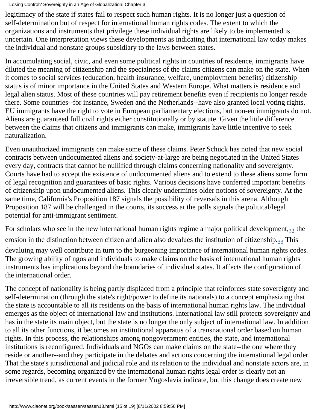legitimacy of the state if states fail to respect such human rights. It is no longer just a question of self-determination but of respect for international human rights codes. The extent to which the organizations and instruments that privilege these individual rights are likely to be implemented is uncertain. One interpretation views these developments as indicating that international law today makes the individual and nonstate groups subsidiary to the laws between states.

In accumulating social, civic, and even some political rights in countries of residence, immigrants have diluted the meaning of citizenship and the specialness of the claims citizens can make on the state. When it comes to social services (education, health insurance, welfare, unemployment benefits) citizenship status is of minor importance in the United States and Western Europe. What matters is residence and legal alien status. Most of these countries will pay retirement benefits even if recipients no longer reside there. Some countries--for instance, Sweden and the Netherlands--have also granted local voting rights. EU immigrants have the right to vote in European parliamentary elections, but non-eu immigrants do not. Aliens are guaranteed full civil rights either constitutionally or by statute. Given the little difference between the claims that citizens and immigrants can make, immigrants have little incentive to seek naturalization.

Even unauthorized immigrants can make some of these claims. Peter Schuck has noted that new social contracts between undocumented aliens and society-at-large are being negotiated in the United States every day, contracts that cannot be nullified through claims concerning nationality and sovereignty. Courts have had to accept the existence of undocumented aliens and to extend to these aliens some form of legal recognition and guarantees of basic rights. Various decisions have conferred important benefits of citizenship upon undocumented aliens. This clearly undermines older notions of sovereignty. At the same time, California's Proposition 187 signals the possibility of reversals in this arena. Although Proposition 187 will be challenged in the courts, its success at the polls signals the political/legal potential for anti-immigrant sentiment.

<span id="page-50-0"></span>For scholars who see in the new international human rights regime a major political development, $32$  the

<span id="page-50-1"></span>erosion in the distinction between citizen and alien also devalues the institution of citizenship.<sub>33</sub> This

devaluing may well contribute in turn to the burgeoning importance of international human rights codes. The growing ability of ngos and individuals to make claims on the basis of international human rights instruments has implications beyond the boundaries of individual states. It affects the configuration of the international order.

The concept of nationality is being partly displaced from a principle that reinforces state sovereignty and self-determination (through the state's right/power to define its nationals) to a concept emphasizing that the state is accountable to all its residents on the basis of international human rights law. The individual emerges as the object of international law and institutions. International law still protects sovereignty and has in the state its main object, but the state is no longer the only subject of international law. In addition to all its other functions, it becomes an institutional apparatus of a transnational order based on human rights. In this process, the relationships among nongovernment entities, the state, and international institutions is reconfigured. Individuals and NGOs can make claims on the state--the one where they reside or another--and they participate in the debates and actions concerning the international legal order. That the state's jurisdictional and judicial role and its relation to the individual and nonstate actors are, in some regards, becoming organized by the international human rights legal order is clearly not an irreversible trend, as current events in the former Yugoslavia indicate, but this change does create new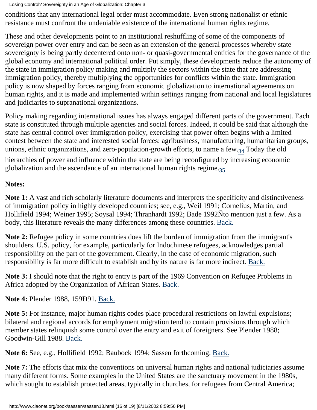Losing Control? Sovereignty in an Age of Globalization: Chapter 3

conditions that any international legal order must accommodate. Even strong nationalist or ethnic resistance must confront the undeniable existence of the international human rights regime.

These and other developments point to an institutional reshuffling of some of the components of sovereign power over entry and can be seen as an extension of the general processes whereby state sovereignty is being partly decentered onto non- or quasi-governmental entities for the governance of the global economy and international political order. Put simply, these developments reduce the autonomy of the state in immigration policy making and multiply the sectors within the state that are addressing immigration policy, thereby multiplying the opportunities for conflicts within the state. Immigration policy is now shaped by forces ranging from economic globalization to international agreements on human rights, and it is made and implemented within settings ranging from national and local legislatures and judiciaries to supranational organizations.

Policy making regarding international issues has always engaged different parts of the government. Each state is constituted through multiple agencies and social forces. Indeed, it could be said that although the state has central control over immigration policy, exercising that power often begins with a limited contest between the state and interested social forces: agribusiness, manufacturing, humanitarian groups, unions, ethnic organizations, and zero-population-growth efforts, to name a few. $_{34}$  Today the old

<span id="page-51-8"></span><span id="page-51-7"></span>hierarchies of power and influence within the state are being reconfigured by increasing economic globalization and the ascendance of an international human rights regime. $35$ 

#### **Notes:**

<span id="page-51-0"></span>**Note 1:** A vast and rich scholarly literature documents and interprets the specificity and distinctiveness of immigration policy in highly developed countries; see, e.g., Weil 1991; Cornelius, Martin, and Hollifield 1994; Weiner 1995; Soysal 1994; Thranhardt 1992; Bade 1992Ñto mention just a few. As a body, this literature reveals the many differences among these countries. [Back.](#page-37-0)

<span id="page-51-1"></span>Note 2: Refugee policy in some countries does lift the burden of immigration from the immigrant's shoulders. U.S. policy, for example, particularly for Indochinese refugees, acknowledges partial responsibility on the part of the government. Clearly, in the case of economic migration, such responsibility is far more difficult to establish and by its nature is far more indirect. [Back.](#page-38-0)

<span id="page-51-2"></span>**Note 3:** I should note that the right to entry is part of the 1969 Convention on Refugee Problems in Africa adopted by the Organization of African States. [Back.](#page-38-1)

<span id="page-51-3"></span>**Note 4:** Plender 1988, 159Ð91. [Back.](#page-38-2)

<span id="page-51-4"></span>**Note 5:** For instance, major human rights codes place procedural restrictions on lawful expulsions; bilateral and regional accords for employment migration tend to contain provisions through which member states relinquish some control over the entry and exit of foreigners. See Plender 1988; Goodwin-Gill 1988. [Back.](#page-38-3)

<span id="page-51-5"></span>**Note 6:** See, e.g., Hollifield 1992; Baubock 1994; Sassen forthcoming. [Back.](#page-39-0)

<span id="page-51-6"></span>**Note 7:** The efforts that mix the conventions on universal human rights and national judiciaries assume many different forms. Some examples in the United States are the sanctuary movement in the 1980s, which sought to establish protected areas, typically in churches, for refugees from Central America;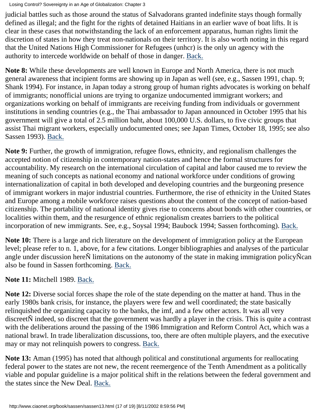judicial battles such as those around the status of Salvadorans granted indefinite stays though formally defined as illegal; and the fight for the rights of detained Haitians in an earlier wave of boat lifts. It is clear in these cases that notwithstanding the lack of an enforcement apparatus, human rights limit the discretion of states in how they treat non-nationals on their territory. It is also worth noting in this regard that the United Nations High Commissioner for Refugees (unhcr) is the only un agency with the authority to intercede worldwide on behalf of those in danger. [Back.](#page-39-1)

<span id="page-52-0"></span>**Note 8:** While these developments are well known in Europe and North America, there is not much general awareness that incipient forms are showing up in Japan as well (see, e.g., Sassen 1991, chap. 9; Shank 1994). For instance, in Japan today a strong group of human rights advocates is working on behalf of immigrants; nonofficial unions are trying to organize undocumented immigrant workers; and organizations working on behalf of immigrants are receiving funding from individuals or government institutions in sending countries (e.g., the Thai ambassador to Japan announced in October 1995 that his government will give a total of 2.5 million baht, about 100,000 U.S. dollars, to five civic groups that assist Thai migrant workers, especially undocumented ones; see Japan Times, October 18, 1995; see also Sassen 1993). [Back.](#page-39-2)

<span id="page-52-1"></span>**Note 9:** Further, the growth of immigration, refugee flows, ethnicity, and regionalism challenges the accepted notion of citizenship in contemporary nation-states and hence the formal structures for accountability. My research on the international circulation of capital and labor caused me to review the meaning of such concepts as national economy and national workforce under conditions of growing internationalization of capital in both developed and developing countries and the burgeoning presence of immigrant workers in major industrial countries. Furthermore, the rise of ethnicity in the United States and Europe among a mobile workforce raises questions about the content of the concept of nation-based citizenship. The portability of national identity gives rise to concerns about bonds with other countries, or localities within them, and the resurgence of ethnic regionalism creates barriers to the political incorporation of new immigrants. See, e.g., Soysal 1994; Baubock 1994; Sassen forthcoming). [Back.](#page-40-0)

<span id="page-52-2"></span>**Note 10:** There is a large and rich literature on the development of immigration policy at the European level; please refer to n. 1, above, for a few citations. Longer bibliographies and analyses of the particular angle under discussion here $\tilde{N}$  limitations on the autonomy of the state in making immigration policy $\tilde{N}$ can also be found in Sassen forthcoming. [Back.](#page-40-1)

#### <span id="page-52-3"></span>**Note 11:** Mitchell 1989. [Back.](#page-40-2)

<span id="page-52-4"></span>**Note 12:** Diverse social forces shape the role of the state depending on the matter at hand. Thus in the early 1980s bank crisis, for instance, the players were few and well coordinated; the state basically relinquished the organizing capacity to the banks, the imf, and a few other actors. It was all very discreetÑ indeed, so discreet that the government was hardly a player in the crisis. This is quite a contrast with the deliberations around the passing of the 1986 Immigration and Reform Control Act, which was a national brawl. In trade liberalization discussions, too, there are often multiple players, and the executive may or may not relinquish powers to congress. [Back.](#page-40-3)

<span id="page-52-5"></span>**Note 13:** Aman (1995) has noted that although political and constitutional arguments for reallocating federal power to the states are not new, the recent reemergence of the Tenth Amendment as a politically viable and popular guideline is a major political shift in the relations between the federal government and the states since the New Deal. [Back.](#page-40-4)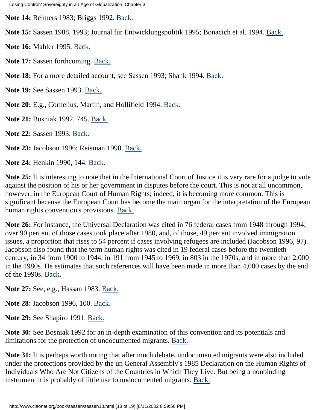<span id="page-53-0"></span>**Note 14:** Reimers 1983; Briggs 1992. [Back.](#page-41-0)

<span id="page-53-1"></span>**Note 15:** Sassen 1988, 1993; Journal fur Entwicklungspolitik 1995; Bonacich et al. 1994. [Back.](#page-41-1)

<span id="page-53-2"></span>**Note 16:** Mahler 1995. [Back.](#page-41-2)

<span id="page-53-3"></span>Note 17: Sassen forthcoming. [Back.](#page-42-0)

<span id="page-53-4"></span>**Note 18:** For a more detailed account, see Sassen 1993; Shank 1994. [Back.](#page-45-0)

<span id="page-53-5"></span>**Note 19:** See Sassen 1993. [Back.](#page-45-1)

<span id="page-53-6"></span>**Note 20:** E.g., Cornelius, Martin, and Hollifield 1994. [Back.](#page-46-0)

<span id="page-53-7"></span>**Note 21:** Bosniak 1992, 745. [Back.](#page-46-1)

<span id="page-53-8"></span>**Note 22:** Sassen 1993. [Back.](#page-47-0)

<span id="page-53-9"></span>**Note 23:** Jacobson 1996; Reisman 1990. [Back.](#page-47-1)

<span id="page-53-10"></span>**Note 24:** Henkin 1990, 144. [Back.](#page-48-0)

<span id="page-53-11"></span>**Note 25:** It is interesting to note that in the International Court of Justice it is very rare for a judge to vote against the position of his or her government in disputes before the court. This is not at all uncommon, however, in the European Court of Human Rights; indeed, it is becoming more common. This is significant because the European Court has become the main organ for the interpretation of the European human rights convention's provisions. [Back.](#page-49-0)

<span id="page-53-12"></span>**Note 26:** For instance, the Universal Declaration was cited in 76 federal cases from 1948 through 1994; over 90 percent of those cases took place after 1980, and, of those, 49 percent involved immigration issues, a proportion that rises to 54 percent if cases involving refugees are included (Jacobson 1996, 97). Jacobson also found that the term human rights was cited in 19 federal cases before the twentieth century, in 34 from 1900 to 1944, in 191 from 1945 to 1969, in 803 in the 1970s, and in more than 2,000 in the 1980s. He estimates that such references will have been made in more than 4,000 cases by the end of the 1990s. [Back.](#page-49-1)

<span id="page-53-13"></span>**Note 27:** See, e.g., Hassan 1983. [Back.](#page-49-2)

<span id="page-53-14"></span>**Note 28:** Jacobson 1996, 100. [Back.](#page-49-3)

<span id="page-53-15"></span>**Note 29: See Shapiro 1991. <u>Back.</u>** 

<span id="page-53-16"></span>**Note 30:** See Bosniak 1992 for an in-depth examination of this convention and its potentials and limitations for the protection of undocumented migrants. [Back.](#page-49-5)

<span id="page-53-17"></span>**Note 31:** It is perhaps worth noting that after much debate, undocumented migrants were also included under the protections provided by the un General Assembly's 1985 Declaration on the Human Rights of Individuals Who Are Not Citizens of the Countries in Which They Live. But being a nonbinding instrument it is probably of little use to undocumented migrants. [Back.](#page-49-6)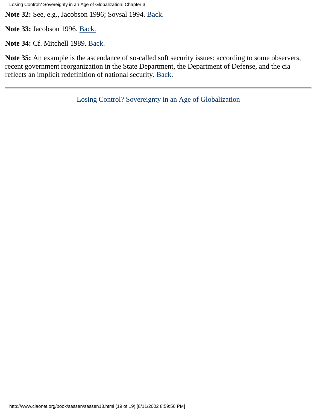<span id="page-54-0"></span>**Note 32:** See, e.g., Jacobson 1996; Soysal 1994. [Back.](#page-50-0)

<span id="page-54-1"></span>**Note 33:** Jacobson 1996. [Back.](#page-50-1)

<span id="page-54-2"></span>**Note 34:** Cf. Mitchell 1989. [Back.](#page-51-7)

<span id="page-54-3"></span>**Note 35:** An example is the ascendance of so-called soft security issues: according to some observers, recent government reorganization in the State Department, the Department of Defense, and the cia reflects an implicit redefinition of national security. [Back.](#page-51-8)

[Losing Control? Sovereignty in an Age of Globalization](#page-0-0)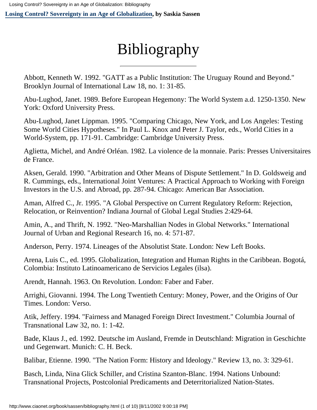**[Losing Control? Sovereignty in an Age of Globalization](#page-0-0), by Saskia Sassen**

# Bibliography

Abbott, Kenneth W. 1992. "GATT as a Public Institution: The Uruguay Round and Beyond." Brooklyn Journal of International Law 18, no. 1: 31-85.

Abu-Lughod, Janet. 1989. Before European Hegemony: The World System a.d. 1250-1350. New York: Oxford University Press.

Abu-Lughod, Janet Lippman. 1995. "Comparing Chicago, New York, and Los Angeles: Testing Some World Cities Hypotheses." In Paul L. Knox and Peter J. Taylor, eds., World Cities in a World-System, pp. 171-91. Cambridge: Cambridge University Press.

Aglietta, Michel, and André Orléan. 1982. La violence de la monnaie. Paris: Presses Universitaires de France.

Aksen, Gerald. 1990. "Arbitration and Other Means of Dispute Settlement." In D. Goldsweig and R. Cummings, eds., International Joint Ventures: A Practical Approach to Working with Foreign Investors in the U.S. and Abroad, pp. 287-94. Chicago: American Bar Association.

Aman, Alfred C., Jr. 1995. "A Global Perspective on Current Regulatory Reform: Rejection, Relocation, or Reinvention? Indiana Journal of Global Legal Studies 2:429-64.

Amin, A., and Thrift, N. 1992. "Neo-Marshallian Nodes in Global Networks." International Journal of Urban and Regional Research 16, no. 4: 571-87.

Anderson, Perry. 1974. Lineages of the Absolutist State. London: New Left Books.

Arena, Luis C., ed. 1995. Globalization, Integration and Human Rights in the Caribbean. Bogotá, Colombia: Instituto Latinoamericano de Servicios Legales (ilsa).

Arendt, Hannah. 1963. On Revolution. London: Faber and Faber.

Arrighi, Giovanni. 1994. The Long Twentieth Century: Money, Power, and the Origins of Our Times. London: Verso.

Atik, Jeffery. 1994. "Fairness and Managed Foreign Direct Investment." Columbia Journal of Transnational Law 32, no. 1: 1-42.

Bade, Klaus J., ed. 1992. Deutsche im Ausland, Fremde in Deutschland: Migration in Geschichte und Gegenwart. Munich: C. H. Beck.

Balibar, Etienne. 1990. "The Nation Form: History and Ideology." Review 13, no. 3: 329-61.

Basch, Linda, Nina Glick Schiller, and Cristina Szanton-Blanc. 1994. Nations Unbound: Transnational Projects, Postcolonial Predicaments and Deterritorialized Nation-States.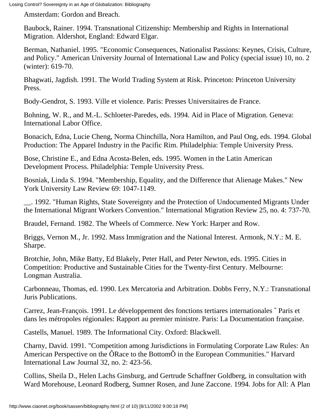Amsterdam: Gordon and Breach.

Baubock, Rainer. 1994. Transnational Citizenship: Membership and Rights in International Migration. Aldershot, England: Edward Elgar.

Berman, Nathaniel. 1995. "Economic Consequences, Nationalist Passions: Keynes, Crisis, Culture, and Policy." American University Journal of International Law and Policy (special issue) 10, no. 2 (winter): 619-70.

Bhagwati, Jagdish. 1991. The World Trading System at Risk. Princeton: Princeton University Press.

Body-Gendrot, S. 1993. Ville et violence. Paris: Presses Universitaires de France.

Bohning, W. R., and M.-L. Schloeter-Paredes, eds. 1994. Aid in Place of Migration. Geneva: International Labor Office.

Bonacich, Edna, Lucie Cheng, Norma Chinchilla, Nora Hamilton, and Paul Ong, eds. 1994. Global Production: The Apparel Industry in the Pacific Rim. Philadelphia: Temple University Press.

Bose, Christine E., and Edna Acosta-Belen, eds. 1995. Women in the Latin American Development Process. Philadelphia: Temple University Press.

Bosniak, Linda S. 1994. "Membership, Equality, and the Difference that Alienage Makes." New York University Law Review 69: 1047-1149.

\_\_. 1992. "Human Rights, State Sovereignty and the Protection of Undocumented Migrants Under the International Migrant Workers Convention." International Migration Review 25, no. 4: 737-70.

Braudel, Fernand. 1982. The Wheels of Commerce. New York: Harper and Row.

Briggs, Vernon M., Jr. 1992. Mass Immigration and the National Interest. Armonk, N.Y.: M. E. Sharpe.

Brotchie, John, Mike Batty, Ed Blakely, Peter Hall, and Peter Newton, eds. 1995. Cities in Competition: Productive and Sustainable Cities for the Twenty-first Century. Melbourne: Longman Australia.

Carbonneau, Thomas, ed. 1990. Lex Mercatoria and Arbitration. Dobbs Ferry, N.Y.: Transnational Juris Publications.

Carrez, Jean-François. 1991. Le développement des fonctions tertiares internationales ˆ Paris et dans les métropoles régionales: Rapport au premier ministre. Paris: La Documentation française.

Castells, Manuel. 1989. The Informational City. Oxford: Blackwell.

Charny, David. 1991. "Competition among Jurisdictions in Formulating Corporate Law Rules: An American Perspective on the ÔRace to the BottomÕ in the European Communities." Harvard International Law Journal 32, no. 2: 423-56.

Collins, Sheila D., Helen Lachs Ginsburg, and Gertrude Schaffner Goldberg, in consultation with Ward Morehouse, Leonard Rodberg, Sumner Rosen, and June Zaccone. 1994. Jobs for All: A Plan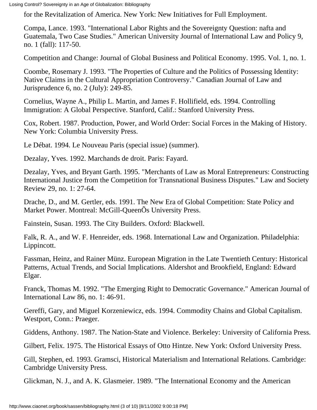for the Revitalization of America. New York: New Initiatives for Full Employment.

Compa, Lance. 1993. "International Labor Rights and the Sovereignty Question: nafta and Guatemala, Two Case Studies." American University Journal of International Law and Policy 9, no. 1 (fall): 117-50.

Competition and Change: Journal of Global Business and Political Economy. 1995. Vol. 1, no. 1.

Coombe, Rosemary J. 1993. "The Properties of Culture and the Politics of Possessing Identity: Native Claims in the Cultural Appropriation Controversy." Canadian Journal of Law and Jurisprudence 6, no. 2 (July): 249-85.

Cornelius, Wayne A., Philip L. Martin, and James F. Hollifield, eds. 1994. Controlling Immigration: A Global Perspective. Stanford, Calif.: Stanford University Press.

Cox, Robert. 1987. Production, Power, and World Order: Social Forces in the Making of History. New York: Columbia University Press.

Le Débat. 1994. Le Nouveau Paris (special issue) (summer).

Dezalay, Yves. 1992. Marchands de droit. Paris: Fayard.

Dezalay, Yves, and Bryant Garth. 1995. "Merchants of Law as Moral Entrepreneurs: Constructing International Justice from the Competition for Transnational Business Disputes." Law and Society Review 29, no. 1: 27-64.

Drache, D., and M. Gertler, eds. 1991. The New Era of Global Competition: State Policy and Market Power. Montreal: McGill-QueenÕs University Press.

Fainstein, Susan. 1993. The City Builders. Oxford: Blackwell.

Falk, R. A., and W. F. Henreider, eds. 1968. International Law and Organization. Philadelphia: Lippincott.

Fassman, Heinz, and Rainer Münz. European Migration in the Late Twentieth Century: Historical Patterns, Actual Trends, and Social Implications. Aldershot and Brookfield, England: Edward Elgar.

Franck, Thomas M. 1992. "The Emerging Right to Democratic Governance." American Journal of International Law 86, no. 1: 46-91.

Gereffi, Gary, and Miguel Korzeniewicz, eds. 1994. Commodity Chains and Global Capitalism. Westport, Conn.: Praeger.

Giddens, Anthony. 1987. The Nation-State and Violence. Berkeley: University of California Press.

Gilbert, Felix. 1975. The Historical Essays of Otto Hintze. New York: Oxford University Press.

Gill, Stephen, ed. 1993. Gramsci, Historical Materialism and International Relations. Cambridge: Cambridge University Press.

Glickman, N. J., and A. K. Glasmeier. 1989. "The International Economy and the American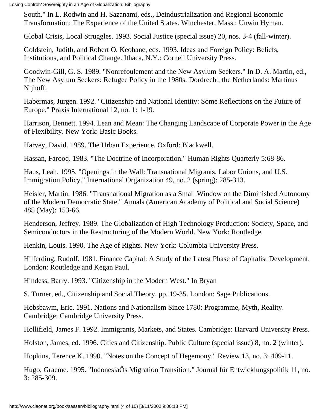South." In L. Rodwin and H. Sazanami, eds., Deindustrialization and Regional Economic Transformation: The Experience of the United States. Winchester, Mass.: Unwin Hyman.

Global Crisis, Local Struggles. 1993. Social Justice (special issue) 20, nos. 3-4 (fall-winter).

Goldstein, Judith, and Robert O. Keohane, eds. 1993. Ideas and Foreign Policy: Beliefs, Institutions, and Political Change. Ithaca, N.Y.: Cornell University Press.

Goodwin-Gill, G. S. 1989. "Nonrefoulement and the New Asylum Seekers." In D. A. Martin, ed., The New Asylum Seekers: Refugee Policy in the 1980s. Dordrecht, the Netherlands: Martinus Nijhoff.

Habermas, Jurgen. 1992. "Citizenship and National Identity: Some Reflections on the Future of Europe." Praxis International 12, no. 1: 1-19.

Harrison, Bennett. 1994. Lean and Mean: The Changing Landscape of Corporate Power in the Age of Flexibility. New York: Basic Books.

Harvey, David. 1989. The Urban Experience. Oxford: Blackwell.

Hassan, Farooq. 1983. "The Doctrine of Incorporation." Human Rights Quarterly 5:68-86.

Haus, Leah. 1995. "Openings in the Wall: Transnational Migrants, Labor Unions, and U.S. Immigration Policy." International Organization 49, no. 2 (spring): 285-313.

Heisler, Martin. 1986. "Transnational Migration as a Small Window on the Diminished Autonomy of the Modern Democratic State." Annals (American Academy of Political and Social Science) 485 (May): 153-66.

Henderson, Jeffrey. 1989. The Globalization of High Technology Production: Society, Space, and Semiconductors in the Restructuring of the Modern World. New York: Routledge.

Henkin, Louis. 1990. The Age of Rights. New York: Columbia University Press.

Hilferding, Rudolf. 1981. Finance Capital: A Study of the Latest Phase of Capitalist Development. London: Routledge and Kegan Paul.

Hindess, Barry. 1993. "Citizenship in the Modern West." In Bryan

S. Turner, ed., Citizenship and Social Theory, pp. 19-35. London: Sage Publications.

Hobsbawm, Eric. 1991. Nations and Nationalism Since 1780: Programme, Myth, Reality. Cambridge: Cambridge University Press.

Hollifield, James F. 1992. Immigrants, Markets, and States. Cambridge: Harvard University Press.

Holston, James, ed. 1996. Cities and Citizenship. Public Culture (special issue) 8, no. 2 (winter).

Hopkins, Terence K. 1990. "Notes on the Concept of Hegemony." Review 13, no. 3: 409-11.

Hugo, Graeme. 1995. "IndonesiaÕs Migration Transition." Journal für Entwicklungspolitik 11, no. 3: 285-309.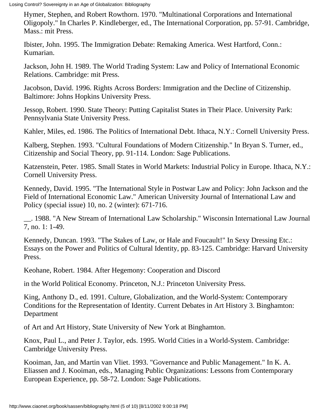Hymer, Stephen, and Robert Rowthorn. 1970. "Multinational Corporations and International Oligopoly." In Charles P. Kindleberger, ed., The International Corporation, pp. 57-91. Cambridge, Mass.: mit Press.

Ibister, John. 1995. The Immigration Debate: Remaking America. West Hartford, Conn.: Kumarian.

Jackson, John H. 1989. The World Trading System: Law and Policy of International Economic Relations. Cambridge: mit Press.

Jacobson, David. 1996. Rights Across Borders: Immigration and the Decline of Citizenship. Baltimore: Johns Hopkins University Press.

Jessop, Robert. 1990. State Theory: Putting Capitalist States in Their Place. University Park: Pennsylvania State University Press.

Kahler, Miles, ed. 1986. The Politics of International Debt. Ithaca, N.Y.: Cornell University Press.

Kalberg, Stephen. 1993. "Cultural Foundations of Modern Citizenship." In Bryan S. Turner, ed., Citizenship and Social Theory, pp. 91-114. London: Sage Publications.

Katzenstein, Peter. 1985. Small States in World Markets: Industrial Policy in Europe. Ithaca, N.Y.: Cornell University Press.

Kennedy, David. 1995. "The International Style in Postwar Law and Policy: John Jackson and the Field of International Economic Law." American University Journal of International Law and Policy (special issue) 10, no. 2 (winter): 671-716.

\_\_. 1988. "A New Stream of International Law Scholarship." Wisconsin International Law Journal 7, no. 1: 1-49.

Kennedy, Duncan. 1993. "The Stakes of Law, or Hale and Foucault!" In Sexy Dressing Etc.: Essays on the Power and Politics of Cultural Identity, pp. 83-125. Cambridge: Harvard University Press.

Keohane, Robert. 1984. After Hegemony: Cooperation and Discord

in the World Political Economy. Princeton, N.J.: Princeton University Press.

King, Anthony D., ed. 1991. Culture, Globalization, and the World-System: Contemporary Conditions for the Representation of Identity. Current Debates in Art History 3. Binghamton: Department

of Art and Art History, State University of New York at Binghamton.

Knox, Paul L., and Peter J. Taylor, eds. 1995. World Cities in a World-System. Cambridge: Cambridge University Press.

Kooiman, Jan, and Martin van Vliet. 1993. "Governance and Public Management." In K. A. Eliassen and J. Kooiman, eds., Managing Public Organizations: Lessons from Contemporary European Experience, pp. 58-72. London: Sage Publications.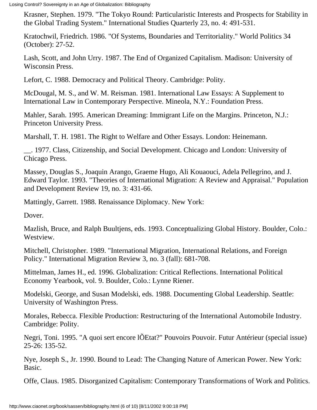Krasner, Stephen. 1979. "The Tokyo Round: Particularistic Interests and Prospects for Stability in the Global Trading System." International Studies Quarterly 23, no. 4: 491-531.

Kratochwil, Friedrich. 1986. "Of Systems, Boundaries and Territoriality." World Politics 34 (October): 27-52.

Lash, Scott, and John Urry. 1987. The End of Organized Capitalism. Madison: University of Wisconsin Press.

Lefort, C. 1988. Democracy and Political Theory. Cambridge: Polity.

McDougal, M. S., and W. M. Reisman. 1981. International Law Essays: A Supplement to International Law in Contemporary Perspective. Mineola, N.Y.: Foundation Press.

Mahler, Sarah. 1995. American Dreaming: Immigrant Life on the Margins. Princeton, N.J.: Princeton University Press.

Marshall, T. H. 1981. The Right to Welfare and Other Essays. London: Heinemann.

\_\_. 1977. Class, Citizenship, and Social Development. Chicago and London: University of Chicago Press.

Massey, Douglas S., Joaquin Arango, Graeme Hugo, Ali Kouaouci, Adela Pellegrino, and J. Edward Taylor. 1993. "Theories of International Migration: A Review and Appraisal." Population and Development Review 19, no. 3: 431-66.

Mattingly, Garrett. 1988. Renaissance Diplomacy. New York:

Dover.

Mazlish, Bruce, and Ralph Buultjens, eds. 1993. Conceptualizing Global History. Boulder, Colo.: Westview.

Mitchell, Christopher. 1989. "International Migration, International Relations, and Foreign Policy." International Migration Review 3, no. 3 (fall): 681-708.

Mittelman, James H., ed. 1996. Globalization: Critical Reflections. International Political Economy Yearbook, vol. 9. Boulder, Colo.: Lynne Riener.

Modelski, George, and Susan Modelski, eds. 1988. Documenting Global Leadership. Seattle: University of Washington Press.

Morales, Rebecca. Flexible Production: Restructuring of the International Automobile Industry. Cambridge: Polity.

Negri, Toni. 1995. "A quoi sert encore lÕEtat?" Pouvoirs Pouvoir. Futur Antérieur (special issue) 25-26: 135-52.

Nye, Joseph S., Jr. 1990. Bound to Lead: The Changing Nature of American Power. New York: Basic.

Offe, Claus. 1985. Disorganized Capitalism: Contemporary Transformations of Work and Politics.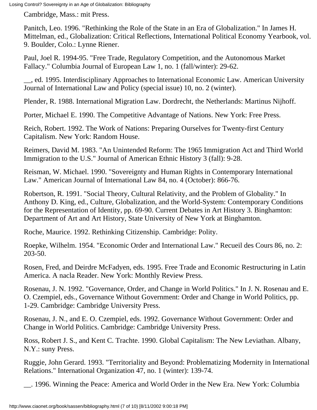Cambridge, Mass.: mit Press.

Panitch, Leo. 1996. "Rethinking the Role of the State in an Era of Globalization." In James H. Mittelman, ed., Globalization: Critical Reflections, International Political Economy Yearbook, vol. 9. Boulder, Colo.: Lynne Riener.

Paul, Joel R. 1994-95. "Free Trade, Regulatory Competition, and the Autonomous Market Fallacy." Columbia Journal of European Law 1, no. 1 (fall/winter): 29-62.

\_\_, ed. 1995. Interdisciplinary Approaches to International Economic Law. American University Journal of International Law and Policy (special issue) 10, no. 2 (winter).

Plender, R. 1988. International Migration Law. Dordrecht, the Netherlands: Martinus Nijhoff.

Porter, Michael E. 1990. The Competitive Advantage of Nations. New York: Free Press.

Reich, Robert. 1992. The Work of Nations: Preparing Ourselves for Twenty-first Century Capitalism. New York: Random House.

Reimers, David M. 1983. "An Unintended Reform: The 1965 Immigration Act and Third World Immigration to the U.S." Journal of American Ethnic History 3 (fall): 9-28.

Reisman, W. Michael. 1990. "Sovereignty and Human Rights in Contemporary International Law." American Journal of International Law 84, no. 4 (October): 866-76.

Robertson, R. 1991. "Social Theory, Cultural Relativity, and the Problem of Globality." In Anthony D. King, ed., Culture, Globalization, and the World-System: Contemporary Conditions for the Representation of Identity, pp. 69-90. Current Debates in Art History 3. Binghamton: Department of Art and Art History, State University of New York at Binghamton.

Roche, Maurice. 1992. Rethinking Citizenship. Cambridge: Polity.

Roepke, Wilhelm. 1954. "Economic Order and International Law." Recueil des Cours 86, no. 2: 203-50.

Rosen, Fred, and Deirdre McFadyen, eds. 1995. Free Trade and Economic Restructuring in Latin America. A nacla Reader. New York: Monthly Review Press.

Rosenau, J. N. 1992. "Governance, Order, and Change in World Politics." In J. N. Rosenau and E. O. Czempiel, eds., Governance Without Government: Order and Change in World Politics, pp. 1-29. Cambridge: Cambridge University Press.

Rosenau, J. N., and E. O. Czempiel, eds. 1992. Governance Without Government: Order and Change in World Politics. Cambridge: Cambridge University Press.

Ross, Robert J. S., and Kent C. Trachte. 1990. Global Capitalism: The New Leviathan. Albany, N.Y.: suny Press.

Ruggie, John Gerard. 1993. "Territoriality and Beyond: Problematizing Modernity in International Relations." International Organization 47, no. 1 (winter): 139-74.

\_\_. 1996. Winning the Peace: America and World Order in the New Era. New York: Columbia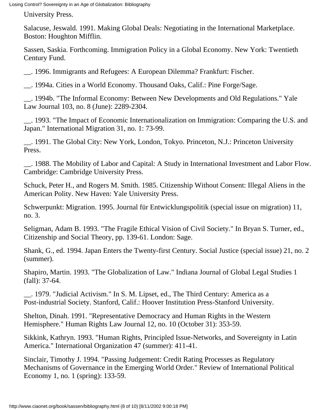University Press.

Salacuse, Jeswald. 1991. Making Global Deals: Negotiating in the International Marketplace. Boston: Houghton Mifflin.

Sassen, Saskia. Forthcoming. Immigration Policy in a Global Economy. New York: Twentieth Century Fund.

\_\_. 1996. Immigrants and Refugees: A European Dilemma? Frankfurt: Fischer.

\_\_. 1994a. Cities in a World Economy. Thousand Oaks, Calif.: Pine Forge/Sage.

\_\_. 1994b. "The Informal Economy: Between New Developments and Old Regulations." Yale Law Journal 103, no. 8 (June): 2289-2304.

\_\_. 1993. "The Impact of Economic Internationalization on Immigration: Comparing the U.S. and Japan." International Migration 31, no. 1: 73-99.

\_\_. 1991. The Global City: New York, London, Tokyo. Princeton, N.J.: Princeton University Press.

\_\_. 1988. The Mobility of Labor and Capital: A Study in International Investment and Labor Flow. Cambridge: Cambridge University Press.

Schuck, Peter H., and Rogers M. Smith. 1985. Citizenship Without Consent: Illegal Aliens in the American Polity. New Haven: Yale University Press.

Schwerpunkt: Migration. 1995. Journal für Entwicklungspolitik (special issue on migration) 11, no. 3.

Seligman, Adam B. 1993. "The Fragile Ethical Vision of Civil Society." In Bryan S. Turner, ed., Citizenship and Social Theory, pp. 139-61. London: Sage.

Shank, G., ed. 1994. Japan Enters the Twenty-first Century. Social Justice (special issue) 21, no. 2 (summer).

Shapiro, Martin. 1993. "The Globalization of Law." Indiana Journal of Global Legal Studies 1 (fall): 37-64.

\_\_. 1979. "Judicial Activism." In S. M. Lipset, ed., The Third Century: America as a Post-industrial Society. Stanford, Calif.: Hoover Institution Press-Stanford University.

Shelton, Dinah. 1991. "Representative Democracy and Human Rights in the Western Hemisphere." Human Rights Law Journal 12, no. 10 (October 31): 353-59.

Sikkink, Kathryn. 1993. "Human Rights, Principled Issue-Networks, and Sovereignty in Latin America." International Organization 47 (summer): 411-41.

Sinclair, Timothy J. 1994. "Passing Judgement: Credit Rating Processes as Regulatory Mechanisms of Governance in the Emerging World Order." Review of International Political Economy 1, no. 1 (spring): 133-59.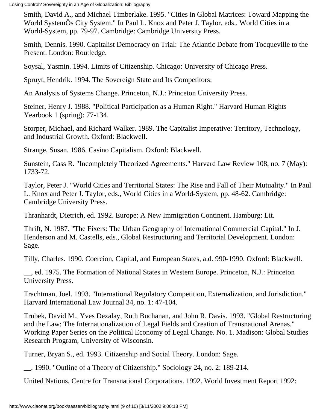Smith, David A., and Michael Timberlake. 1995. "Cities in Global Matrices: Toward Mapping the World SystemÕs City System." In Paul L. Knox and Peter J. Taylor, eds., World Cities in a World-System, pp. 79-97. Cambridge: Cambridge University Press.

Smith, Dennis. 1990. Capitalist Democracy on Trial: The Atlantic Debate from Tocqueville to the Present. London: Routledge.

Soysal, Yasmin. 1994. Limits of Citizenship. Chicago: University of Chicago Press.

Spruyt, Hendrik. 1994. The Sovereign State and Its Competitors:

An Analysis of Systems Change. Princeton, N.J.: Princeton University Press.

Steiner, Henry J. 1988. "Political Participation as a Human Right." Harvard Human Rights Yearbook 1 (spring): 77-134.

Storper, Michael, and Richard Walker. 1989. The Capitalist Imperative: Territory, Technology, and Industrial Growth. Oxford: Blackwell.

Strange, Susan. 1986. Casino Capitalism. Oxford: Blackwell.

Sunstein, Cass R. "Incompletely Theorized Agreements." Harvard Law Review 108, no. 7 (May): 1733-72.

Taylor, Peter J. "World Cities and Territorial States: The Rise and Fall of Their Mutuality." In Paul L. Knox and Peter J. Taylor, eds., World Cities in a World-System, pp. 48-62. Cambridge: Cambridge University Press.

Thranhardt, Dietrich, ed. 1992. Europe: A New Immigration Continent. Hamburg: Lit.

Thrift, N. 1987. "The Fixers: The Urban Geography of International Commercial Capital." In J. Henderson and M. Castells, eds., Global Restructuring and Territorial Development. London: Sage.

Tilly, Charles. 1990. Coercion, Capital, and European States, a.d. 990-1990. Oxford: Blackwell.

\_\_, ed. 1975. The Formation of National States in Western Europe. Princeton, N.J.: Princeton University Press.

Trachtman, Joel. 1993. "International Regulatory Competition, Externalization, and Jurisdiction." Harvard International Law Journal 34, no. 1: 47-104.

Trubek, David M., Yves Dezalay, Ruth Buchanan, and John R. Davis. 1993. "Global Restructuring and the Law: The Internationalization of Legal Fields and Creation of Transnational Arenas." Working Paper Series on the Political Economy of Legal Change. No. 1. Madison: Global Studies Research Program, University of Wisconsin.

Turner, Bryan S., ed. 1993. Citizenship and Social Theory. London: Sage.

\_\_. 1990. "Outline of a Theory of Citizenship." Sociology 24, no. 2: 189-214.

United Nations, Centre for Transnational Corporations. 1992. World Investment Report 1992: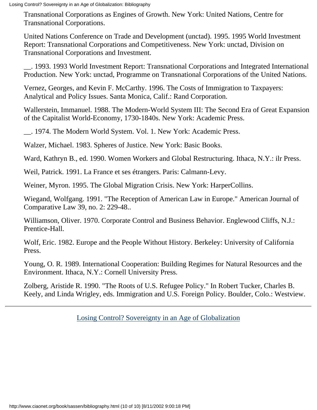Transnational Corporations as Engines of Growth. New York: United Nations, Centre for Transnational Corporations.

United Nations Conference on Trade and Development (unctad). 1995. 1995 World Investment Report: Transnational Corporations and Competitiveness. New York: unctad, Division on Transnational Corporations and Investment.

\_\_. 1993. 1993 World Investment Report: Transnational Corporations and Integrated International Production. New York: unctad, Programme on Transnational Corporations of the United Nations.

Vernez, Georges, and Kevin F. McCarthy. 1996. The Costs of Immigration to Taxpayers: Analytical and Policy Issues. Santa Monica, Calif.: Rand Corporation.

Wallerstein, Immanuel. 1988. The Modern-World System III: The Second Era of Great Expansion of the Capitalist World-Economy, 1730-1840s. New York: Academic Press.

\_\_. 1974. The Modern World System. Vol. 1. New York: Academic Press.

Walzer, Michael. 1983. Spheres of Justice. New York: Basic Books.

Ward, Kathryn B., ed. 1990. Women Workers and Global Restructuring. Ithaca, N.Y.: ilr Press.

Weil, Patrick. 1991. La France et ses étrangers. Paris: Calmann-Levy.

Weiner, Myron. 1995. The Global Migration Crisis. New York: HarperCollins.

Wiegand, Wolfgang. 1991. "The Reception of American Law in Europe." American Journal of Comparative Law 39, no. 2: 229-48..

Williamson, Oliver. 1970. Corporate Control and Business Behavior. Englewood Cliffs, N.J.: Prentice-Hall.

Wolf, Eric. 1982. Europe and the People Without History. Berkeley: University of California Press.

Young, O. R. 1989. International Cooperation: Building Regimes for Natural Resources and the Environment. Ithaca, N.Y.: Cornell University Press.

Zolberg, Aristide R. 1990. "The Roots of U.S. Refugee Policy." In Robert Tucker, Charles B. Keely, and Linda Wrigley, eds. Immigration and U.S. Foreign Policy. Boulder, Colo.: Westview.

[Losing Control? Sovereignty in an Age of Globalization](#page-0-0)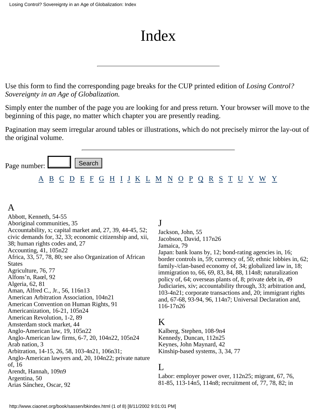# Index

Use this form to find the corresponding page breaks for the CUP printed edition of *Losing Control? Sovereignty in an Age of Globalization.*

Simply enter the number of the page you are looking for and press return. Your browser will move to the beginning of this page, no matter which chapter you are presently reading.

Pagination may seem irregular around tables or illustrations, which do not precisely mirror the lay-out of the original volume.

Page number: [A](book/sassen/pageindex.html#a) [B](book/sassen/pageindex.html#b) [C](book/sassen/pageindex.html#c) [D](book/sassen/pageindex.html#d) [E](book/sassen/pageindex.html#e) [F](book/sassen/pageindex.html#f) [G](book/sassen/pageindex.html#g) [H](book/sassen/pageindex.html#h) [I](book/sassen/pageindex.html#i) [J](book/sassen/pageindex.html#j) [K](book/sassen/pageindex.html#k) [L](book/sassen/pageindex.html#l) [M](book/sassen/pageindex.html#m) [N](book/sassen/pageindex.html#n) [O](book/sassen/pageindex.html#o) [P](book/sassen/pageindex.html#p) [Q](book/sassen/pageindex.html#q) [R](book/sassen/pageindex.html#r) [S](book/sassen/pageindex.html#s) [T](book/sassen/pageindex.html#t) [U](book/sassen/pageindex.html#u) [V](book/sassen/pageindex.html#v) [W](book/sassen/pageindex.html#w) [Y](book/sassen/pageindex.html#y)

# A

Abbott, Kenneth, 54-55 Aboriginal communities, 35 Accountability, x; capital market and, 27, 39, 44-45, 52; civic demands for, 32, 33; economic citizenship and, xii, 38; human rights codes and, 27 Accounting, 41, 105n22 Africa, 33, 57, 78, 80; see also Organization of African **States** Agriculture, 76, 77 Alfons'n, Raœl, 92 Algeria, 62, 81 Aman, Alfred C., Jr., 56, 116n13 American Arbitration Association, 104n21 American Convention on Human Rights, 91 Americanization, 16-21, 105n24 American Revolution, 1-2, 89 Amsterdam stock market, 44 Anglo-American law, 19, 105n22 Anglo-American law firms, 6-7, 20, 104n22, 105n24 Arab nation, 3 Arbitration, 14-15, 26, 58, 103-4n21, 106n31; Anglo-American lawyers and, 20, 104n22; private nature of, 16 Arendt, Hannah, 109n9 Argentina, 50 Arias Sánchez, Oscar, 92 age number:  $\triangle$  B C D E F G H I J K L M N<br>
A C B C D E F G H I J K L M N<br>
Abboti, Kenneth, 54-55<br>
Aboriginal communities, 35<br>
Accountability, x; capital market and, 27, 39, 44-45, 52; Jackson<br>
ivide demands for, 32, 33;

### J

Jackson, John, 55 Jacobson, David, 117n26 Jamaica, 79 Japan: bank loans by, 12; bond-rating agencies in, 16; border controls in, 59; currency of, 50; ethnic lobbies in, 62; family-/clan-based economy of, 34; globalized law in, 18; immigration to, 66, 69, 83, 84, 88, 114n8; naturalization policy of, 64; overseas plants of, 8; private debt in, 49 Judiciaries, xiv; accountability through, 33; arbitration and, 103-4n21; corporate transactions and, 20; immigrant rights and, 67-68, 93-94, 96, 114n7; Universal Declaration and, 116-17n26

## K

Kalberg, Stephen, 108-9n4 Kennedy, Duncan, 112n25 Keynes, John Maynard, 42 Kinship-based systems, 3, 34, 77

#### $\mathbf{L}$

Labor: employer power over, 112n25; migrant, 67, 76, 81-85, 113-14n5, 114n8; recruitment of, 77, 78, 82; in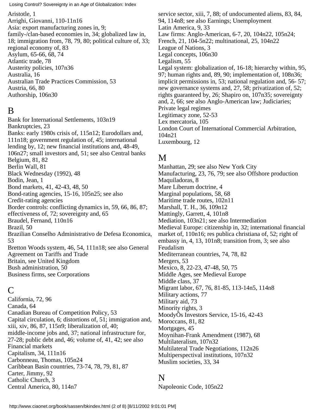Aristotle, 1 Arrighi, Giovanni, 110-11n16 Asia: export manufacturing zones in, 9; family-/clan-based economies in, 34; globalized law in, 18; immigration from, 78, 79, 80; political culture of, 33; regional economy of, 83 Asylum, 65-66, 68, 74 Atlantic trade, 78 Austerity policies, 107n36 Australia, 16 Australian Trade Practices Commission, 53 Austria, 66, 80 Authorship, 106n30

#### B

Bank for International Settlements, 103n19 Bankruptcies, 23 Banks: early 1980s crisis of, 115n12; Eurodollars and, 111n18; government regulation of, 45; international lending by, 12; new financial institutions and, 48-49, 106n27; small investors and, 51; see also Central banks Belgium, 81, 82 Berlin Wall, 81 Black Wednesday (1992), 48 Bodin, Jean, 1 Bond markets, 41, 42-43, 48, 50 Bond-rating agencies, 15-16, 105n25; see also Credit-rating agencies Border controls: conflicting dynamics in, 59, 66, 86, 87; effectiveness of, 72; sovereignty and, 65 Braudel, Fernand, 110n16 Brazil, 50 Brazilian Conselho Administrativo de Defesa Economica, 53 Bretton Woods system, 46, 54, 111n18; see also General Agreement on Tariffs and Trade Britain, see United Kingdom Bush administration, 50 Business firms, see Corporations

### C

California, 72, 96 Canada, 64 Canadian Bureau of Competition Policy, 53 Capital circulation, 6; distortions of, 51; immigration and, xiii, xiv, 86, 87, 115n9; liberalization of, 40; middle-income jobs and, 37; national infrastructure for, 27-28; public debt and, 46; volume of, 41, 42; see also Financial markets Capitalism, 34, 111n16 Carbonneau, Thomas, 105n24 Caribbean Basin countries, 73-74, 78, 79, 81, 87 Carter, Jimmy, 92 Catholic Church, 3 Central America, 80, 114n7

service sector, xiii, 7, 88; of undocumented aliens, 83, 84, 94, 114n8; see also Earnings; Unemployment Latin America, 9, 33 Law firms: Anglo-American, 6-7, 20, 104n22, 105n24; French, 21, 104-5n22; multinational, 25, 104n22 League of Nations, 3 Legal concepts, 106n30 Legalism, 55 Legal system: globalization of, 16-18; hierarchy within, 95, 97; human rights and, 89, 90; implementation of, 108n36; implicit permissions in, 53; national regulation and, 56- 57; new governance systems and, 27, 58; privatization of, 52; rights guaranteed by, 26; Shapiro on, 107n35; sovereignty and, 2, 66; see also Anglo-American law; Judiciaries; Private legal regimes Legitimacy zone, 52-53 Lex mercatoria, 105 London Court of International Commercial Arbitration, 104n21 Luxembourg, 12

### M

Manhattan, 29; see also New York City Manufacturing, 23, 76, 79; see also Offshore production Maquiladoras, 8 Mare Liberum doctrine, 4 Marginal populations, 58, 68 Maritime trade routes, 102n11 Marshall, T. H., 36, 109n12 Mattingly, Garrett, 4, 101n8 Mediation, 103n21; see also Intermediation Medieval Europe: citizenship in, 32; international financial market of, 110n16; res publica christiana of, 52; right of embassy in, 4, 13, 101n8; transition from, 3; see also Feudalism Mediterranean countries, 74, 78, 82 Mergers, 53 Mexico, 8, 22-23, 47-48, 50, 75 Middle Ages, see Medieval Europe Middle class, 37 Migrant labor, 67, 76, 81-85, 113-14n5, 114n8 Military actions, 77 Military aid, 73 Minority rights, 3 MoodyÕs Investors Service, 15-16, 42-43 Moroccans, 81, 82 Mortgages, 45 Moynihan-Frank Amendment (1987), 68 Multilateralism, 107n32 Multilateral Trade Negotiations, 112n26 Multiperspectival institutions, 107n32 Muslim societies, 33, 34

#### N

Napoleonic Code, 105n22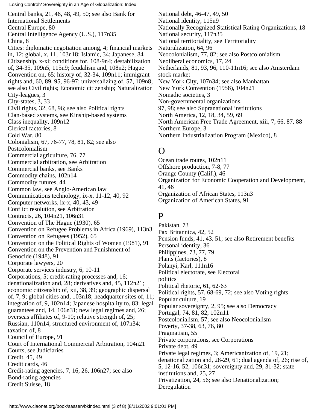Central banks, 21, 46, 48, 49, 50; see also Bank for International Settlements Central Europe, 80 Central Intelligence Agency (U.S.), 117n35 China, 8 Cities: diplomatic negotiation among, 4; financial markets in, 12; global, x, 11, 103n18; Islamic, 34; Japanese, 84 Citizenship, x-xi; conditions for, 108-9n4; destabilization of, 34-35, 109n5, 115n9; feudalism and, 108n2; Hague Convention on, 65; history of, 32-34, 109n11; immigrant rights and, 60, 89, 95, 96-97; universalizing of, 57, 109n8; see also Civil rights; Economic citizenship; Naturalization City-leagues, 3 City-states, 3, 33 Civil rights, 32, 68, 96; see also Political rights Clan-based systems, see Kinship-based systems Class inequality, 109n12 Clerical factories, 8 Cold War, 80 Colonialism, 67, 76-77, 78, 81, 82; see also Postcolonialism Commercial agriculture, 76, 77 Commercial arbitration, see Arbitration Commercial banks, see Banks Commodity chains, 102n14 Commodity futures, 44 Common law, see Anglo-American law Communications technology, ix-x, 11-12, 40, 92 Computer networks, ix-x, 40, 43, 49 Conflict resolution, see Arbitration Contracts, 26, 104n21, 106n31 Convention of The Hague (1930), 65 Convention on Refugee Problems in Africa (1969), 113n3 Convention on Refugees (1952), 65 Convention on the Political Rights of Women (1981), 91 Convention on the Prevention and Punishment of Genocide (1948), 91 Corporate lawyers, 20 Corporate services industry, 6, 10-11 Corporations, 5; credit-rating processes and, 16; denationalization and, 28; derivatives and, 45, 112n21; economic citizenship of, xii, 38, 39; geographic dispersal of, 7, 9; global cities and, 103n18; headquarter sites of, 11; integration of, 9, 102n14; Japanese hospitality to, 83; legal guarantees and, 14, 106n31; new legal regimes and, 26; overseas affiliates of, 9-10; relative strength of, 25; Russian, 110n14; structured environment of, 107n34; taxation of, 8 Council of Europe, 91 Court of International Commercial Arbitration, 104n21 Courts, see Judiciaries Credit, 45, 49 Credit cards, 46 Credit-rating agencies, 7, 16, 26, 106n27; see also Bond-rating agencies Credit Suisse, 18

National debt, 46-47, 49, 50 National identity, 115n9 Nationally Recognized Statistical Rating Organizations, 18 National security, 117n35 National territoriality, see Territoriality Naturalization, 64, 96 Neocolonialism, 77, 82; see also Postcolonialism Neoliberal economics, 17, 24 Netherlands, 81, 93, 96, 110-11n16; see also Amsterdam stock market New York City, 107n34; see also Manhattan New York Convention (1958), 104n21 Nomadic societies, 3 Non-governmental organizations, 97, 98; see also Supranational institutions North America, 12, 18, 34, 59, 69 North American Free Trade Agreement, xiii, 7, 66, 87, 88 Northern Europe, 3 Northern Industrialization Program (Mexico), 8

### O

Ocean trade routes, 102n11 Offshore production, 7-8, 77 Orange County (Calif.), 46 Organization for Economic Cooperation and Development, 41, 46 Organization of African States, 113n3 Organization of American States, 91

### P

Pakistan, 73 Pax Britannica, 42, 52 Pension funds, 41, 43, 51; see also Retirement benefits Personal identity, 36 Philippines, 73, 77, 79 Plants (factories), 8 Polanyi, Karl, 111n16 Political electorate, see Electoral politics Political rhetoric, 61, 62-63 Political rights, 57, 68-69, 72; see also Voting rights Popular culture, 19 Popular sovereignty, 2, 95; see also Democracy Portugal, 74, 81, 82, 102n11 Postcolonialism, 57; see also Neocolonialism Poverty, 37-38, 63, 76, 80 Pragmatism, 55 Private corporations, see Corporations Private debt, 49 Private legal regimes, 3; Americanization of, 19, 21; denationalization and, 28-29, 61; dual agenda of, 26; rise of, 5, 12-16, 52, 106n31; sovereignty and, 29, 31-32; state institutions and, 25, 27 Privatization, 24, 56; see also Denationalization; Deregulation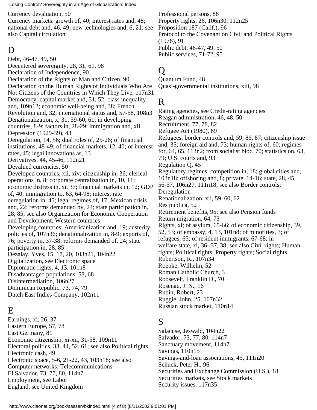Currency devaluation, 50 Currency markets: growth of, 40; interest rates and, 48; national debt and, 46, 49; new technologies and, 6, 21; see also Capital circulation

#### D

Debt, 46-47, 49, 50 Decentered sovereignty, 28, 31, 61, 98 Declaration of Independence, 90 Declaration of the Rights of Man and Citizen, 90 Declaration on the Human Rights of Individuals Who Are Not Citizens of the Countries in Which They Live, 117n31 Democracy: capital market and, 51, 52; class inequality and, 109n12; economic well-being and, 38; French Revolution and, 32; international status and, 57-58, 108n3 Denationalization, x, 31, 59-60, 61; in developing countries, 8-9; factors in, 28-29; immigration and, xii Depression (1929-39), 43 Deregulation, 14, 56; dual roles of, 25-26; of financial institutions, 48-49; of financial markets, 12, 40; of interest rates, 45; legal innovations as, 13 Derivatives, 44, 45-46, 112n21 Devalued currencies, 50 Developed countries, xii, xiv; citizenship in, 36; clerical operations in, 8; corporate centralization in, 10, 11; economic distress in, xi, 37; financial markets in, 12; GDP of, 40; immigration to, 63, 64-98; interest rate deregulation in, 45; legal regimes of, 17; Mexican crisis and, 22; reforms demanded by, 24; state participation in, 28, 85; see also Organization for Economic Cooperation and Development; Western countries Developing countries: Americanization and, 19; austerity policies of, 107n36; denationalization in, 8-9; exports of, 76; poverty in, 37-38; reforms demanded of, 24; state participation in, 28, 85 Dezalay, Yves, 15, 17, 20, 103n21, 104n22 Digitalization, see Electronic space Diplomatic rights, 4, 13, 101n8 Disadvantaged populations, 58, 68 Disintermediation, 106n27 Dominican Republic, 73, 74, 79 Dutch East Indies Company, 102n11

#### E

Earnings, xi, 26, 37 Eastern Europe, 57, 78 East Germany, 81 Economic citizenship, xi-xii, 31-58, 109n11 Electoral politics, 33, 44, 52, 61; see also Political rights Electronic cash, 49 Electronic space, 5-6, 21-22, 43, 103n18; see also Computer networks; Telecommunications El Salvador, 73, 77, 80, 114n7 Employment, see Labor England, see United Kingdom

Professional persons, 88 Property rights, 26, 106n30, 112n25 Proposition 187 (Calif.), 96 Protocol to the Covenant on Civil and Political Rights (1976), 91 Public debt, 46-47, 49, 50 Public services, 71-72, 95

# Q

Quantum Fund, 48 Quasi-governmental institutions, xiii, 98

#### R

Rating agencies, see Credit-rating agencies Reagan administration, 46, 48, 50 Recruitment, 77, 78, 82 Refugee Act (1980), 69 Refugees: border controls and, 59, 86, 87; citizenship issue and, 35; foreign aid and, 73; human rights of, 60; regimes for, 64, 65, 113n2; from socialist bloc, 70; statistics on, 63, 79; U.S. courts and, 93 Regulation Q, 45 Regulatory regimes: competition in, 18; global cities and, 103n18; offshoring and, 8; private, 14-16; state, 28, 45, 56-57, 106n27, 111n18; see also Border controls; Deregulation Renationalization, xii, 59, 60, 62 Res publica, 52 Retirement benefits, 95; see also Pension funds Return migration, 64, 75 Rights, xi; of asylum, 65-66; of economic citizenship, 39, 52, 53; of embassy, 4, 13, 101n8; of minorities, 3; of refugees, 65; of resident immigrants, 67-68; in welfare state, xi, 36- 37, 38; see also Civil rights; Human rights; Political rights; Property rights; Social rights Robertson, R., 107n34 Roepke, Wilhelm, 52 Roman Catholic Church, 3 Roosevelt, Franklin D., 70 Rosenau, J. N., 16 Rubin, Robert, 23 Ruggie, John, 25, 107n32 Russian stock market, 110n14

# S

Salacuse, Jeswald, 104n22 Salvador, 73, 77, 80, 114n7 Sanctuary movement, 114n7 Savings, 110n15 Savings-and-loan associations, 45, 111n20 Schuck, Peter H., 96 Securities and Exchange Commission (U.S.), 18 Securities markets, see Stock markets Security issues, 117n35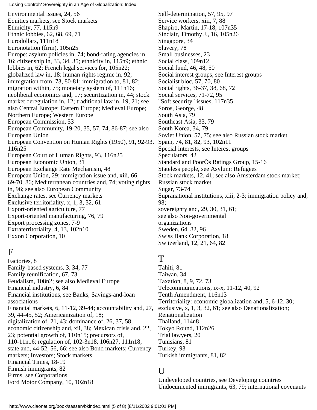Environmental issues, 24, 56 Equities markets, see Stock markets Ethnicity, 77, 115n9 Ethnic lobbies, 62, 68, 69, 71 Eurodollars, 111n18 Euronotation (firm), 105n25 Europe: asylum policies in, 74; bond-rating agencies in, 16; citizenship in, 33, 34, 35; ethnicity in, 115n9; ethnic lobbies in, 62; French legal services for, 105n22; globalized law in, 18; human rights regime in, 92; immigration from, 73, 80-81; immigration to, 81, 82; migration within, 75; monetary system of, 111n16; neoliberal economics and, 17; securitization in, 44; stock market deregulation in, 12; traditional law in, 19, 21; see also Central Europe; Eastern Europe; Medieval Europe; Northern Europe; Western Europe European Commission, 53 European Community, 19-20, 35, 57, 74, 86-87; see also European Union European Convention on Human Rights (1950), 91, 92-93, 116n25 European Court of Human Rights, 93, 116n25 European Economic Union, 31 European Exchange Rate Mechanism, 48 European Union, 29; immigration issue and, xiii, 66, 69-70, 86; Mediterranean countries and, 74; voting rights in, 96; see also European Community Exchange rates, see Currency markets Exclusive territoriality, x, 1, 3, 32, 61 Export-oriented agriculture, 77 Export-oriented manufacturing, 76, 79 Export processing zones, 7-9 Extraterritoriality, 4, 13, 102n10 Exxon Corporation, 10

### $\mathbf{F}$

Factories, 8 Family-based systems, 3, 34, 77 Family reunification, 67, 73 Feudalism, 108n2; see also Medieval Europe Financial industry, 6, 84 Financial institutions, see Banks; Savings-and-loan associations Financial markets, 6, 11-12, 39-44; accountability and, 27, 39, 44-45, 52; Americanization of, 18; digitalization of, 21, 43; dominance of, 26, 37, 58; economic citizenship and, xii, 38; Mexican crisis and, 22, 23; potential growth of, 110n15; precursors of, 110-11n16; regulation of, 102-3n18, 106n27, 111n18; state and, 44-52, 56, 66; see also Bond markets; Currency markets; Investors; Stock markets Financial Times, 18-19 Finnish immigrants, 82 Firms, see Corporations Ford Motor Company, 10, 102n18

Self-determination, 57, 95, 97 Service workers, xiii, 7, 88 Shapiro, Martin, 17-18, 107n35 Sinclair, Timothy J., 16, 105n26 Singapore, 34 Slavery, 78 Small businesses, 23 Social class, 109n12 Social fund, 46, 48, 50 Social interest groups, see Interest groups Socialist bloc, 57, 70, 80 Social rights, 36-37, 38, 68, 72 Social services, 71-72, 95 "Soft security" issues, 117n35 Soros, George, 48 South Asia, 79 Southeast Asia, 33, 79 South Korea, 34, 79 Soviet Union, 57, 75; see also Russian stock market Spain, 74, 81, 82, 93, 102n11 Special interests, see Interest groups Speculators, 42 Standard and PoorÕs Ratings Group, 15-16 Stateless people, see Asylum; Refugees Stock markets, 12, 41; see also Amsterdam stock market; Russian stock market Sugar, 73-74 Supranational institutions, xiii, 2-3; immigration policy and, 98; sovereignty and, 29, 30, 31, 61; see also Non-governmental organizations Sweden, 64, 82, 96 Swiss Bank Corporation, 18 Switzerland, 12, 21, 64, 82

## T

Tahiti, 81 Taiwan, 34 Taxation, 8, 9, 72, 73 Telecommunications, ix-x, 11-12, 40, 92 Tenth Amendment, 116n13 Territoriality: economic globalization and, 5, 6-12, 30; exclusive, x, 1, 3, 32, 61; see also Denationalization; Renationalization Thailand, 114n8 Tokyo Round, 112n26 Trial lawyers, 20 Tunisians, 81 Turkey, 93 Turkish immigrants, 81, 82

#### U

Undeveloped countries, see Developing countries Undocumented immigrants, 63, 79; international covenants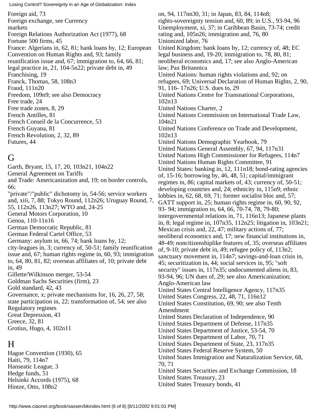Foreign aid, 73 Foreign exchange, see Currency markets Foreign Relations Authorization Act (1977), 68 Fortune 500 firms, 45 France: Algerians in, 62, 81; bank loans by, 12; European Convention on Human Rights and, 93; family reunification issue and, 67; immigration to, 64, 66, 81; legal practice in, 21, 104-5n22; private debt in, 49 Franchising, 19 Franck, Thomas, 58, 108n3 Fraud, 111n20 Freedom, 109n9; see also Democracy Free trade, 24 Free trade zones, 8, 29 French Antilles, 81 French Conseil de la Concurrence, 53 French Guyana, 81 French Revolution, 2, 32, 89 Futures, 44

# G

Garth, Bryant, 15, 17, 20, 103n21, 104n22 General Agreement on Tariffs and Trade: Americanization and, 19; on border controls, 66; "private"/"public" dichotomy in, 54-56; service workers and, xiii, 7, 88; Tokyo Round, 112n26; Uruguay Round, 7, 55, 112n26, 113n27; WTO and, 24-25 General Motors Corporation, 10 Genoa, 110-11n16 German Democratic Republic, 81 German Federal Cartel Office, 53 Germany: asylum in, 66, 74; bank loans by, 12; city-leagues in, 3; currency of, 50-51; family reunification issue and, 67; human rights regime in, 60, 93; immigration to, 64, 80, 81, 82; overseas affiliates of, 10; private debt in, 49 Gillette/Wilkinson merger, 53-54 Goldman Sachs Securities (firm), 23 Gold standard, 42, 43 Governance, x; private mechanisms for, 16, 26, 27, 58; state participation in, 22; transformation of, 54; see also Regulatory regimes Great Depression, 43 Greece, 32, 81 Grotius, Hugo, 4, 102n11

### H

Hague Convention (1930), 65 Haiti, 79, 114n7 Hanseatic League, 3 Hedge funds, 51 Helsinki Accords (1975), 68 Hintze, Otto, 108n2

on, 94, 117nn30, 31; in Japan, 83, 84, 114n8; rights-sovereignty tension and, 60, 89; in U.S., 93-94, 96 Unemployment, xi, 37; in Caribbean Basin, 73-74; credit rating and, 105n26; immigration and, 76, 80 Unionized labor, 76 United Kingdom: bank loans by, 12; currency of, 48; EC legal business and, 19-20; immigration to, 78, 80, 81; neoliberal economics and, 17; see also Anglo-American law; Pax Britannica United Nations: human rights violations and, 92; on refugees, 69; Universal Declaration of Human Rights, 2, 90, 91, 116- 17n26; U.S. dues to, 29 United Nations Centre for Transnational Corporations, 102n13 United Nations Charter, 2 United Nations Commission on International Trade Law, 104n21 United Nations Conference on Trade and Development, 102n13 United Nations Demographic Yearbook, 79 United Nations General Assembly, 67, 94, 117n31 United Nations High Commissioner for Refugees, 114n7 United Nations Human Rights Committee, 91 United States: banking in, 12, 111n18; bond-rating agencies of, 15-16; borrowing by, 46, 48, 51; capital/immigrant regimes in, 86; capital markets of, 43; currency of, 50-51; developing countries and, 24; ethnicity in, 115n9; ethnic lobbies in, 62, 68, 69, 71; former socialist bloc and, 57; GATT support in, 25; human rights regime in, 60, 90, 92, 93- 94; immigration to, 64, 66, 70-74, 78, 79-80; intergovernmental relations in, 71, 116n13; Japanese plants in, 8; legal regime in, 107n35, 112n25; litigation in, 103n21; Mexican crisis and, 22, 47; military actions of, 77; neoliberal economics and, 17; new financial institutions in, 48-49; noncitizenshiplike features of, 35; overseas affiliates of, 9-10; private debt in, 49; refugee policy of, 113n2; sanctuary movement in, 114n7; savings-and-loan crisis in, 45; securitization in, 44; social services in, 95; "soft security" issues in, 117n35; undocumented aliens in, 83, 93-94, 96; UN dues of, 29; see also Americanization; Anglo-American law United States Central Intelligence Agency, 117n35 United States Congress, 22, 48, 71, 116n12 United States Constitution, 69, 90; see also Tenth Amendment United States Declaration of Independence, 90 United States Department of Defense, 117n35 United States Department of Justice, 53-54, 70 United States Department of Labor, 70, 71 United States Department of State, 23, 117n35 United States Federal Reserve System, 50 United States Immigration and Naturalization Service, 68, 70, 71 United States Securities and Exchange Commission, 18 United States Treasury, 23 United States Treasury bonds, 41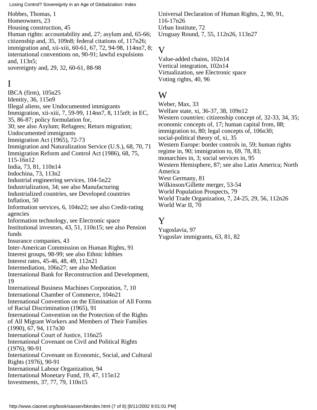international conventions on, 90-91; lawful expulsions

Hobbes, Thomas, 1 Homeowners, 23 Housing construction, 45 Human rights: accountability and, 27; asylum and, 65-66; citizenship and, 35, 109n8; federal citations of, 117n26; immigration and, xii-xiii, 60-61, 67, 72, 94-98, 114nn7, 8;

and, 113n5;

sovereignty and, 29, 32, 60-61, 88-98

## I

IBCA (firm), 105n25 Identity, 36, 115n9 Illegal aliens, see Undocumented immigrants Immigration, xii-xiii, 7, 59-99, 114nn7, 8, 115n9; in EC, 35, 86-87; policy formulation for, 30; see also Asylum; Refugees; Return migration; Undocumented immigrants Immigration Act (1965), 72-73 Immigration and Naturalization Service (U.S.), 68, 70, 71 Immigration Reform and Control Act (1986), 68, 75, 115-16n12 India, 73, 81, 110n14 Indochina, 73, 113n2 Industrial engineering services, 104-5n22 Industrialization, 34; see also Manufacturing Industrialized countries, see Developed countries Inflation, 50 Information services, 6, 104n22; see also Credit-rating agencies Information technology, see Electronic space Institutional investors, 43, 51, 110n15; see also Pension funds Insurance companies, 43 Inter-American Commission on Human Rights, 91 Interest groups, 98-99; see also Ethnic lobbies Interest rates, 45-46, 48, 49, 112n21 Intermediation, 106n27; see also Mediation International Bank for Reconstruction and Development, 19 International Business Machines Corporation, 7, 10 International Chamber of Commerce, 104n21 International Convention on the Elimination of All Forms of Racial Discrimination (1965), 91 International Convention on the Protection of the Rights of All Migrant Workers and Members of Their Families (1990), 67, 94, 117n30 International Court of Justice, 116n25 International Covenant on Civil and Political Rights (1976), 90-91 International Covenant on Economic, Social, and Cultural Rights (1976), 90-91 International Labour Organization, 94 International Monetary Fund, 19, 47, 115n12 Investments, 37, 77, 79, 110n15

Universal Declaration of Human Rights, 2, 90, 91, 116-17n26 Urban Institute, 72 Uruguay Round, 7, 55, 112n26, 113n27

#### V

Value-added chains, 102n14 Vertical integration, 102n14 Virtualization, see Electronic space Voting rights, 40, 96

### W

Weber, Max, 33 Welfare state, xi, 36-37, 38, 109n12 Western countries: citizenship concept of, 32-33, 34, 35; economic concepts of, 17; human capital from, 88; immigration to, 80; legal concepts of, 106n30; social-political theory of, xi, 35 Western Europe: border controls in, 59; human rights regime in, 90; immigration to, 69, 78, 83; monarchies in, 3; social services in, 95 Western Hemisphere, 87; see also Latin America; North America West Germany, 81 Wilkinson/Gillette merger, 53-54 World Population Prospects, 79 World Trade Organization, 7, 24-25, 29, 56, 112n26 World War II, 70

# Y

Yugoslavia, 97 Yugoslav immigrants, 63, 81, 82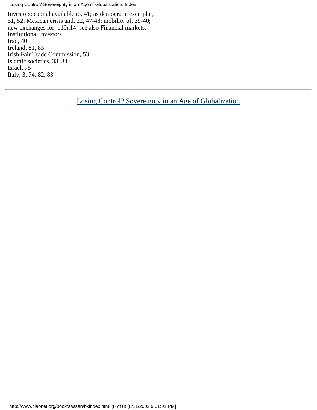Losing Control? Sovereignty in an Age of Globalization: Index

Investors: capital available to, 41; as democratic exemplar, 51, 52; Mexican crisis and, 22, 47-48; mobility of, 39-40; new exchanges for, 110n14; see also Financial markets; Institutional investors Iraq, 40 Ireland, 81, 83 Irish Fair Trade Commission, 53 Islamic societies, 33, 34 Israel, 75 Italy, 3, 74, 82, 83

[Losing Control? Sovereignty in an Age of Globalization](book/sassen/index.html)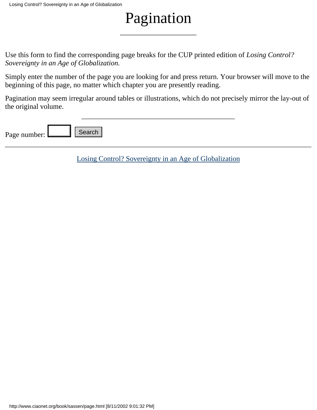## Pagination

Use this form to find the corresponding page breaks for the CUP printed edition of *Losing Control? Sovereignty in an Age of Globalization.*

Simply enter the number of the page you are looking for and press return. Your browser will move to the beginning of this page, no matter which chapter you are presently reading.

Pagination may seem irregular around tables or illustrations, which do not precisely mirror the lay-out of the original volume.

Page number: Examples and the Magnetics of the Magnetics of the Magnetics of the Magnetics of the Magnetics of the Magnetics of the Magnetics of the Magnetics of the Magnetics of the Magnetics of the Magnetics of the Magnetics of the M

[Losing Control? Sovereignty in an Age of Globalization](book/sassen/index.html)